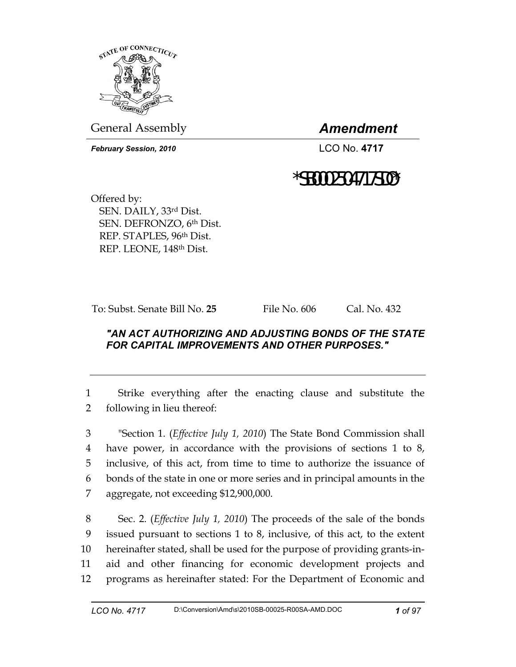

General Assembly *Amendment* 

*February Session, 2010* LCO No. **4717**

## \*SB0002504717SDO\*

Offered by: SEN. DAILY, 33rd Dist. SEN. DEFRONZO, 6th Dist. REP. STAPLES, 96th Dist. REP. LEONE, 148th Dist.

To: Subst. Senate Bill No. **25** File No. 606 Cal. No. 432

## *"AN ACT AUTHORIZING AND ADJUSTING BONDS OF THE STATE FOR CAPITAL IMPROVEMENTS AND OTHER PURPOSES."*

1 Strike everything after the enacting clause and substitute the 2 following in lieu thereof:

3 "Section 1. (*Effective July 1, 2010*) The State Bond Commission shall 4 have power, in accordance with the provisions of sections 1 to 8, 5 inclusive, of this act, from time to time to authorize the issuance of 6 bonds of the state in one or more series and in principal amounts in the 7 aggregate, not exceeding \$12,900,000.

8 Sec. 2. (*Effective July 1, 2010*) The proceeds of the sale of the bonds 9 issued pursuant to sections 1 to 8, inclusive, of this act, to the extent 10 hereinafter stated, shall be used for the purpose of providing grants-in-11 aid and other financing for economic development projects and 12 programs as hereinafter stated: For the Department of Economic and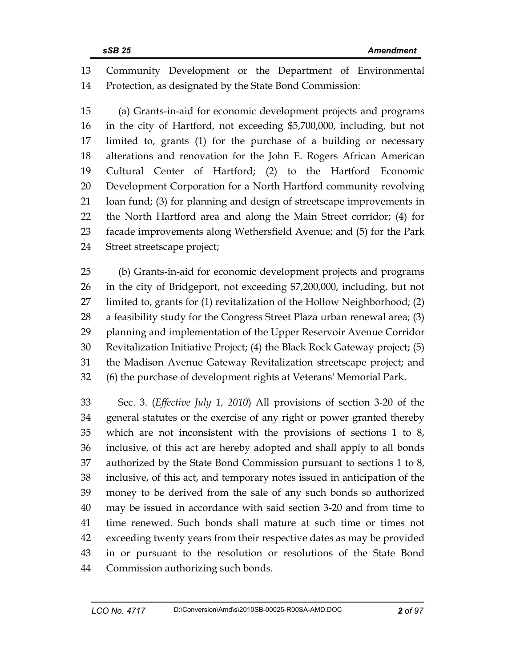13 Community Development or the Department of Environmental 14 Protection, as designated by the State Bond Commission:

15 (a) Grants-in-aid for economic development projects and programs 16 in the city of Hartford, not exceeding \$5,700,000, including, but not 17 limited to, grants (1) for the purchase of a building or necessary 18 alterations and renovation for the John E. Rogers African American 19 Cultural Center of Hartford; (2) to the Hartford Economic 20 Development Corporation for a North Hartford community revolving 21 loan fund; (3) for planning and design of streetscape improvements in 22 the North Hartford area and along the Main Street corridor; (4) for 23 facade improvements along Wethersfield Avenue; and (5) for the Park 24 Street streetscape project;

25 (b) Grants-in-aid for economic development projects and programs 26 in the city of Bridgeport, not exceeding \$7,200,000, including, but not 27 limited to, grants for (1) revitalization of the Hollow Neighborhood; (2) 28 a feasibility study for the Congress Street Plaza urban renewal area; (3) 29 planning and implementation of the Upper Reservoir Avenue Corridor 30 Revitalization Initiative Project; (4) the Black Rock Gateway project; (5) 31 the Madison Avenue Gateway Revitalization streetscape project; and 32 (6) the purchase of development rights at Veterans' Memorial Park.

33 Sec. 3. (*Effective July 1, 2010*) All provisions of section 3-20 of the 34 general statutes or the exercise of any right or power granted thereby 35 which are not inconsistent with the provisions of sections 1 to 8, 36 inclusive, of this act are hereby adopted and shall apply to all bonds 37 authorized by the State Bond Commission pursuant to sections 1 to 8, 38 inclusive, of this act, and temporary notes issued in anticipation of the 39 money to be derived from the sale of any such bonds so authorized 40 may be issued in accordance with said section 3-20 and from time to 41 time renewed. Such bonds shall mature at such time or times not 42 exceeding twenty years from their respective dates as may be provided 43 in or pursuant to the resolution or resolutions of the State Bond 44 Commission authorizing such bonds.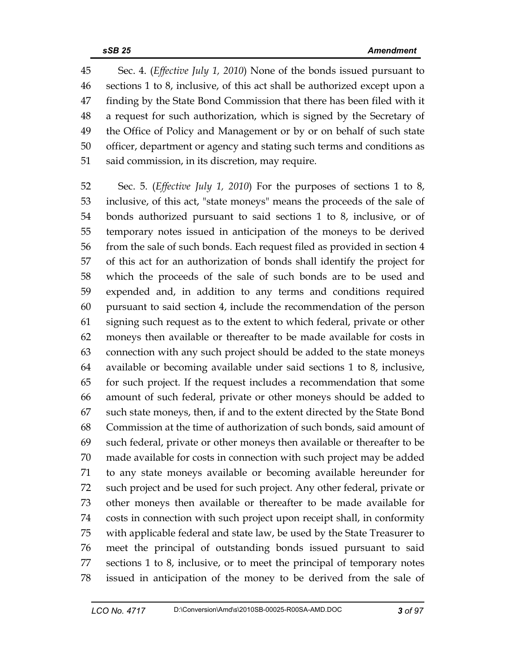45 Sec. 4. (*Effective July 1, 2010*) None of the bonds issued pursuant to 46 sections 1 to 8, inclusive, of this act shall be authorized except upon a 47 finding by the State Bond Commission that there has been filed with it 48 a request for such authorization, which is signed by the Secretary of 49 the Office of Policy and Management or by or on behalf of such state 50 officer, department or agency and stating such terms and conditions as 51 said commission, in its discretion, may require.

52 Sec. 5. (*Effective July 1, 2010*) For the purposes of sections 1 to 8, 53 inclusive, of this act, "state moneys" means the proceeds of the sale of 54 bonds authorized pursuant to said sections 1 to 8, inclusive, or of 55 temporary notes issued in anticipation of the moneys to be derived 56 from the sale of such bonds. Each request filed as provided in section 4 57 of this act for an authorization of bonds shall identify the project for 58 which the proceeds of the sale of such bonds are to be used and 59 expended and, in addition to any terms and conditions required 60 pursuant to said section 4, include the recommendation of the person 61 signing such request as to the extent to which federal, private or other 62 moneys then available or thereafter to be made available for costs in 63 connection with any such project should be added to the state moneys 64 available or becoming available under said sections 1 to 8, inclusive, 65 for such project. If the request includes a recommendation that some 66 amount of such federal, private or other moneys should be added to 67 such state moneys, then, if and to the extent directed by the State Bond 68 Commission at the time of authorization of such bonds, said amount of 69 such federal, private or other moneys then available or thereafter to be 70 made available for costs in connection with such project may be added 71 to any state moneys available or becoming available hereunder for 72 such project and be used for such project. Any other federal, private or 73 other moneys then available or thereafter to be made available for 74 costs in connection with such project upon receipt shall, in conformity 75 with applicable federal and state law, be used by the State Treasurer to 76 meet the principal of outstanding bonds issued pursuant to said 77 sections 1 to 8, inclusive, or to meet the principal of temporary notes 78 issued in anticipation of the money to be derived from the sale of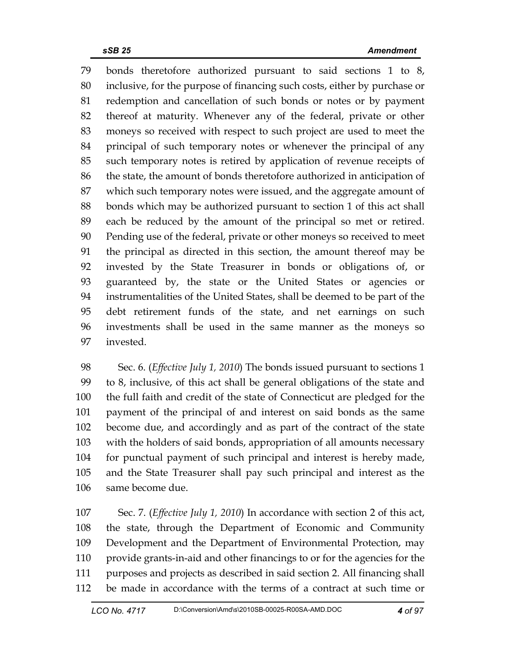79 bonds theretofore authorized pursuant to said sections 1 to 8, 80 inclusive, for the purpose of financing such costs, either by purchase or 81 redemption and cancellation of such bonds or notes or by payment 82 thereof at maturity. Whenever any of the federal, private or other 83 moneys so received with respect to such project are used to meet the 84 principal of such temporary notes or whenever the principal of any 85 such temporary notes is retired by application of revenue receipts of 86 the state, the amount of bonds theretofore authorized in anticipation of 87 which such temporary notes were issued, and the aggregate amount of 88 bonds which may be authorized pursuant to section 1 of this act shall 89 each be reduced by the amount of the principal so met or retired. 90 Pending use of the federal, private or other moneys so received to meet 91 the principal as directed in this section, the amount thereof may be 92 invested by the State Treasurer in bonds or obligations of, or 93 guaranteed by, the state or the United States or agencies or 94 instrumentalities of the United States, shall be deemed to be part of the 95 debt retirement funds of the state, and net earnings on such 96 investments shall be used in the same manner as the moneys so 97 invested.

98 Sec. 6. (*Effective July 1, 2010*) The bonds issued pursuant to sections 1 99 to 8, inclusive, of this act shall be general obligations of the state and 100 the full faith and credit of the state of Connecticut are pledged for the 101 payment of the principal of and interest on said bonds as the same 102 become due, and accordingly and as part of the contract of the state 103 with the holders of said bonds, appropriation of all amounts necessary 104 for punctual payment of such principal and interest is hereby made, 105 and the State Treasurer shall pay such principal and interest as the 106 same become due.

107 Sec. 7. (*Effective July 1, 2010*) In accordance with section 2 of this act, 108 the state, through the Department of Economic and Community 109 Development and the Department of Environmental Protection, may 110 provide grants-in-aid and other financings to or for the agencies for the 111 purposes and projects as described in said section 2. All financing shall 112 be made in accordance with the terms of a contract at such time or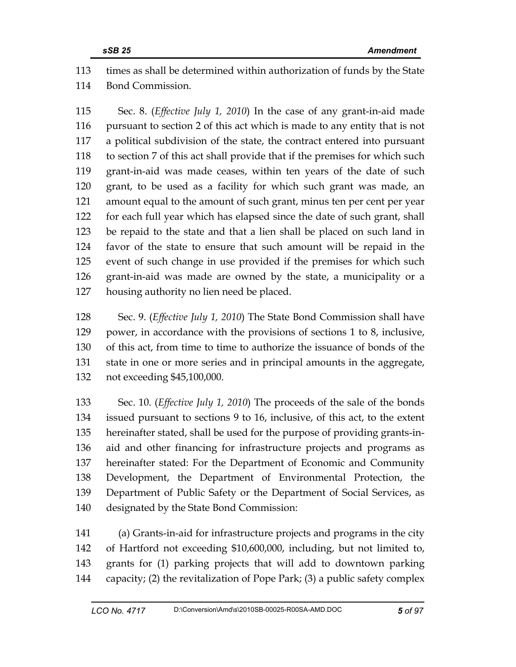113 times as shall be determined within authorization of funds by the State 114 Bond Commission.

115 Sec. 8. (*Effective July 1, 2010*) In the case of any grant-in-aid made 116 pursuant to section 2 of this act which is made to any entity that is not 117 a political subdivision of the state, the contract entered into pursuant 118 to section 7 of this act shall provide that if the premises for which such 119 grant-in-aid was made ceases, within ten years of the date of such 120 grant, to be used as a facility for which such grant was made, an 121 amount equal to the amount of such grant, minus ten per cent per year 122 for each full year which has elapsed since the date of such grant, shall 123 be repaid to the state and that a lien shall be placed on such land in 124 favor of the state to ensure that such amount will be repaid in the 125 event of such change in use provided if the premises for which such 126 grant-in-aid was made are owned by the state, a municipality or a 127 housing authority no lien need be placed.

128 Sec. 9. (*Effective July 1, 2010*) The State Bond Commission shall have 129 power, in accordance with the provisions of sections 1 to 8, inclusive, 130 of this act, from time to time to authorize the issuance of bonds of the 131 state in one or more series and in principal amounts in the aggregate, 132 not exceeding \$45,100,000.

133 Sec. 10. (*Effective July 1, 2010*) The proceeds of the sale of the bonds 134 issued pursuant to sections 9 to 16, inclusive, of this act, to the extent 135 hereinafter stated, shall be used for the purpose of providing grants-in-136 aid and other financing for infrastructure projects and programs as 137 hereinafter stated: For the Department of Economic and Community 138 Development, the Department of Environmental Protection, the 139 Department of Public Safety or the Department of Social Services, as 140 designated by the State Bond Commission:

141 (a) Grants-in-aid for infrastructure projects and programs in the city 142 of Hartford not exceeding \$10,600,000, including, but not limited to, 143 grants for (1) parking projects that will add to downtown parking 144 capacity; (2) the revitalization of Pope Park; (3) a public safety complex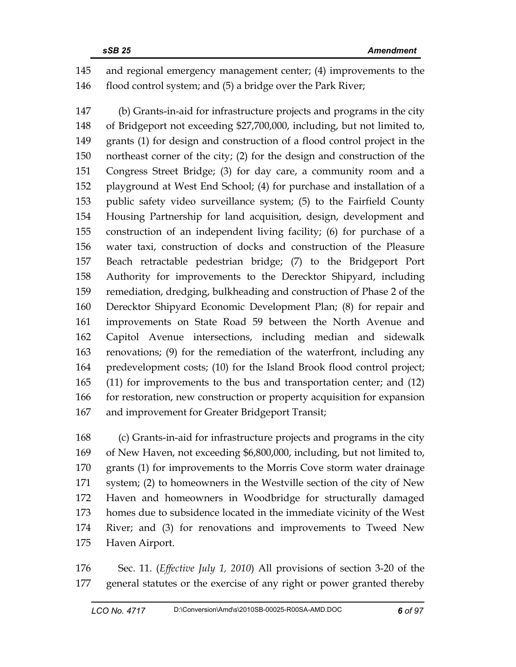145 and regional emergency management center; (4) improvements to the 146 flood control system; and (5) a bridge over the Park River;

147 (b) Grants-in-aid for infrastructure projects and programs in the city 148 of Bridgeport not exceeding \$27,700,000, including, but not limited to, 149 grants (1) for design and construction of a flood control project in the 150 northeast corner of the city; (2) for the design and construction of the 151 Congress Street Bridge; (3) for day care, a community room and a 152 playground at West End School; (4) for purchase and installation of a 153 public safety video surveillance system; (5) to the Fairfield County 154 Housing Partnership for land acquisition, design, development and 155 construction of an independent living facility; (6) for purchase of a 156 water taxi, construction of docks and construction of the Pleasure 157 Beach retractable pedestrian bridge; (7) to the Bridgeport Port 158 Authority for improvements to the Derecktor Shipyard, including 159 remediation, dredging, bulkheading and construction of Phase 2 of the 160 Derecktor Shipyard Economic Development Plan; (8) for repair and 161 improvements on State Road 59 between the North Avenue and 162 Capitol Avenue intersections, including median and sidewalk 163 renovations; (9) for the remediation of the waterfront, including any 164 predevelopment costs; (10) for the Island Brook flood control project; 165 (11) for improvements to the bus and transportation center; and (12) 166 for restoration, new construction or property acquisition for expansion 167 and improvement for Greater Bridgeport Transit;

168 (c) Grants-in-aid for infrastructure projects and programs in the city 169 of New Haven, not exceeding \$6,800,000, including, but not limited to, 170 grants (1) for improvements to the Morris Cove storm water drainage 171 system; (2) to homeowners in the Westville section of the city of New 172 Haven and homeowners in Woodbridge for structurally damaged 173 homes due to subsidence located in the immediate vicinity of the West 174 River; and (3) for renovations and improvements to Tweed New 175 Haven Airport.

176 Sec. 11. (*Effective July 1, 2010*) All provisions of section 3-20 of the 177 general statutes or the exercise of any right or power granted thereby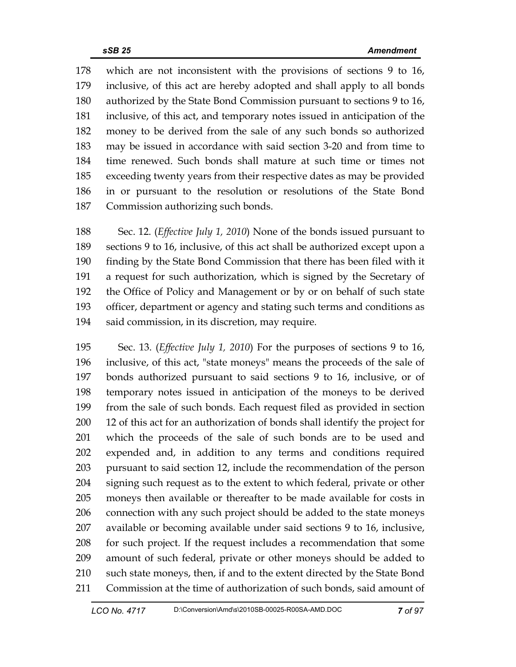178 which are not inconsistent with the provisions of sections 9 to 16, 179 inclusive, of this act are hereby adopted and shall apply to all bonds 180 authorized by the State Bond Commission pursuant to sections 9 to 16, 181 inclusive, of this act, and temporary notes issued in anticipation of the 182 money to be derived from the sale of any such bonds so authorized 183 may be issued in accordance with said section 3-20 and from time to 184 time renewed. Such bonds shall mature at such time or times not 185 exceeding twenty years from their respective dates as may be provided 186 in or pursuant to the resolution or resolutions of the State Bond 187 Commission authorizing such bonds.

188 Sec. 12. (*Effective July 1, 2010*) None of the bonds issued pursuant to 189 sections 9 to 16, inclusive, of this act shall be authorized except upon a 190 finding by the State Bond Commission that there has been filed with it 191 a request for such authorization, which is signed by the Secretary of 192 the Office of Policy and Management or by or on behalf of such state 193 officer, department or agency and stating such terms and conditions as 194 said commission, in its discretion, may require.

195 Sec. 13. (*Effective July 1, 2010*) For the purposes of sections 9 to 16, 196 inclusive, of this act, "state moneys" means the proceeds of the sale of 197 bonds authorized pursuant to said sections 9 to 16, inclusive, or of 198 temporary notes issued in anticipation of the moneys to be derived 199 from the sale of such bonds. Each request filed as provided in section 200 12 of this act for an authorization of bonds shall identify the project for 201 which the proceeds of the sale of such bonds are to be used and 202 expended and, in addition to any terms and conditions required 203 pursuant to said section 12, include the recommendation of the person 204 signing such request as to the extent to which federal, private or other 205 moneys then available or thereafter to be made available for costs in 206 connection with any such project should be added to the state moneys 207 available or becoming available under said sections 9 to 16, inclusive, 208 for such project. If the request includes a recommendation that some 209 amount of such federal, private or other moneys should be added to 210 such state moneys, then, if and to the extent directed by the State Bond 211 Commission at the time of authorization of such bonds, said amount of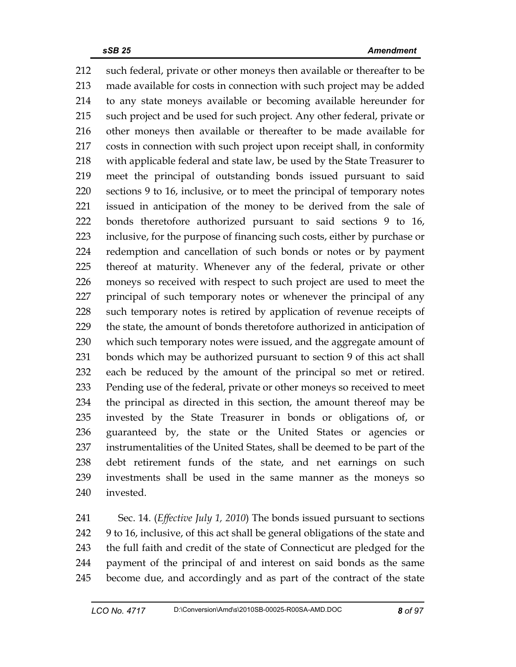212 such federal, private or other moneys then available or thereafter to be 213 made available for costs in connection with such project may be added 214 to any state moneys available or becoming available hereunder for 215 such project and be used for such project. Any other federal, private or 216 other moneys then available or thereafter to be made available for 217 costs in connection with such project upon receipt shall, in conformity 218 with applicable federal and state law, be used by the State Treasurer to 219 meet the principal of outstanding bonds issued pursuant to said 220 sections 9 to 16, inclusive, or to meet the principal of temporary notes 221 issued in anticipation of the money to be derived from the sale of 222 bonds theretofore authorized pursuant to said sections 9 to 16, 223 inclusive, for the purpose of financing such costs, either by purchase or 224 redemption and cancellation of such bonds or notes or by payment 225 thereof at maturity. Whenever any of the federal, private or other 226 moneys so received with respect to such project are used to meet the 227 principal of such temporary notes or whenever the principal of any 228 such temporary notes is retired by application of revenue receipts of 229 the state, the amount of bonds theretofore authorized in anticipation of 230 which such temporary notes were issued, and the aggregate amount of 231 bonds which may be authorized pursuant to section 9 of this act shall 232 each be reduced by the amount of the principal so met or retired. 233 Pending use of the federal, private or other moneys so received to meet 234 the principal as directed in this section, the amount thereof may be 235 invested by the State Treasurer in bonds or obligations of, or 236 guaranteed by, the state or the United States or agencies or 237 instrumentalities of the United States, shall be deemed to be part of the 238 debt retirement funds of the state, and net earnings on such 239 investments shall be used in the same manner as the moneys so 240 invested.

241 Sec. 14. (*Effective July 1, 2010*) The bonds issued pursuant to sections 242 9 to 16, inclusive, of this act shall be general obligations of the state and 243 the full faith and credit of the state of Connecticut are pledged for the 244 payment of the principal of and interest on said bonds as the same 245 become due, and accordingly and as part of the contract of the state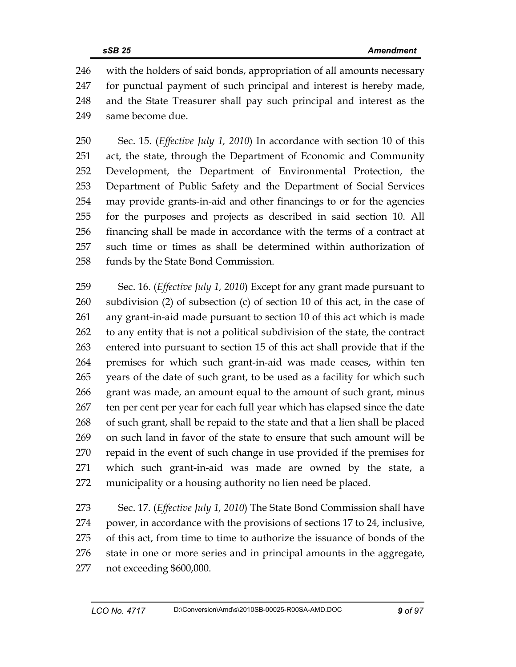246 with the holders of said bonds, appropriation of all amounts necessary 247 for punctual payment of such principal and interest is hereby made, 248 and the State Treasurer shall pay such principal and interest as the 249 same become due.

250 Sec. 15. (*Effective July 1, 2010*) In accordance with section 10 of this 251 act, the state, through the Department of Economic and Community 252 Development, the Department of Environmental Protection, the 253 Department of Public Safety and the Department of Social Services 254 may provide grants-in-aid and other financings to or for the agencies 255 for the purposes and projects as described in said section 10. All 256 financing shall be made in accordance with the terms of a contract at 257 such time or times as shall be determined within authorization of 258 funds by the State Bond Commission.

259 Sec. 16. (*Effective July 1, 2010*) Except for any grant made pursuant to 260 subdivision (2) of subsection (c) of section 10 of this act, in the case of 261 any grant-in-aid made pursuant to section 10 of this act which is made 262 to any entity that is not a political subdivision of the state, the contract 263 entered into pursuant to section 15 of this act shall provide that if the 264 premises for which such grant-in-aid was made ceases, within ten 265 years of the date of such grant, to be used as a facility for which such 266 grant was made, an amount equal to the amount of such grant, minus 267 ten per cent per year for each full year which has elapsed since the date 268 of such grant, shall be repaid to the state and that a lien shall be placed 269 on such land in favor of the state to ensure that such amount will be 270 repaid in the event of such change in use provided if the premises for 271 which such grant-in-aid was made are owned by the state, a 272 municipality or a housing authority no lien need be placed.

273 Sec. 17. (*Effective July 1, 2010*) The State Bond Commission shall have 274 power, in accordance with the provisions of sections 17 to 24, inclusive, 275 of this act, from time to time to authorize the issuance of bonds of the 276 state in one or more series and in principal amounts in the aggregate, 277 not exceeding \$600,000.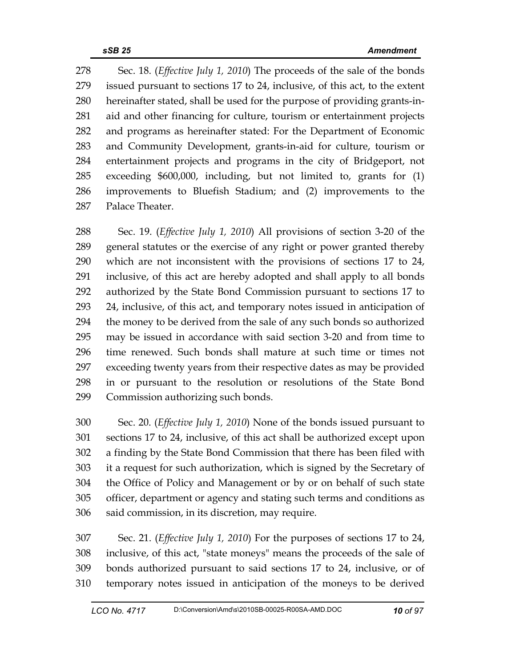278 Sec. 18. (*Effective July 1, 2010*) The proceeds of the sale of the bonds 279 issued pursuant to sections 17 to 24, inclusive, of this act, to the extent 280 hereinafter stated, shall be used for the purpose of providing grants-in-281 aid and other financing for culture, tourism or entertainment projects 282 and programs as hereinafter stated: For the Department of Economic 283 and Community Development, grants-in-aid for culture, tourism or 284 entertainment projects and programs in the city of Bridgeport, not 285 exceeding \$600,000, including, but not limited to, grants for (1) 286 improvements to Bluefish Stadium; and (2) improvements to the 287 Palace Theater.

288 Sec. 19. (*Effective July 1, 2010*) All provisions of section 3-20 of the 289 general statutes or the exercise of any right or power granted thereby 290 which are not inconsistent with the provisions of sections 17 to 24, 291 inclusive, of this act are hereby adopted and shall apply to all bonds 292 authorized by the State Bond Commission pursuant to sections 17 to 293 24, inclusive, of this act, and temporary notes issued in anticipation of 294 the money to be derived from the sale of any such bonds so authorized 295 may be issued in accordance with said section 3-20 and from time to 296 time renewed. Such bonds shall mature at such time or times not 297 exceeding twenty years from their respective dates as may be provided 298 in or pursuant to the resolution or resolutions of the State Bond 299 Commission authorizing such bonds.

300 Sec. 20. (*Effective July 1, 2010*) None of the bonds issued pursuant to 301 sections 17 to 24, inclusive, of this act shall be authorized except upon 302 a finding by the State Bond Commission that there has been filed with 303 it a request for such authorization, which is signed by the Secretary of 304 the Office of Policy and Management or by or on behalf of such state 305 officer, department or agency and stating such terms and conditions as 306 said commission, in its discretion, may require.

307 Sec. 21. (*Effective July 1, 2010*) For the purposes of sections 17 to 24, 308 inclusive, of this act, "state moneys" means the proceeds of the sale of 309 bonds authorized pursuant to said sections 17 to 24, inclusive, or of 310 temporary notes issued in anticipation of the moneys to be derived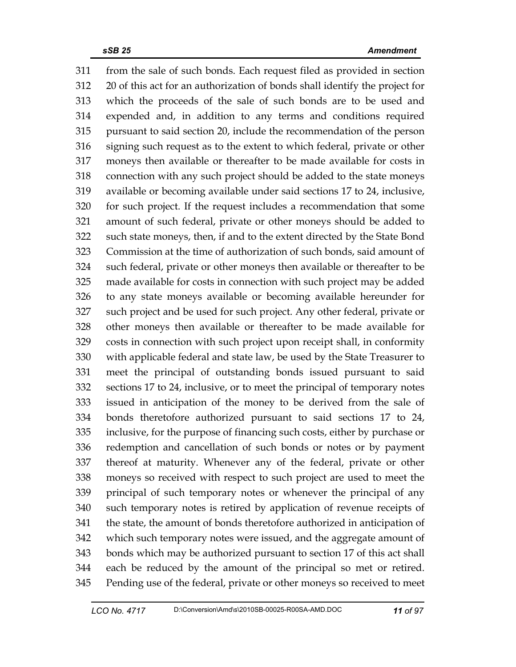311 from the sale of such bonds. Each request filed as provided in section 312 20 of this act for an authorization of bonds shall identify the project for 313 which the proceeds of the sale of such bonds are to be used and 314 expended and, in addition to any terms and conditions required 315 pursuant to said section 20, include the recommendation of the person 316 signing such request as to the extent to which federal, private or other 317 moneys then available or thereafter to be made available for costs in 318 connection with any such project should be added to the state moneys 319 available or becoming available under said sections 17 to 24, inclusive, 320 for such project. If the request includes a recommendation that some 321 amount of such federal, private or other moneys should be added to 322 such state moneys, then, if and to the extent directed by the State Bond 323 Commission at the time of authorization of such bonds, said amount of 324 such federal, private or other moneys then available or thereafter to be 325 made available for costs in connection with such project may be added 326 to any state moneys available or becoming available hereunder for 327 such project and be used for such project. Any other federal, private or 328 other moneys then available or thereafter to be made available for 329 costs in connection with such project upon receipt shall, in conformity 330 with applicable federal and state law, be used by the State Treasurer to 331 meet the principal of outstanding bonds issued pursuant to said 332 sections 17 to 24, inclusive, or to meet the principal of temporary notes 333 issued in anticipation of the money to be derived from the sale of 334 bonds theretofore authorized pursuant to said sections 17 to 24, 335 inclusive, for the purpose of financing such costs, either by purchase or 336 redemption and cancellation of such bonds or notes or by payment 337 thereof at maturity. Whenever any of the federal, private or other 338 moneys so received with respect to such project are used to meet the 339 principal of such temporary notes or whenever the principal of any 340 such temporary notes is retired by application of revenue receipts of 341 the state, the amount of bonds theretofore authorized in anticipation of 342 which such temporary notes were issued, and the aggregate amount of 343 bonds which may be authorized pursuant to section 17 of this act shall 344 each be reduced by the amount of the principal so met or retired. 345 Pending use of the federal, private or other moneys so received to meet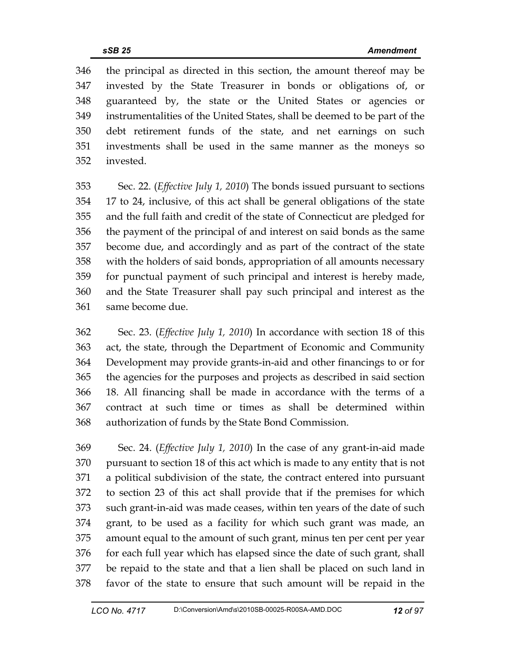346 the principal as directed in this section, the amount thereof may be 347 invested by the State Treasurer in bonds or obligations of, or 348 guaranteed by, the state or the United States or agencies or 349 instrumentalities of the United States, shall be deemed to be part of the 350 debt retirement funds of the state, and net earnings on such 351 investments shall be used in the same manner as the moneys so 352 invested.

353 Sec. 22. (*Effective July 1, 2010*) The bonds issued pursuant to sections 354 17 to 24, inclusive, of this act shall be general obligations of the state 355 and the full faith and credit of the state of Connecticut are pledged for 356 the payment of the principal of and interest on said bonds as the same 357 become due, and accordingly and as part of the contract of the state 358 with the holders of said bonds, appropriation of all amounts necessary 359 for punctual payment of such principal and interest is hereby made, 360 and the State Treasurer shall pay such principal and interest as the 361 same become due.

362 Sec. 23. (*Effective July 1, 2010*) In accordance with section 18 of this 363 act, the state, through the Department of Economic and Community 364 Development may provide grants-in-aid and other financings to or for 365 the agencies for the purposes and projects as described in said section 366 18. All financing shall be made in accordance with the terms of a 367 contract at such time or times as shall be determined within 368 authorization of funds by the State Bond Commission.

369 Sec. 24. (*Effective July 1, 2010*) In the case of any grant-in-aid made 370 pursuant to section 18 of this act which is made to any entity that is not 371 a political subdivision of the state, the contract entered into pursuant 372 to section 23 of this act shall provide that if the premises for which 373 such grant-in-aid was made ceases, within ten years of the date of such 374 grant, to be used as a facility for which such grant was made, an 375 amount equal to the amount of such grant, minus ten per cent per year 376 for each full year which has elapsed since the date of such grant, shall 377 be repaid to the state and that a lien shall be placed on such land in 378 favor of the state to ensure that such amount will be repaid in the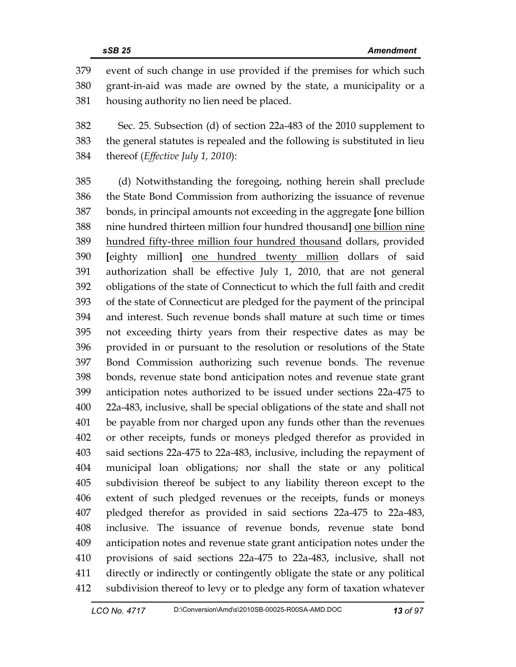379 event of such change in use provided if the premises for which such 380 grant-in-aid was made are owned by the state, a municipality or a 381 housing authority no lien need be placed.

382 Sec. 25. Subsection (d) of section 22a-483 of the 2010 supplement to 383 the general statutes is repealed and the following is substituted in lieu 384 thereof (*Effective July 1, 2010*):

385 (d) Notwithstanding the foregoing, nothing herein shall preclude 386 the State Bond Commission from authorizing the issuance of revenue 387 bonds, in principal amounts not exceeding in the aggregate **[**one billion 388 nine hundred thirteen million four hundred thousand**]** one billion nine 389 hundred fifty-three million four hundred thousand dollars, provided 390 **[**eighty million**]** one hundred twenty million dollars of said 391 authorization shall be effective July 1, 2010, that are not general 392 obligations of the state of Connecticut to which the full faith and credit 393 of the state of Connecticut are pledged for the payment of the principal 394 and interest. Such revenue bonds shall mature at such time or times 395 not exceeding thirty years from their respective dates as may be 396 provided in or pursuant to the resolution or resolutions of the State 397 Bond Commission authorizing such revenue bonds. The revenue 398 bonds, revenue state bond anticipation notes and revenue state grant 399 anticipation notes authorized to be issued under sections 22a-475 to 400 22a-483, inclusive, shall be special obligations of the state and shall not 401 be payable from nor charged upon any funds other than the revenues 402 or other receipts, funds or moneys pledged therefor as provided in 403 said sections 22a-475 to 22a-483, inclusive, including the repayment of 404 municipal loan obligations; nor shall the state or any political 405 subdivision thereof be subject to any liability thereon except to the 406 extent of such pledged revenues or the receipts, funds or moneys 407 pledged therefor as provided in said sections 22a-475 to 22a-483, 408 inclusive. The issuance of revenue bonds, revenue state bond 409 anticipation notes and revenue state grant anticipation notes under the 410 provisions of said sections 22a-475 to 22a-483, inclusive, shall not 411 directly or indirectly or contingently obligate the state or any political 412 subdivision thereof to levy or to pledge any form of taxation whatever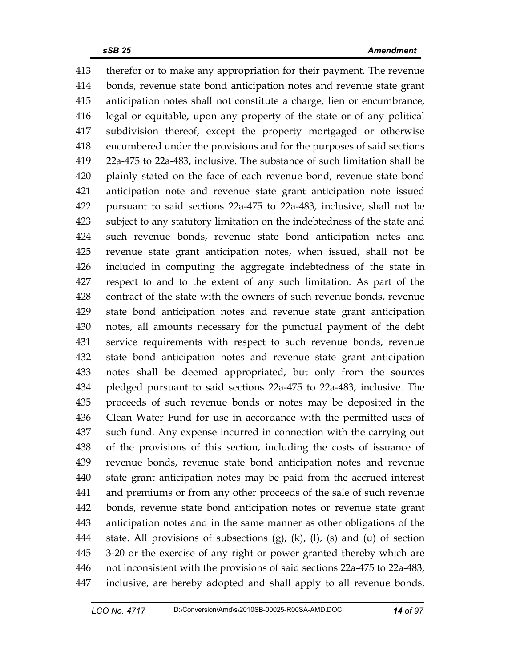413 therefor or to make any appropriation for their payment. The revenue 414 bonds, revenue state bond anticipation notes and revenue state grant 415 anticipation notes shall not constitute a charge, lien or encumbrance, 416 legal or equitable, upon any property of the state or of any political 417 subdivision thereof, except the property mortgaged or otherwise 418 encumbered under the provisions and for the purposes of said sections 419 22a-475 to 22a-483, inclusive. The substance of such limitation shall be 420 plainly stated on the face of each revenue bond, revenue state bond 421 anticipation note and revenue state grant anticipation note issued 422 pursuant to said sections 22a-475 to 22a-483, inclusive, shall not be 423 subject to any statutory limitation on the indebtedness of the state and 424 such revenue bonds, revenue state bond anticipation notes and 425 revenue state grant anticipation notes, when issued, shall not be 426 included in computing the aggregate indebtedness of the state in 427 respect to and to the extent of any such limitation. As part of the 428 contract of the state with the owners of such revenue bonds, revenue 429 state bond anticipation notes and revenue state grant anticipation 430 notes, all amounts necessary for the punctual payment of the debt 431 service requirements with respect to such revenue bonds, revenue 432 state bond anticipation notes and revenue state grant anticipation 433 notes shall be deemed appropriated, but only from the sources 434 pledged pursuant to said sections 22a-475 to 22a-483, inclusive. The 435 proceeds of such revenue bonds or notes may be deposited in the 436 Clean Water Fund for use in accordance with the permitted uses of 437 such fund. Any expense incurred in connection with the carrying out 438 of the provisions of this section, including the costs of issuance of 439 revenue bonds, revenue state bond anticipation notes and revenue 440 state grant anticipation notes may be paid from the accrued interest 441 and premiums or from any other proceeds of the sale of such revenue 442 bonds, revenue state bond anticipation notes or revenue state grant 443 anticipation notes and in the same manner as other obligations of the 444 state. All provisions of subsections (g), (k), (l), (s) and (u) of section 445 3-20 or the exercise of any right or power granted thereby which are 446 not inconsistent with the provisions of said sections 22a-475 to 22a-483, 447 inclusive, are hereby adopted and shall apply to all revenue bonds,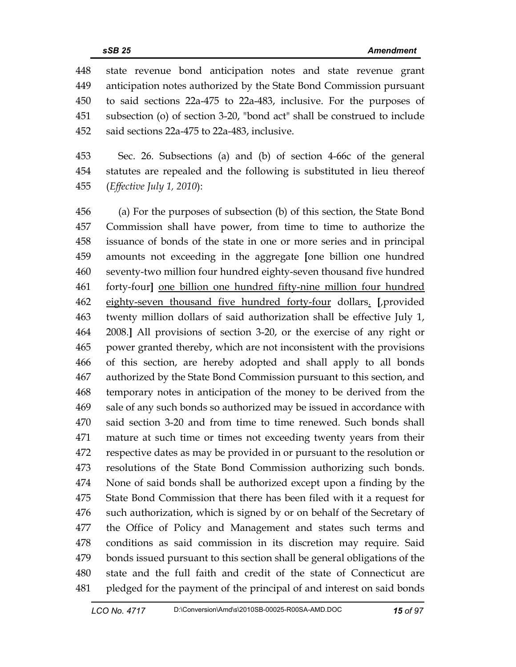448 state revenue bond anticipation notes and state revenue grant 449 anticipation notes authorized by the State Bond Commission pursuant 450 to said sections 22a-475 to 22a-483, inclusive. For the purposes of 451 subsection (o) of section 3-20, "bond act" shall be construed to include 452 said sections 22a-475 to 22a-483, inclusive.

453 Sec. 26. Subsections (a) and (b) of section 4-66c of the general 454 statutes are repealed and the following is substituted in lieu thereof 455 (*Effective July 1, 2010*):

456 (a) For the purposes of subsection (b) of this section, the State Bond 457 Commission shall have power, from time to time to authorize the 458 issuance of bonds of the state in one or more series and in principal 459 amounts not exceeding in the aggregate **[**one billion one hundred 460 seventy-two million four hundred eighty-seven thousand five hundred 461 forty-four**]** one billion one hundred fifty-nine million four hundred 462 eighty-seven thousand five hundred forty-four dollars. **[**,provided 463 twenty million dollars of said authorization shall be effective July 1, 464 2008.**]** All provisions of section 3-20, or the exercise of any right or 465 power granted thereby, which are not inconsistent with the provisions 466 of this section, are hereby adopted and shall apply to all bonds 467 authorized by the State Bond Commission pursuant to this section, and 468 temporary notes in anticipation of the money to be derived from the 469 sale of any such bonds so authorized may be issued in accordance with 470 said section 3-20 and from time to time renewed. Such bonds shall 471 mature at such time or times not exceeding twenty years from their 472 respective dates as may be provided in or pursuant to the resolution or 473 resolutions of the State Bond Commission authorizing such bonds. 474 None of said bonds shall be authorized except upon a finding by the 475 State Bond Commission that there has been filed with it a request for 476 such authorization, which is signed by or on behalf of the Secretary of 477 the Office of Policy and Management and states such terms and 478 conditions as said commission in its discretion may require. Said 479 bonds issued pursuant to this section shall be general obligations of the 480 state and the full faith and credit of the state of Connecticut are 481 pledged for the payment of the principal of and interest on said bonds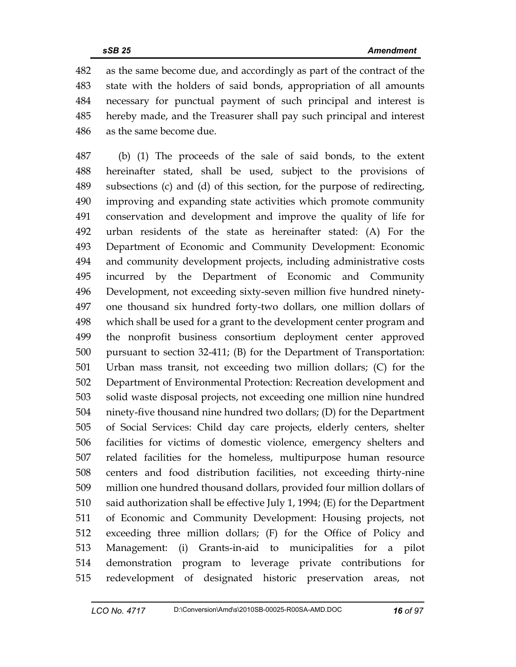482 as the same become due, and accordingly as part of the contract of the 483 state with the holders of said bonds, appropriation of all amounts 484 necessary for punctual payment of such principal and interest is 485 hereby made, and the Treasurer shall pay such principal and interest 486 as the same become due.

487 (b) (1) The proceeds of the sale of said bonds, to the extent 488 hereinafter stated, shall be used, subject to the provisions of 489 subsections (c) and (d) of this section, for the purpose of redirecting, 490 improving and expanding state activities which promote community 491 conservation and development and improve the quality of life for 492 urban residents of the state as hereinafter stated: (A) For the 493 Department of Economic and Community Development: Economic 494 and community development projects, including administrative costs 495 incurred by the Department of Economic and Community 496 Development, not exceeding sixty-seven million five hundred ninety-497 one thousand six hundred forty-two dollars, one million dollars of 498 which shall be used for a grant to the development center program and 499 the nonprofit business consortium deployment center approved 500 pursuant to section 32-411; (B) for the Department of Transportation: 501 Urban mass transit, not exceeding two million dollars; (C) for the 502 Department of Environmental Protection: Recreation development and 503 solid waste disposal projects, not exceeding one million nine hundred 504 ninety-five thousand nine hundred two dollars; (D) for the Department 505 of Social Services: Child day care projects, elderly centers, shelter 506 facilities for victims of domestic violence, emergency shelters and 507 related facilities for the homeless, multipurpose human resource 508 centers and food distribution facilities, not exceeding thirty-nine 509 million one hundred thousand dollars, provided four million dollars of 510 said authorization shall be effective July 1, 1994; (E) for the Department 511 of Economic and Community Development: Housing projects, not 512 exceeding three million dollars; (F) for the Office of Policy and 513 Management: (i) Grants-in-aid to municipalities for a pilot 514 demonstration program to leverage private contributions for 515 redevelopment of designated historic preservation areas, not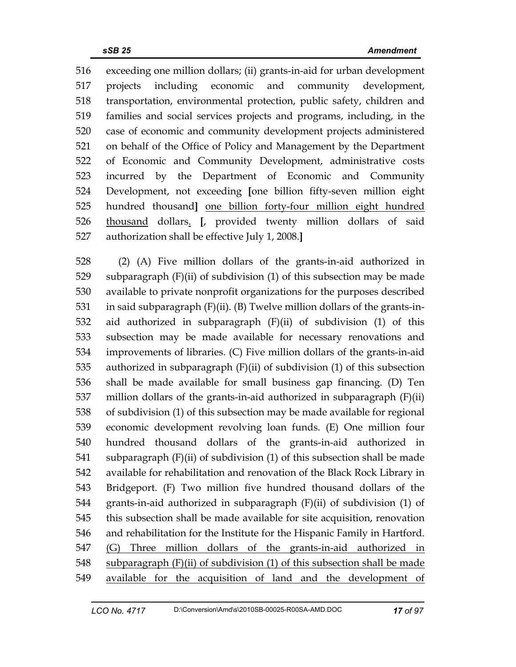516 exceeding one million dollars; (ii) grants-in-aid for urban development 517 projects including economic and community development, 518 transportation, environmental protection, public safety, children and 519 families and social services projects and programs, including, in the 520 case of economic and community development projects administered 521 on behalf of the Office of Policy and Management by the Department 522 of Economic and Community Development, administrative costs 523 incurred by the Department of Economic and Community 524 Development, not exceeding **[**one billion fifty-seven million eight 525 hundred thousand**]** one billion forty-four million eight hundred 526 thousand dollars. **[**, provided twenty million dollars of said 527 authorization shall be effective July 1, 2008.**]**

528 (2) (A) Five million dollars of the grants-in-aid authorized in 529 subparagraph (F)(ii) of subdivision (1) of this subsection may be made 530 available to private nonprofit organizations for the purposes described 531 in said subparagraph (F)(ii). (B) Twelve million dollars of the grants-in-532 aid authorized in subparagraph (F)(ii) of subdivision (1) of this 533 subsection may be made available for necessary renovations and 534 improvements of libraries. (C) Five million dollars of the grants-in-aid 535 authorized in subparagraph (F)(ii) of subdivision (1) of this subsection 536 shall be made available for small business gap financing. (D) Ten 537 million dollars of the grants-in-aid authorized in subparagraph (F)(ii) 538 of subdivision (1) of this subsection may be made available for regional 539 economic development revolving loan funds. (E) One million four 540 hundred thousand dollars of the grants-in-aid authorized in 541 subparagraph (F)(ii) of subdivision (1) of this subsection shall be made 542 available for rehabilitation and renovation of the Black Rock Library in 543 Bridgeport. (F) Two million five hundred thousand dollars of the 544 grants-in-aid authorized in subparagraph (F)(ii) of subdivision (1) of 545 this subsection shall be made available for site acquisition, renovation 546 and rehabilitation for the Institute for the Hispanic Family in Hartford. 547 (G) Three million dollars of the grants-in-aid authorized in 548 subparagraph (F)(ii) of subdivision (1) of this subsection shall be made 549 available for the acquisition of land and the development of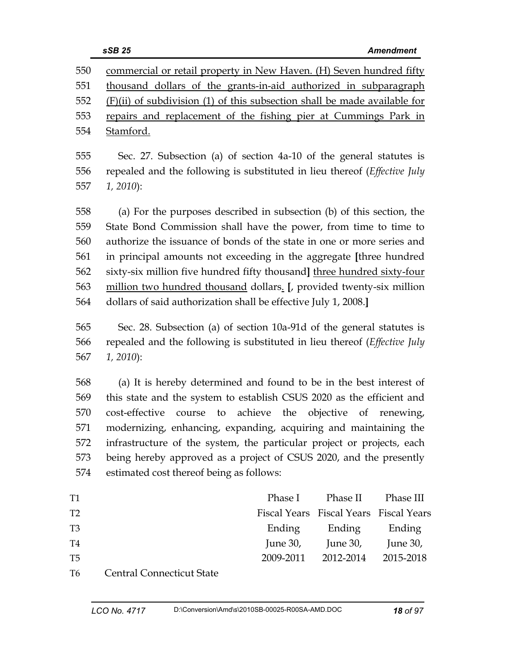|                | sSB 25<br><b>Amendment</b>                                                        |
|----------------|-----------------------------------------------------------------------------------|
| 550            | commercial or retail property in New Haven. (H) Seven hundred fifty               |
| 551            | thousand dollars of the grants-in-aid authorized in subparagraph                  |
| 552            | $(F)(ii)$ of subdivision (1) of this subsection shall be made available for       |
| 553            | repairs and replacement of the fishing pier at Cummings Park in                   |
| 554            | Stamford.                                                                         |
| 555            | Sec. 27. Subsection (a) of section 4a-10 of the general statutes is               |
| 556            | repealed and the following is substituted in lieu thereof (Effective July         |
| 557            | $1, 2010$ :                                                                       |
|                |                                                                                   |
| 558            | (a) For the purposes described in subsection (b) of this section, the             |
| 559            | State Bond Commission shall have the power, from time to time to                  |
| 560            | authorize the issuance of bonds of the state in one or more series and            |
| 561            | in principal amounts not exceeding in the aggregate [three hundred                |
| 562            | sixty-six million five hundred fifty thousand] three hundred sixty-four           |
| 563            | million two hundred thousand dollars. [, provided twenty-six million              |
| 564            | dollars of said authorization shall be effective July 1, 2008.]                   |
| 565            | Sec. 28. Subsection (a) of section 10a-91d of the general statutes is             |
| 566            | repealed and the following is substituted in lieu thereof ( <i>Effective July</i> |
| 567            | $1, 2010$ :                                                                       |
| 568            | (a) It is hereby determined and found to be in the best interest of               |
| 569            | this state and the system to establish CSUS 2020 as the efficient and             |
| 570            | cost-effective<br>course<br>achieve the<br>to<br>objective of<br>renewing,        |
| 571            | modernizing, enhancing, expanding, acquiring and maintaining the                  |
| 572            | infrastructure of the system, the particular project or projects, each            |
| 573            | being hereby approved as a project of CSUS 2020, and the presently                |
| 574            | estimated cost thereof being as follows:                                          |
| T1             | Phase I<br>Phase II<br>Phase III                                                  |
| T <sub>2</sub> | Fiscal Years Fiscal Years Fiscal Years                                            |
| T <sub>3</sub> | Ending<br>Ending<br>Ending                                                        |
| T4             | June $30$ ,<br>June 30,<br>June 30,                                               |
| T5             | 2009-2011<br>2012-2014<br>2015-2018                                               |
| T6             | <b>Central Connecticut State</b>                                                  |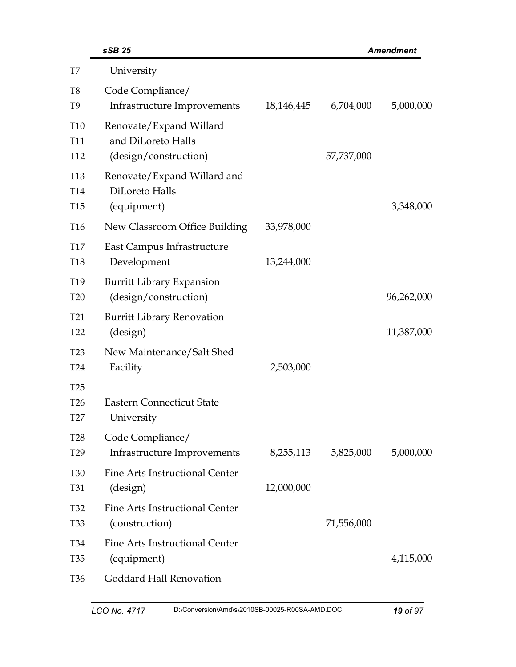|                                                       | sSB 25                                                                 |            |            | <b>Amendment</b> |
|-------------------------------------------------------|------------------------------------------------------------------------|------------|------------|------------------|
| T7                                                    | University                                                             |            |            |                  |
| T <sub>8</sub><br>T <sub>9</sub>                      | Code Compliance/<br>Infrastructure Improvements                        | 18,146,445 | 6,704,000  | 5,000,000        |
| T <sub>10</sub><br>T <sub>11</sub><br>T <sub>12</sub> | Renovate/Expand Willard<br>and DiLoreto Halls<br>(design/construction) |            | 57,737,000 |                  |
| T <sub>13</sub><br>T <sub>14</sub><br><b>T15</b>      | Renovate/Expand Willard and<br>DiLoreto Halls<br>(equipment)           |            |            | 3,348,000        |
| T <sub>16</sub>                                       | New Classroom Office Building                                          | 33,978,000 |            |                  |
| T <sub>17</sub><br><b>T18</b>                         | East Campus Infrastructure<br>Development                              | 13,244,000 |            |                  |
| T <sub>19</sub><br><b>T20</b>                         | <b>Burritt Library Expansion</b><br>(design/construction)              |            |            | 96,262,000       |
| T <sub>21</sub><br>T <sub>22</sub>                    | <b>Burritt Library Renovation</b><br>(design)                          |            |            | 11,387,000       |
| T <sub>23</sub><br>T <sub>24</sub>                    | New Maintenance/Salt Shed<br>Facility                                  | 2,503,000  |            |                  |
| T <sub>25</sub><br>T <sub>26</sub><br>T27             | <b>Eastern Connecticut State</b><br>University                         |            |            |                  |
| <b>T28</b><br>T <sub>29</sub>                         | Code Compliance/<br>Infrastructure Improvements                        | 8,255,113  | 5,825,000  | 5,000,000        |
| <b>T30</b><br><b>T31</b>                              | Fine Arts Instructional Center<br>(design)                             | 12,000,000 |            |                  |
| <b>T32</b><br>T <sub>33</sub>                         | Fine Arts Instructional Center<br>(construction)                       |            | 71,556,000 |                  |
| <b>T34</b><br><b>T35</b>                              | Fine Arts Instructional Center<br>(equipment)                          |            |            | 4,115,000        |
| T <sub>36</sub>                                       | Goddard Hall Renovation                                                |            |            |                  |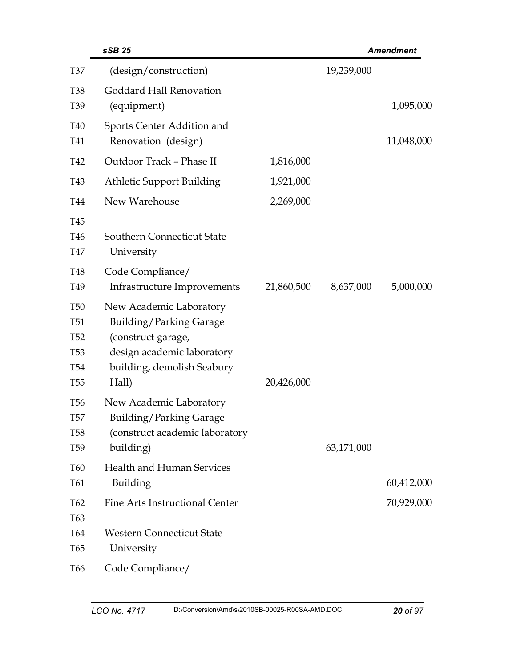|                                                                                       | sSB 25                                                                                                                                        |            |            | <b>Amendment</b> |
|---------------------------------------------------------------------------------------|-----------------------------------------------------------------------------------------------------------------------------------------------|------------|------------|------------------|
| <b>T37</b>                                                                            | (design/construction)                                                                                                                         |            | 19,239,000 |                  |
| <b>T38</b><br>T <sub>39</sub>                                                         | Goddard Hall Renovation<br>(equipment)                                                                                                        |            |            | 1,095,000        |
| <b>T40</b><br>T41                                                                     | Sports Center Addition and<br>Renovation (design)                                                                                             |            |            | 11,048,000       |
| T42                                                                                   | Outdoor Track - Phase II                                                                                                                      | 1,816,000  |            |                  |
| T43                                                                                   | <b>Athletic Support Building</b>                                                                                                              | 1,921,000  |            |                  |
| T44                                                                                   | New Warehouse                                                                                                                                 | 2,269,000  |            |                  |
| T45<br>T <sub>46</sub><br>T47<br>T48                                                  | <b>Southern Connecticut State</b><br>University<br>Code Compliance/                                                                           |            |            |                  |
| T <sub>49</sub>                                                                       | Infrastructure Improvements                                                                                                                   | 21,860,500 | 8,637,000  | 5,000,000        |
| <b>T50</b><br><b>T51</b><br><b>T52</b><br><b>T53</b><br><b>T54</b><br>T <sub>55</sub> | New Academic Laboratory<br>Building/Parking Garage<br>(construct garage,<br>design academic laboratory<br>building, demolish Seabury<br>Hall) | 20,426,000 |            |                  |
| T <sub>56</sub><br>T <sub>57</sub><br><b>T58</b><br>T <sub>59</sub>                   | New Academic Laboratory<br><b>Building/Parking Garage</b><br>(construct academic laboratory<br>building)                                      |            | 63,171,000 |                  |
| T60<br>T61                                                                            | <b>Health and Human Services</b><br><b>Building</b>                                                                                           |            |            | 60,412,000       |
| T <sub>62</sub><br>T <sub>63</sub>                                                    | Fine Arts Instructional Center                                                                                                                |            |            | 70,929,000       |
| <b>T64</b><br>T <sub>65</sub>                                                         | <b>Western Connecticut State</b><br>University                                                                                                |            |            |                  |
| T <sub>66</sub>                                                                       | Code Compliance/                                                                                                                              |            |            |                  |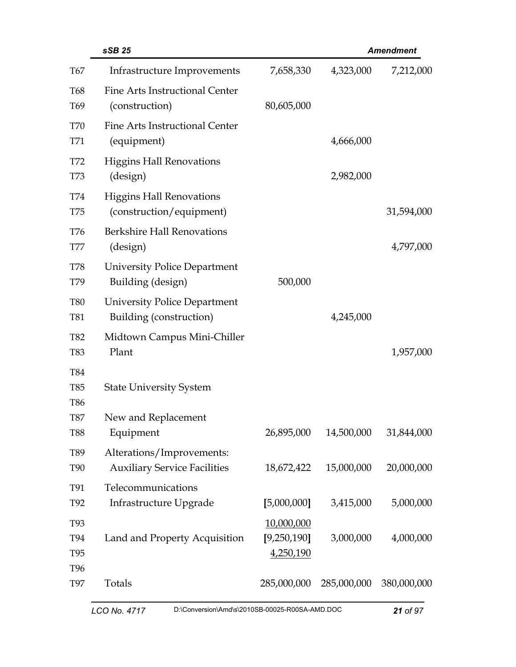|                                        | sSB 25                                                           |                                        |             | <b>Amendment</b> |
|----------------------------------------|------------------------------------------------------------------|----------------------------------------|-------------|------------------|
| T67                                    | Infrastructure Improvements                                      | 7,658,330                              | 4,323,000   | 7,212,000        |
| <b>T68</b><br>T <sub>69</sub>          | Fine Arts Instructional Center<br>(construction)                 | 80,605,000                             |             |                  |
| <b>T70</b><br>T71                      | Fine Arts Instructional Center<br>(equipment)                    |                                        | 4,666,000   |                  |
| T72<br><b>T73</b>                      | <b>Higgins Hall Renovations</b><br>(design)                      |                                        | 2,982,000   |                  |
| <b>T74</b><br>T75                      | <b>Higgins Hall Renovations</b><br>(construction/equipment)      |                                        |             | 31,594,000       |
| <b>T76</b><br><b>T77</b>               | <b>Berkshire Hall Renovations</b><br>(design)                    |                                        |             | 4,797,000        |
| <b>T78</b><br>T79                      | <b>University Police Department</b><br>Building (design)         | 500,000                                |             |                  |
| <b>T80</b><br><b>T81</b>               | University Police Department<br>Building (construction)          |                                        | 4,245,000   |                  |
| <b>T82</b><br><b>T83</b>               | Midtown Campus Mini-Chiller<br>Plant                             |                                        |             | 1,957,000        |
| <b>T84</b><br><b>T85</b><br><b>T86</b> | <b>State University System</b>                                   |                                        |             |                  |
| <b>T87</b><br><b>T88</b>               | New and Replacement<br>Equipment                                 | 26,895,000                             | 14,500,000  | 31,844,000       |
| T89<br><b>T90</b>                      | Alterations/Improvements:<br><b>Auxiliary Service Facilities</b> | 18,672,422                             | 15,000,000  | 20,000,000       |
| T91<br>T92                             | Telecommunications<br>Infrastructure Upgrade                     | [5,000,000]                            | 3,415,000   | 5,000,000        |
| <b>T93</b><br>T94<br>T <sub>95</sub>   | Land and Property Acquisition                                    | 10,000,000<br>[9,250,190]<br>4,250,190 | 3,000,000   | 4,000,000        |
| T <sub>96</sub><br><b>T97</b>          | Totals                                                           | 285,000,000                            | 285,000,000 | 380,000,000      |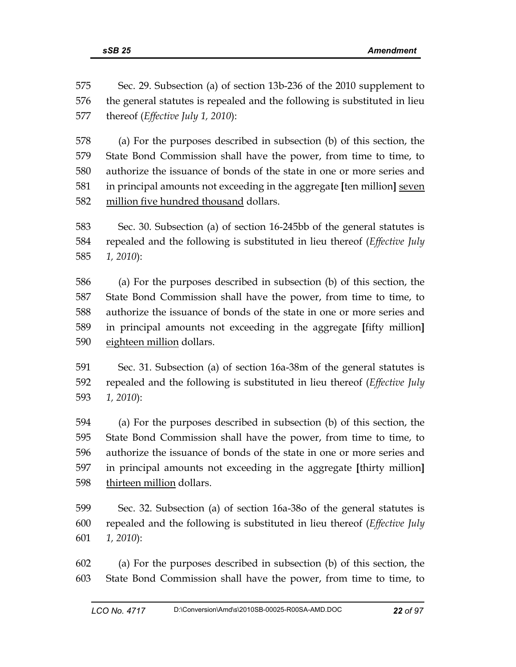575 Sec. 29. Subsection (a) of section 13b-236 of the 2010 supplement to 576 the general statutes is repealed and the following is substituted in lieu 577 thereof (*Effective July 1, 2010*):

578 (a) For the purposes described in subsection (b) of this section, the 579 State Bond Commission shall have the power, from time to time, to 580 authorize the issuance of bonds of the state in one or more series and 581 in principal amounts not exceeding in the aggregate **[**ten million**]** seven 582 million five hundred thousand dollars.

583 Sec. 30. Subsection (a) of section 16-245bb of the general statutes is 584 repealed and the following is substituted in lieu thereof (*Effective July*  585 *1, 2010*):

586 (a) For the purposes described in subsection (b) of this section, the 587 State Bond Commission shall have the power, from time to time, to 588 authorize the issuance of bonds of the state in one or more series and 589 in principal amounts not exceeding in the aggregate **[**fifty million**]** 590 eighteen million dollars.

591 Sec. 31. Subsection (a) of section 16a-38m of the general statutes is 592 repealed and the following is substituted in lieu thereof (*Effective July*  593 *1, 2010*):

594 (a) For the purposes described in subsection (b) of this section, the 595 State Bond Commission shall have the power, from time to time, to 596 authorize the issuance of bonds of the state in one or more series and 597 in principal amounts not exceeding in the aggregate **[**thirty million**]** 598 thirteen million dollars.

599 Sec. 32. Subsection (a) of section 16a-38o of the general statutes is 600 repealed and the following is substituted in lieu thereof (*Effective July*  601 *1, 2010*):

602 (a) For the purposes described in subsection (b) of this section, the 603 State Bond Commission shall have the power, from time to time, to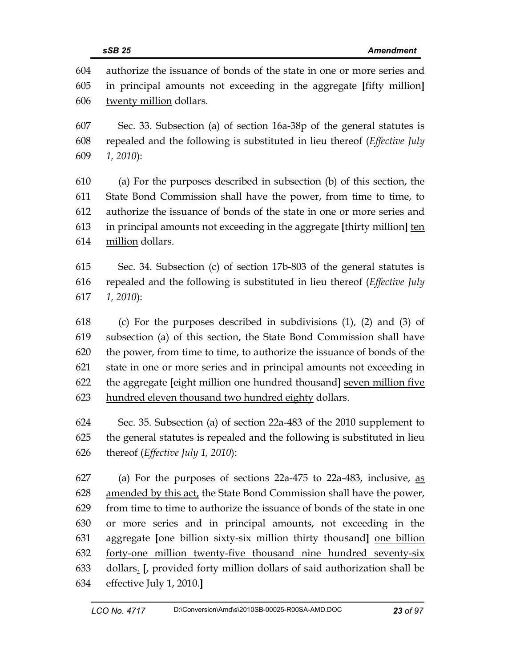604 authorize the issuance of bonds of the state in one or more series and 605 in principal amounts not exceeding in the aggregate **[**fifty million**]** 606 twenty million dollars.

607 Sec. 33. Subsection (a) of section 16a-38p of the general statutes is 608 repealed and the following is substituted in lieu thereof (*Effective July*  609 *1, 2010*):

610 (a) For the purposes described in subsection (b) of this section, the 611 State Bond Commission shall have the power, from time to time, to 612 authorize the issuance of bonds of the state in one or more series and 613 in principal amounts not exceeding in the aggregate **[**thirty million**]** ten 614 million dollars.

615 Sec. 34. Subsection (c) of section 17b-803 of the general statutes is 616 repealed and the following is substituted in lieu thereof (*Effective July*  617 *1, 2010*):

618 (c) For the purposes described in subdivisions (1), (2) and (3) of 619 subsection (a) of this section, the State Bond Commission shall have 620 the power, from time to time, to authorize the issuance of bonds of the 621 state in one or more series and in principal amounts not exceeding in 622 the aggregate **[**eight million one hundred thousand**]** seven million five 623 hundred eleven thousand two hundred eighty dollars.

624 Sec. 35. Subsection (a) of section 22a-483 of the 2010 supplement to 625 the general statutes is repealed and the following is substituted in lieu 626 thereof (*Effective July 1, 2010*):

627 (a) For the purposes of sections 22a-475 to 22a-483, inclusive, as 628 amended by this act, the State Bond Commission shall have the power, 629 from time to time to authorize the issuance of bonds of the state in one 630 or more series and in principal amounts, not exceeding in the 631 aggregate **[**one billion sixty-six million thirty thousand**]** one billion 632 forty-one million twenty-five thousand nine hundred seventy-six 633 dollars. **[**, provided forty million dollars of said authorization shall be 634 effective July 1, 2010.**]**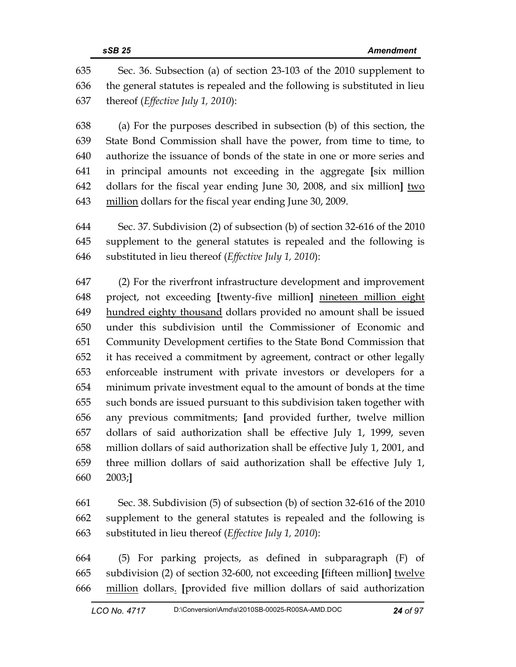635 Sec. 36. Subsection (a) of section 23-103 of the 2010 supplement to 636 the general statutes is repealed and the following is substituted in lieu 637 thereof (*Effective July 1, 2010*):

638 (a) For the purposes described in subsection (b) of this section, the 639 State Bond Commission shall have the power, from time to time, to 640 authorize the issuance of bonds of the state in one or more series and 641 in principal amounts not exceeding in the aggregate **[**six million 642 dollars for the fiscal year ending June 30, 2008, and six million**]** two 643 million dollars for the fiscal year ending June 30, 2009.

644 Sec. 37. Subdivision (2) of subsection (b) of section 32-616 of the 2010 645 supplement to the general statutes is repealed and the following is 646 substituted in lieu thereof (*Effective July 1, 2010*):

647 (2) For the riverfront infrastructure development and improvement 648 project, not exceeding **[**twenty-five million**]** nineteen million eight 649 hundred eighty thousand dollars provided no amount shall be issued 650 under this subdivision until the Commissioner of Economic and 651 Community Development certifies to the State Bond Commission that 652 it has received a commitment by agreement, contract or other legally 653 enforceable instrument with private investors or developers for a 654 minimum private investment equal to the amount of bonds at the time 655 such bonds are issued pursuant to this subdivision taken together with 656 any previous commitments; **[**and provided further, twelve million 657 dollars of said authorization shall be effective July 1, 1999, seven 658 million dollars of said authorization shall be effective July 1, 2001, and 659 three million dollars of said authorization shall be effective July 1, 660 2003;**]** 

661 Sec. 38. Subdivision (5) of subsection (b) of section 32-616 of the 2010 662 supplement to the general statutes is repealed and the following is 663 substituted in lieu thereof (*Effective July 1, 2010*):

664 (5) For parking projects, as defined in subparagraph (F) of 665 subdivision (2) of section 32-600, not exceeding **[**fifteen million**]** twelve 666 million dollars. **[**provided five million dollars of said authorization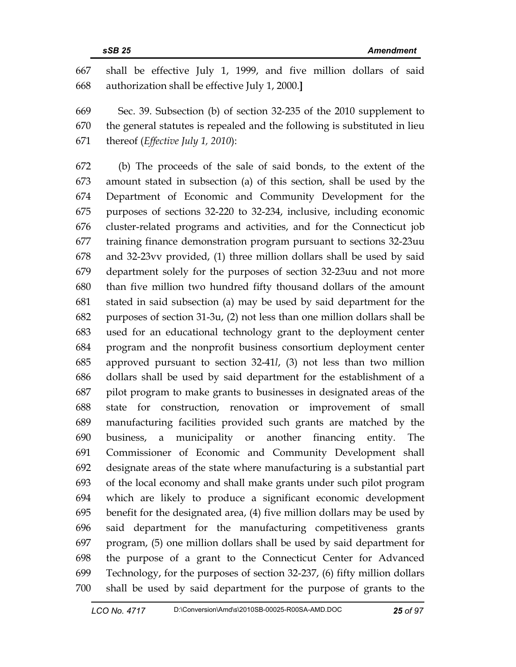667 shall be effective July 1, 1999, and five million dollars of said 668 authorization shall be effective July 1, 2000.**]** 

669 Sec. 39. Subsection (b) of section 32-235 of the 2010 supplement to 670 the general statutes is repealed and the following is substituted in lieu 671 thereof (*Effective July 1, 2010*):

672 (b) The proceeds of the sale of said bonds, to the extent of the 673 amount stated in subsection (a) of this section, shall be used by the 674 Department of Economic and Community Development for the 675 purposes of sections 32-220 to 32-234, inclusive, including economic 676 cluster-related programs and activities, and for the Connecticut job 677 training finance demonstration program pursuant to sections 32-23uu 678 and 32-23vv provided, (1) three million dollars shall be used by said 679 department solely for the purposes of section 32-23uu and not more 680 than five million two hundred fifty thousand dollars of the amount 681 stated in said subsection (a) may be used by said department for the 682 purposes of section 31-3u, (2) not less than one million dollars shall be 683 used for an educational technology grant to the deployment center 684 program and the nonprofit business consortium deployment center 685 approved pursuant to section 32-41*l*, (3) not less than two million 686 dollars shall be used by said department for the establishment of a 687 pilot program to make grants to businesses in designated areas of the 688 state for construction, renovation or improvement of small 689 manufacturing facilities provided such grants are matched by the 690 business, a municipality or another financing entity. The 691 Commissioner of Economic and Community Development shall 692 designate areas of the state where manufacturing is a substantial part 693 of the local economy and shall make grants under such pilot program 694 which are likely to produce a significant economic development 695 benefit for the designated area, (4) five million dollars may be used by 696 said department for the manufacturing competitiveness grants 697 program, (5) one million dollars shall be used by said department for 698 the purpose of a grant to the Connecticut Center for Advanced 699 Technology, for the purposes of section 32-237, (6) fifty million dollars 700 shall be used by said department for the purpose of grants to the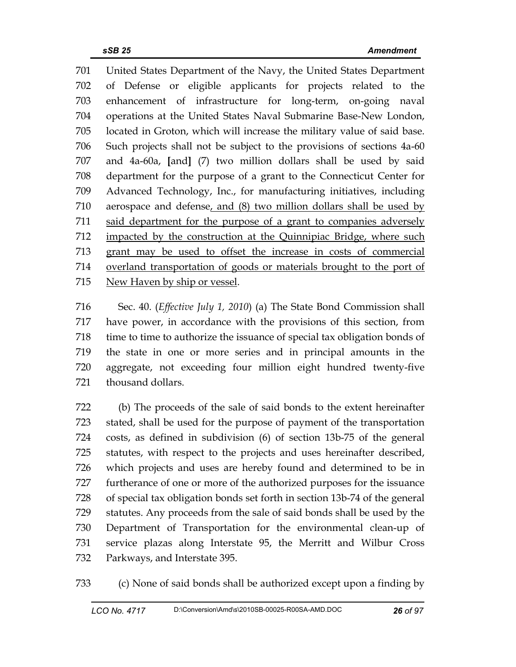701 United States Department of the Navy, the United States Department 702 of Defense or eligible applicants for projects related to the 703 enhancement of infrastructure for long-term, on-going naval 704 operations at the United States Naval Submarine Base-New London, 705 located in Groton, which will increase the military value of said base. 706 Such projects shall not be subject to the provisions of sections 4a-60 707 and 4a-60a, **[**and**]** (7) two million dollars shall be used by said 708 department for the purpose of a grant to the Connecticut Center for 709 Advanced Technology, Inc., for manufacturing initiatives, including 710 aerospace and defense, and (8) two million dollars shall be used by 711 said department for the purpose of a grant to companies adversely 712 impacted by the construction at the Quinnipiac Bridge, where such 713 grant may be used to offset the increase in costs of commercial 714 overland transportation of goods or materials brought to the port of 715 New Haven by ship or vessel.

716 Sec. 40. (*Effective July 1, 2010*) (a) The State Bond Commission shall 717 have power, in accordance with the provisions of this section, from 718 time to time to authorize the issuance of special tax obligation bonds of 719 the state in one or more series and in principal amounts in the 720 aggregate, not exceeding four million eight hundred twenty-five 721 thousand dollars.

722 (b) The proceeds of the sale of said bonds to the extent hereinafter 723 stated, shall be used for the purpose of payment of the transportation 724 costs, as defined in subdivision (6) of section 13b-75 of the general 725 statutes, with respect to the projects and uses hereinafter described, 726 which projects and uses are hereby found and determined to be in 727 furtherance of one or more of the authorized purposes for the issuance 728 of special tax obligation bonds set forth in section 13b-74 of the general 729 statutes. Any proceeds from the sale of said bonds shall be used by the 730 Department of Transportation for the environmental clean-up of 731 service plazas along Interstate 95, the Merritt and Wilbur Cross 732 Parkways, and Interstate 395.

733 (c) None of said bonds shall be authorized except upon a finding by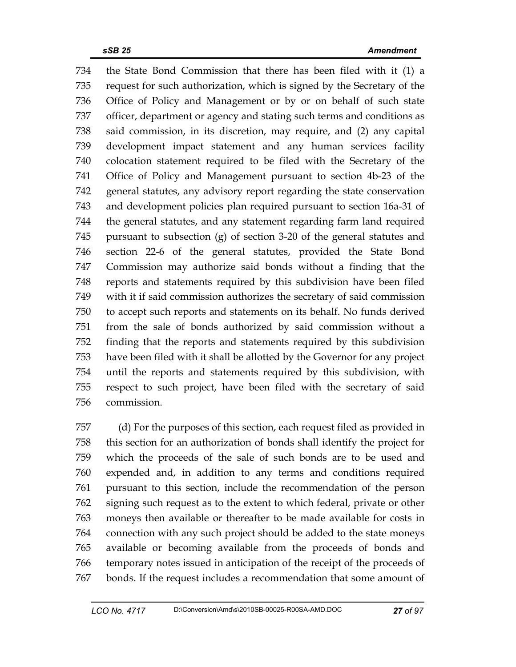734 the State Bond Commission that there has been filed with it (1) a 735 request for such authorization, which is signed by the Secretary of the 736 Office of Policy and Management or by or on behalf of such state 737 officer, department or agency and stating such terms and conditions as 738 said commission, in its discretion, may require, and (2) any capital 739 development impact statement and any human services facility 740 colocation statement required to be filed with the Secretary of the 741 Office of Policy and Management pursuant to section 4b-23 of the 742 general statutes, any advisory report regarding the state conservation 743 and development policies plan required pursuant to section 16a-31 of 744 the general statutes, and any statement regarding farm land required 745 pursuant to subsection (g) of section 3-20 of the general statutes and 746 section 22-6 of the general statutes, provided the State Bond 747 Commission may authorize said bonds without a finding that the 748 reports and statements required by this subdivision have been filed 749 with it if said commission authorizes the secretary of said commission 750 to accept such reports and statements on its behalf. No funds derived 751 from the sale of bonds authorized by said commission without a 752 finding that the reports and statements required by this subdivision 753 have been filed with it shall be allotted by the Governor for any project 754 until the reports and statements required by this subdivision, with 755 respect to such project, have been filed with the secretary of said 756 commission.

757 (d) For the purposes of this section, each request filed as provided in 758 this section for an authorization of bonds shall identify the project for 759 which the proceeds of the sale of such bonds are to be used and 760 expended and, in addition to any terms and conditions required 761 pursuant to this section, include the recommendation of the person 762 signing such request as to the extent to which federal, private or other 763 moneys then available or thereafter to be made available for costs in 764 connection with any such project should be added to the state moneys 765 available or becoming available from the proceeds of bonds and 766 temporary notes issued in anticipation of the receipt of the proceeds of 767 bonds. If the request includes a recommendation that some amount of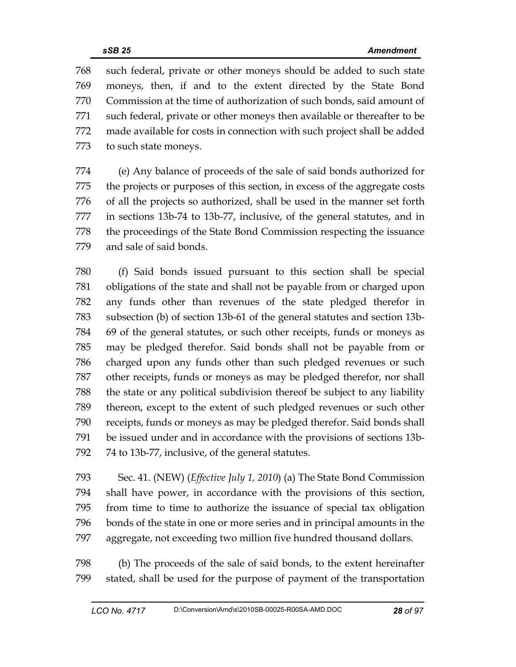768 such federal, private or other moneys should be added to such state 769 moneys, then, if and to the extent directed by the State Bond 770 Commission at the time of authorization of such bonds, said amount of 771 such federal, private or other moneys then available or thereafter to be 772 made available for costs in connection with such project shall be added 773 to such state moneys.

774 (e) Any balance of proceeds of the sale of said bonds authorized for 775 the projects or purposes of this section, in excess of the aggregate costs 776 of all the projects so authorized, shall be used in the manner set forth 777 in sections 13b-74 to 13b-77, inclusive, of the general statutes, and in 778 the proceedings of the State Bond Commission respecting the issuance 779 and sale of said bonds.

780 (f) Said bonds issued pursuant to this section shall be special 781 obligations of the state and shall not be payable from or charged upon 782 any funds other than revenues of the state pledged therefor in 783 subsection (b) of section 13b-61 of the general statutes and section 13b-784 69 of the general statutes, or such other receipts, funds or moneys as 785 may be pledged therefor. Said bonds shall not be payable from or 786 charged upon any funds other than such pledged revenues or such 787 other receipts, funds or moneys as may be pledged therefor, nor shall 788 the state or any political subdivision thereof be subject to any liability 789 thereon, except to the extent of such pledged revenues or such other 790 receipts, funds or moneys as may be pledged therefor. Said bonds shall 791 be issued under and in accordance with the provisions of sections 13b-792 74 to 13b-77, inclusive, of the general statutes.

793 Sec. 41. (NEW) (*Effective July 1, 2010*) (a) The State Bond Commission 794 shall have power, in accordance with the provisions of this section, 795 from time to time to authorize the issuance of special tax obligation 796 bonds of the state in one or more series and in principal amounts in the 797 aggregate, not exceeding two million five hundred thousand dollars.

798 (b) The proceeds of the sale of said bonds, to the extent hereinafter 799 stated, shall be used for the purpose of payment of the transportation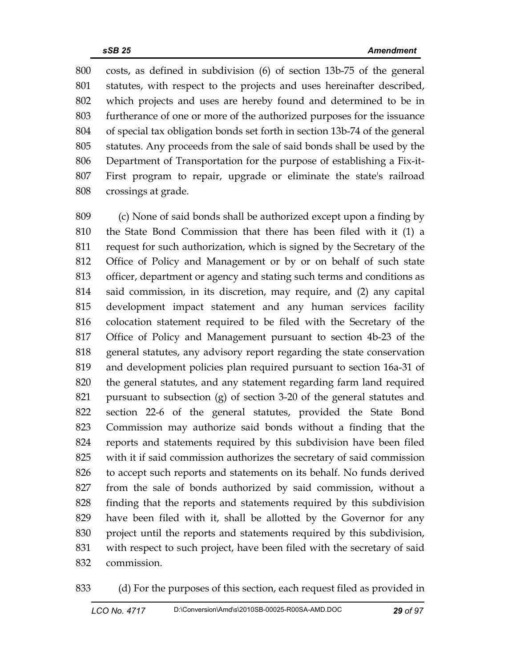800 costs, as defined in subdivision (6) of section 13b-75 of the general 801 statutes, with respect to the projects and uses hereinafter described, 802 which projects and uses are hereby found and determined to be in 803 furtherance of one or more of the authorized purposes for the issuance 804 of special tax obligation bonds set forth in section 13b-74 of the general 805 statutes. Any proceeds from the sale of said bonds shall be used by the 806 Department of Transportation for the purpose of establishing a Fix-it-807 First program to repair, upgrade or eliminate the state's railroad 808 crossings at grade.

809 (c) None of said bonds shall be authorized except upon a finding by 810 the State Bond Commission that there has been filed with it (1) a 811 request for such authorization, which is signed by the Secretary of the 812 Office of Policy and Management or by or on behalf of such state 813 officer, department or agency and stating such terms and conditions as 814 said commission, in its discretion, may require, and (2) any capital 815 development impact statement and any human services facility 816 colocation statement required to be filed with the Secretary of the 817 Office of Policy and Management pursuant to section 4b-23 of the 818 general statutes, any advisory report regarding the state conservation 819 and development policies plan required pursuant to section 16a-31 of 820 the general statutes, and any statement regarding farm land required 821 pursuant to subsection (g) of section 3-20 of the general statutes and 822 section 22-6 of the general statutes, provided the State Bond 823 Commission may authorize said bonds without a finding that the 824 reports and statements required by this subdivision have been filed 825 with it if said commission authorizes the secretary of said commission 826 to accept such reports and statements on its behalf. No funds derived 827 from the sale of bonds authorized by said commission, without a 828 finding that the reports and statements required by this subdivision 829 have been filed with it, shall be allotted by the Governor for any 830 project until the reports and statements required by this subdivision, 831 with respect to such project, have been filed with the secretary of said 832 commission.

833 (d) For the purposes of this section, each request filed as provided in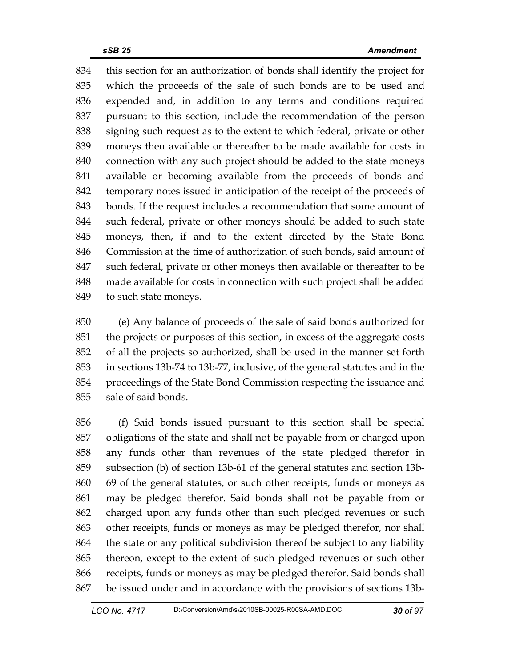834 this section for an authorization of bonds shall identify the project for 835 which the proceeds of the sale of such bonds are to be used and 836 expended and, in addition to any terms and conditions required 837 pursuant to this section, include the recommendation of the person 838 signing such request as to the extent to which federal, private or other 839 moneys then available or thereafter to be made available for costs in 840 connection with any such project should be added to the state moneys 841 available or becoming available from the proceeds of bonds and 842 temporary notes issued in anticipation of the receipt of the proceeds of 843 bonds. If the request includes a recommendation that some amount of 844 such federal, private or other moneys should be added to such state 845 moneys, then, if and to the extent directed by the State Bond 846 Commission at the time of authorization of such bonds, said amount of 847 such federal, private or other moneys then available or thereafter to be 848 made available for costs in connection with such project shall be added 849 to such state moneys.

850 (e) Any balance of proceeds of the sale of said bonds authorized for 851 the projects or purposes of this section, in excess of the aggregate costs 852 of all the projects so authorized, shall be used in the manner set forth 853 in sections 13b-74 to 13b-77, inclusive, of the general statutes and in the 854 proceedings of the State Bond Commission respecting the issuance and 855 sale of said bonds.

856 (f) Said bonds issued pursuant to this section shall be special 857 obligations of the state and shall not be payable from or charged upon 858 any funds other than revenues of the state pledged therefor in 859 subsection (b) of section 13b-61 of the general statutes and section 13b-860 69 of the general statutes, or such other receipts, funds or moneys as 861 may be pledged therefor. Said bonds shall not be payable from or 862 charged upon any funds other than such pledged revenues or such 863 other receipts, funds or moneys as may be pledged therefor, nor shall 864 the state or any political subdivision thereof be subject to any liability 865 thereon, except to the extent of such pledged revenues or such other 866 receipts, funds or moneys as may be pledged therefor. Said bonds shall 867 be issued under and in accordance with the provisions of sections 13b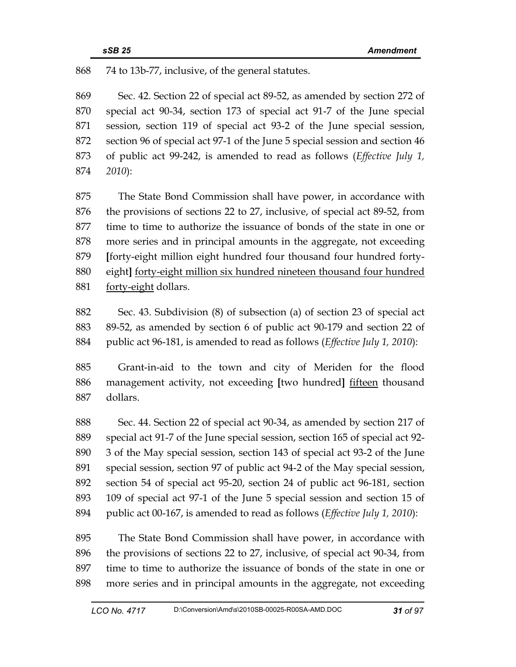868 74 to 13b-77, inclusive, of the general statutes.

869 Sec. 42. Section 22 of special act 89-52, as amended by section 272 of 870 special act 90-34, section 173 of special act 91-7 of the June special 871 session, section 119 of special act 93-2 of the June special session, 872 section 96 of special act 97-1 of the June 5 special session and section 46 873 of public act 99-242, is amended to read as follows (*Effective July 1,*  874 *2010*):

875 The State Bond Commission shall have power, in accordance with 876 the provisions of sections 22 to 27, inclusive, of special act 89-52, from 877 time to time to authorize the issuance of bonds of the state in one or 878 more series and in principal amounts in the aggregate, not exceeding 879 **[**forty-eight million eight hundred four thousand four hundred forty-880 eight**]** forty-eight million six hundred nineteen thousand four hundred 881 forty-eight dollars.

882 Sec. 43. Subdivision (8) of subsection (a) of section 23 of special act 883 89-52, as amended by section 6 of public act 90-179 and section 22 of 884 public act 96-181, is amended to read as follows (*Effective July 1, 2010*):

885 Grant-in-aid to the town and city of Meriden for the flood 886 management activity, not exceeding **[**two hundred**]** fifteen thousand 887 dollars.

888 Sec. 44. Section 22 of special act 90-34, as amended by section 217 of 889 special act 91-7 of the June special session, section 165 of special act 92- 890 3 of the May special session, section 143 of special act 93-2 of the June 891 special session, section 97 of public act 94-2 of the May special session, 892 section 54 of special act 95-20, section 24 of public act 96-181, section 893 109 of special act 97-1 of the June 5 special session and section 15 of 894 public act 00-167, is amended to read as follows (*Effective July 1, 2010*):

895 The State Bond Commission shall have power, in accordance with 896 the provisions of sections 22 to 27, inclusive, of special act 90-34, from 897 time to time to authorize the issuance of bonds of the state in one or 898 more series and in principal amounts in the aggregate, not exceeding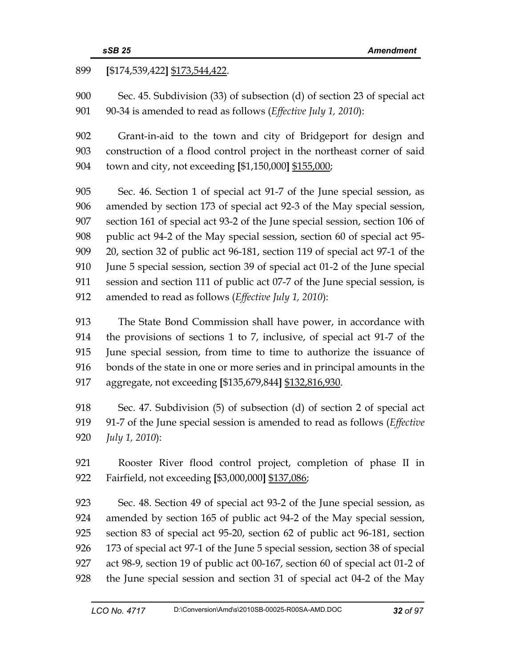## 899 **[**\$174,539,422**]** \$173,544,422.

900 Sec. 45. Subdivision (33) of subsection (d) of section 23 of special act 901 90-34 is amended to read as follows (*Effective July 1, 2010*):

902 Grant-in-aid to the town and city of Bridgeport for design and 903 construction of a flood control project in the northeast corner of said 904 town and city, not exceeding **[**\$1,150,000**]** \$155,000;

905 Sec. 46. Section 1 of special act 91-7 of the June special session, as 906 amended by section 173 of special act 92-3 of the May special session, 907 section 161 of special act 93-2 of the June special session, section 106 of 908 public act 94-2 of the May special session, section 60 of special act 95- 909 20, section 32 of public act 96-181, section 119 of special act 97-1 of the 910 June 5 special session, section 39 of special act 01-2 of the June special 911 session and section 111 of public act 07-7 of the June special session, is 912 amended to read as follows (*Effective July 1, 2010*):

913 The State Bond Commission shall have power, in accordance with 914 the provisions of sections 1 to 7, inclusive, of special act 91-7 of the 915 June special session, from time to time to authorize the issuance of 916 bonds of the state in one or more series and in principal amounts in the 917 aggregate, not exceeding **[**\$135,679,844**]** \$132,816,930.

918 Sec. 47. Subdivision (5) of subsection (d) of section 2 of special act 919 91-7 of the June special session is amended to read as follows (*Effective*  920 *July 1, 2010*):

921 Rooster River flood control project, completion of phase II in 922 Fairfield, not exceeding **[**\$3,000,000**]** \$137,086;

923 Sec. 48. Section 49 of special act 93-2 of the June special session, as 924 amended by section 165 of public act 94-2 of the May special session, 925 section 83 of special act 95-20, section 62 of public act 96-181, section 926 173 of special act 97-1 of the June 5 special session, section 38 of special 927 act 98-9, section 19 of public act 00-167, section 60 of special act 01-2 of 928 the June special session and section 31 of special act 04-2 of the May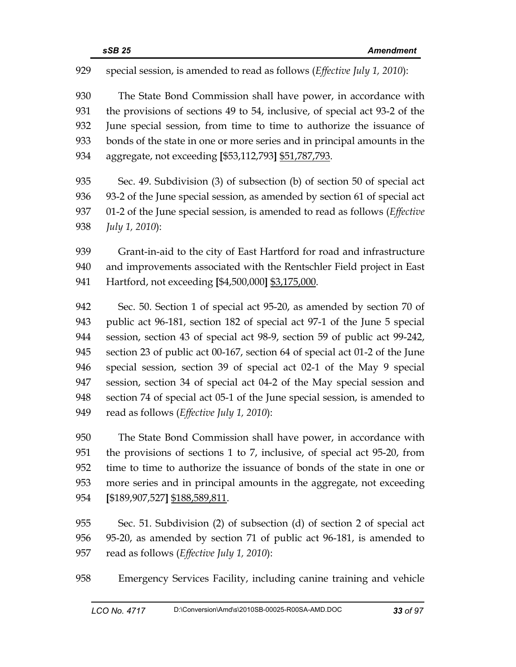929 special session, is amended to read as follows (*Effective July 1, 2010*):

930 The State Bond Commission shall have power, in accordance with 931 the provisions of sections 49 to 54, inclusive, of special act 93-2 of the 932 June special session, from time to time to authorize the issuance of 933 bonds of the state in one or more series and in principal amounts in the 934 aggregate, not exceeding **[**\$53,112,793**]** \$51,787,793.

935 Sec. 49. Subdivision (3) of subsection (b) of section 50 of special act 936 93-2 of the June special session, as amended by section 61 of special act 937 01-2 of the June special session, is amended to read as follows (*Effective*  938 *July 1, 2010*):

939 Grant-in-aid to the city of East Hartford for road and infrastructure 940 and improvements associated with the Rentschler Field project in East 941 Hartford, not exceeding **[**\$4,500,000**]** \$3,175,000.

942 Sec. 50. Section 1 of special act 95-20, as amended by section 70 of 943 public act 96-181, section 182 of special act 97-1 of the June 5 special 944 session, section 43 of special act 98-9, section 59 of public act 99-242, 945 section 23 of public act 00-167, section 64 of special act 01-2 of the June 946 special session, section 39 of special act 02-1 of the May 9 special 947 session, section 34 of special act 04-2 of the May special session and 948 section 74 of special act 05-1 of the June special session, is amended to 949 read as follows (*Effective July 1, 2010*):

950 The State Bond Commission shall have power, in accordance with 951 the provisions of sections 1 to 7, inclusive, of special act 95-20, from 952 time to time to authorize the issuance of bonds of the state in one or 953 more series and in principal amounts in the aggregate, not exceeding 954 **[**\$189,907,527**]** \$188,589,811.

955 Sec. 51. Subdivision (2) of subsection (d) of section 2 of special act 956 95-20, as amended by section 71 of public act 96-181, is amended to 957 read as follows (*Effective July 1, 2010*):

958 Emergency Services Facility, including canine training and vehicle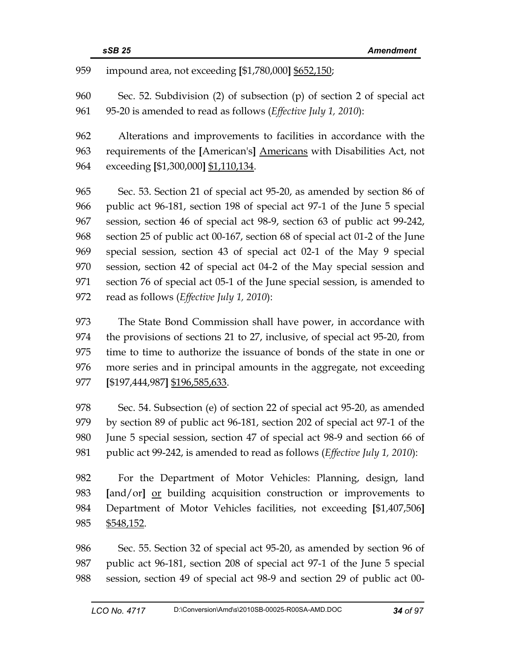959 impound area, not exceeding **[**\$1,780,000**]** \$652,150;

960 Sec. 52. Subdivision (2) of subsection (p) of section 2 of special act 961 95-20 is amended to read as follows (*Effective July 1, 2010*):

962 Alterations and improvements to facilities in accordance with the 963 requirements of the **[**American's**]** Americans with Disabilities Act, not 964 exceeding **[**\$1,300,000**]** \$1,110,134.

965 Sec. 53. Section 21 of special act 95-20, as amended by section 86 of 966 public act 96-181, section 198 of special act 97-1 of the June 5 special 967 session, section 46 of special act 98-9, section 63 of public act 99-242, 968 section 25 of public act 00-167, section 68 of special act 01-2 of the June 969 special session, section 43 of special act 02-1 of the May 9 special 970 session, section 42 of special act 04-2 of the May special session and 971 section 76 of special act 05-1 of the June special session, is amended to 972 read as follows (*Effective July 1, 2010*):

973 The State Bond Commission shall have power, in accordance with 974 the provisions of sections 21 to 27, inclusive, of special act 95-20, from 975 time to time to authorize the issuance of bonds of the state in one or 976 more series and in principal amounts in the aggregate, not exceeding 977 **[**\$197,444,987**]** \$196,585,633.

978 Sec. 54. Subsection (e) of section 22 of special act 95-20, as amended 979 by section 89 of public act 96-181, section 202 of special act 97-1 of the 980 June 5 special session, section 47 of special act 98-9 and section 66 of 981 public act 99-242, is amended to read as follows (*Effective July 1, 2010*):

982 For the Department of Motor Vehicles: Planning, design, land 983 **[**and/or**]** or building acquisition construction or improvements to 984 Department of Motor Vehicles facilities, not exceeding **[**\$1,407,506**]**  985 \$548,152.

986 Sec. 55. Section 32 of special act 95-20, as amended by section 96 of 987 public act 96-181, section 208 of special act 97-1 of the June 5 special 988 session, section 49 of special act 98-9 and section 29 of public act 00-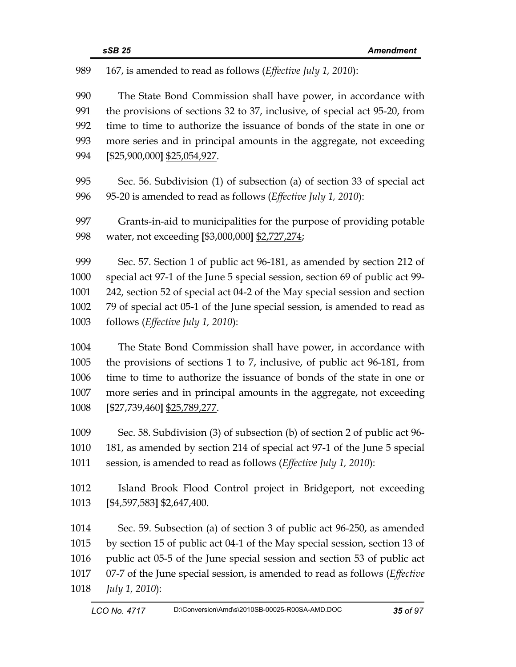| 989  | 167, is amended to read as follows (Effective July 1, 2010):                       |
|------|------------------------------------------------------------------------------------|
| 990  | The State Bond Commission shall have power, in accordance with                     |
| 991  | the provisions of sections 32 to 37, inclusive, of special act 95-20, from         |
| 992  | time to time to authorize the issuance of bonds of the state in one or             |
| 993  | more series and in principal amounts in the aggregate, not exceeding               |
| 994  | [\$25,900,000] \$25,054,927.                                                       |
| 995  | Sec. 56. Subdivision (1) of subsection (a) of section 33 of special act            |
| 996  | 95-20 is amended to read as follows ( <i>Effective July 1</i> , 2010):             |
| 997  | Grants-in-aid to municipalities for the purpose of providing potable               |
| 998  | water, not exceeding [\$3,000,000] \$2,727,274;                                    |
| 999  | Sec. 57. Section 1 of public act 96-181, as amended by section 212 of              |
| 1000 | special act 97-1 of the June 5 special session, section 69 of public act 99-       |
| 1001 | 242, section 52 of special act 04-2 of the May special session and section         |
| 1002 | 79 of special act 05-1 of the June special session, is amended to read as          |
| 1003 | follows (Effective July 1, 2010):                                                  |
| 1004 | The State Bond Commission shall have power, in accordance with                     |
| 1005 | the provisions of sections 1 to 7, inclusive, of public act 96-181, from           |
| 1006 | time to time to authorize the issuance of bonds of the state in one or             |
| 1007 | more series and in principal amounts in the aggregate, not exceeding               |
| 1008 | [\$27,739,460] <u>\$25,789,277</u> .                                               |
| 1009 | Sec. 58. Subdivision (3) of subsection (b) of section 2 of public act 96-          |
| 1010 | 181, as amended by section 214 of special act 97-1 of the June 5 special           |
| 1011 | session, is amended to read as follows (Effective July 1, 2010):                   |
| 1012 | Island Brook Flood Control project in Bridgeport, not exceeding                    |
| 1013 | $[$4,597,583]$ $$2,647,400$ .                                                      |
| 1014 | Sec. 59. Subsection (a) of section 3 of public act 96-250, as amended              |
| 1015 | by section 15 of public act 04-1 of the May special session, section 13 of         |
| 1016 | public act 05-5 of the June special session and section 53 of public act           |
| 1017 | 07-7 of the June special session, is amended to read as follows ( <i>Effective</i> |
| 1018 | July 1, 2010):                                                                     |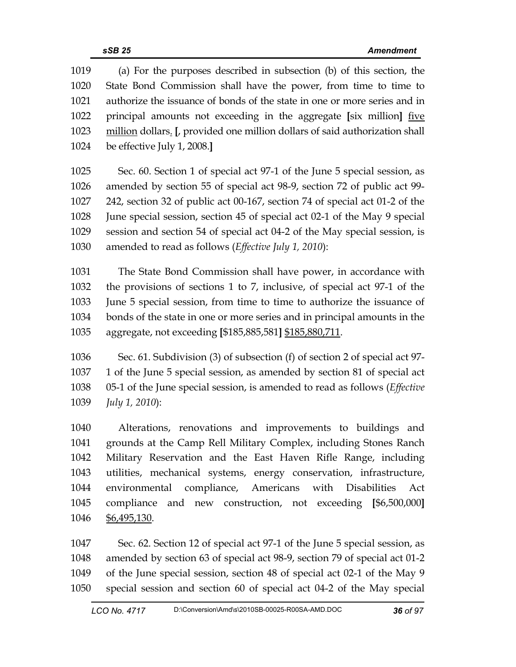| 1019 | (a) For the purposes described in subsection (b) of this section, the                               |
|------|-----------------------------------------------------------------------------------------------------|
| 1020 | State Bond Commission shall have the power, from time to time to                                    |
| 1021 | authorize the issuance of bonds of the state in one or more series and in                           |
| 1022 | principal amounts not exceeding in the aggregate [six million] five                                 |
| 1023 | million dollars. [, provided one million dollars of said authorization shall                        |
| 1024 | be effective July 1, 2008.]                                                                         |
|      |                                                                                                     |
| 1025 | Sec. 60. Section 1 of special act 97-1 of the June 5 special session, as                            |
| 1026 | amended by section 55 of special act 98-9, section 72 of public act 99-                             |
| 1027 | 242, section 32 of public act 00-167, section 74 of special act 01-2 of the                         |
| 1028 | June special session, section 45 of special act 02-1 of the May 9 special                           |
| 1029 | session and section 54 of special act 04-2 of the May special session, is                           |
| 1030 | amended to read as follows (Effective July 1, 2010):                                                |
| 1031 | The State Bond Commission shall have power, in accordance with                                      |
| 1032 | the provisions of sections 1 to 7, inclusive, of special act 97-1 of the                            |
| 1033 | June 5 special session, from time to time to authorize the issuance of                              |
| 1034 | bonds of the state in one or more series and in principal amounts in the                            |
| 1035 | aggregate, not exceeding [\$185,885,581] \$185,880,711.                                             |
|      |                                                                                                     |
| 1036 | Sec. 61. Subdivision (3) of subsection (f) of section 2 of special act 97-                          |
| 1037 | 1 of the June 5 special session, as amended by section 81 of special act                            |
| 1038 | 05-1 of the June special session, is amended to read as follows ( <i>Effective</i>                  |
| 1039 | July 1, 2010):                                                                                      |
| 1040 | Alterations, renovations and improvements to buildings and                                          |
| 1041 | grounds at the Camp Rell Military Complex, including Stones Ranch                                   |
| 1042 | Military Reservation and the East Haven Rifle Range, including                                      |
| 1043 | utilities, mechanical systems, energy conservation, infrastructure,                                 |
| 1044 | environmental compliance, Americans with Disabilities<br>Act                                        |
| 1045 | compliance and new construction, not exceeding [\$6,500,000]                                        |
| 1046 | \$6,495,130.                                                                                        |
|      |                                                                                                     |
| 1047 | Sec. 62. Section 12 of special act 97-1 of the June 5 special session, as                           |
| 1010 | $\frac{1}{2}$ of properties (2 of exercise est 08.0 explication $\frac{70}{2}$ of exercise est 01.2 |

1048 amended by section 63 of special act 98-9, section 79 of special act 01-2 1049 of the June special session, section 48 of special act 02-1 of the May 9 1050 special session and section 60 of special act 04-2 of the May special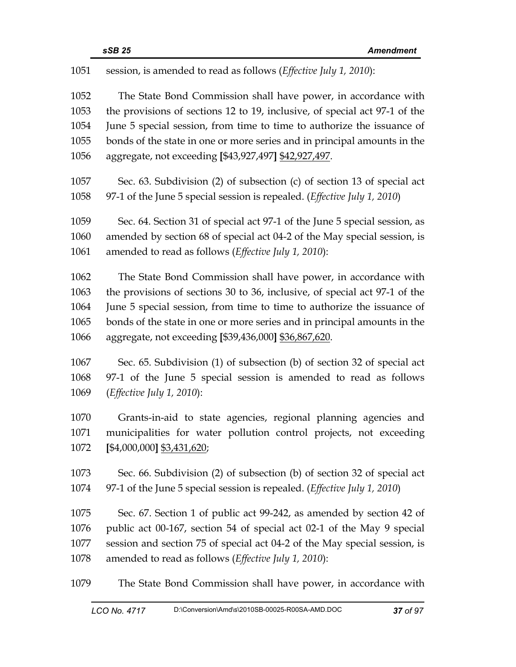| 1051                 | session, is amended to read as follows (Effective July 1, 2010):                                                                                                                                                       |
|----------------------|------------------------------------------------------------------------------------------------------------------------------------------------------------------------------------------------------------------------|
| 1052<br>1053<br>1054 | The State Bond Commission shall have power, in accordance with<br>the provisions of sections 12 to 19, inclusive, of special act 97-1 of the<br>June 5 special session, from time to time to authorize the issuance of |
|                      |                                                                                                                                                                                                                        |
| 1055                 | bonds of the state in one or more series and in principal amounts in the                                                                                                                                               |
| 1056                 | aggregate, not exceeding [\$43,927,497] \$42,927,497.                                                                                                                                                                  |
| 1057                 | Sec. 63. Subdivision (2) of subsection (c) of section 13 of special act                                                                                                                                                |
| 1058                 | 97-1 of the June 5 special session is repealed. ( <i>Effective July 1, 2010</i> )                                                                                                                                      |
| 1059                 | Sec. 64. Section 31 of special act 97-1 of the June 5 special session, as                                                                                                                                              |
| 1060                 | amended by section 68 of special act 04-2 of the May special session, is                                                                                                                                               |
| 1061                 | amended to read as follows ( <i>Effective July 1</i> , 2010):                                                                                                                                                          |
| 1062                 | The State Bond Commission shall have power, in accordance with                                                                                                                                                         |
| 1063                 | the provisions of sections 30 to 36, inclusive, of special act 97-1 of the                                                                                                                                             |
| 1064                 | June 5 special session, from time to time to authorize the issuance of                                                                                                                                                 |
| 1065                 | bonds of the state in one or more series and in principal amounts in the                                                                                                                                               |
| 1066                 | aggregate, not exceeding [\$39,436,000] \$36,867,620.                                                                                                                                                                  |
| 1067                 | Sec. 65. Subdivision (1) of subsection (b) of section 32 of special act                                                                                                                                                |
| 1068                 | 97-1 of the June 5 special session is amended to read as follows                                                                                                                                                       |
| 1069                 | ( <i>Effective July 1, 2010</i> ):                                                                                                                                                                                     |
| 1070                 | Grants-in-aid to state agencies, regional planning agencies and                                                                                                                                                        |
| 1071                 | municipalities for water pollution control projects, not exceeding                                                                                                                                                     |
| 1072                 | [\$4,000,000] \$3,431,620;                                                                                                                                                                                             |
| 1073                 | Sec. 66. Subdivision (2) of subsection (b) of section 32 of special act                                                                                                                                                |
| 1074                 | 97-1 of the June 5 special session is repealed. ( <i>Effective July 1, 2010</i> )                                                                                                                                      |
| 1075                 | Sec. 67. Section 1 of public act 99-242, as amended by section 42 of                                                                                                                                                   |
| 1076                 | public act 00-167, section 54 of special act 02-1 of the May 9 special                                                                                                                                                 |
| 1077                 | session and section 75 of special act 04-2 of the May special session, is                                                                                                                                              |
| 1078                 | amended to read as follows (Effective July 1, 2010):                                                                                                                                                                   |
| 1079                 | The State Bond Commission shall have power, in accordance with                                                                                                                                                         |
|                      | D:\Conversion\Amd\s\2010SB-00025-R00SA-AMD.DOC<br>$37$ of 97<br>$1 \cap \cap$ No. 4717                                                                                                                                 |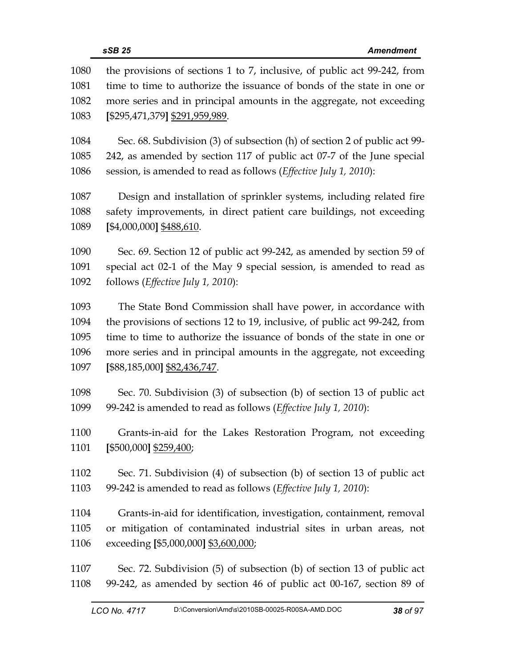| 1080<br>1081 | the provisions of sections 1 to 7, inclusive, of public act 99-242, from<br>time to time to authorize the issuance of bonds of the state in one or |
|--------------|----------------------------------------------------------------------------------------------------------------------------------------------------|
| 1082         | more series and in principal amounts in the aggregate, not exceeding                                                                               |
| 1083         | [\$295,471,379] \$291,959,989.                                                                                                                     |
| 1084         | Sec. 68. Subdivision (3) of subsection (h) of section 2 of public act 99-                                                                          |
| 1085         | 242, as amended by section 117 of public act 07-7 of the June special                                                                              |
| 1086         | session, is amended to read as follows (Effective July 1, 2010):                                                                                   |
| 1087         | Design and installation of sprinkler systems, including related fire                                                                               |
| 1088         | safety improvements, in direct patient care buildings, not exceeding                                                                               |
| 1089         | [\$4,000,000] \$488,610.                                                                                                                           |
| 1090         | Sec. 69. Section 12 of public act 99-242, as amended by section 59 of                                                                              |
| 1091         | special act 02-1 of the May 9 special session, is amended to read as                                                                               |
| 1092         | follows (Effective July 1, 2010):                                                                                                                  |
| 1093         | The State Bond Commission shall have power, in accordance with                                                                                     |
| 1094         | the provisions of sections 12 to 19, inclusive, of public act 99-242, from                                                                         |
| 1095         | time to time to authorize the issuance of bonds of the state in one or                                                                             |
| 1096         | more series and in principal amounts in the aggregate, not exceeding                                                                               |
| 1097         | [\$88,185,000] \$82,436,747.                                                                                                                       |
| 1098         | Sec. 70. Subdivision (3) of subsection (b) of section 13 of public act                                                                             |
| 1099         | 99-242 is amended to read as follows (Effective July 1, 2010):                                                                                     |
| 1100         | Grants-in-aid for the Lakes Restoration Program, not exceeding                                                                                     |
| 1101         | [\$500,000] \$259,400;                                                                                                                             |
| 1102         | Sec. 71. Subdivision (4) of subsection (b) of section 13 of public act                                                                             |
| 1103         | 99-242 is amended to read as follows ( <i>Effective July 1</i> , 2010):                                                                            |
| 1104         | Grants-in-aid for identification, investigation, containment, removal                                                                              |
| 1105         | or mitigation of contaminated industrial sites in urban areas, not                                                                                 |
| 1106         | exceeding [\$5,000,000] \$3,600,000;                                                                                                               |
| 1107         | Sec. 72. Subdivision (5) of subsection (b) of section 13 of public act                                                                             |
| 1108         | 99-242, as amended by section 46 of public act 00-167, section 89 of                                                                               |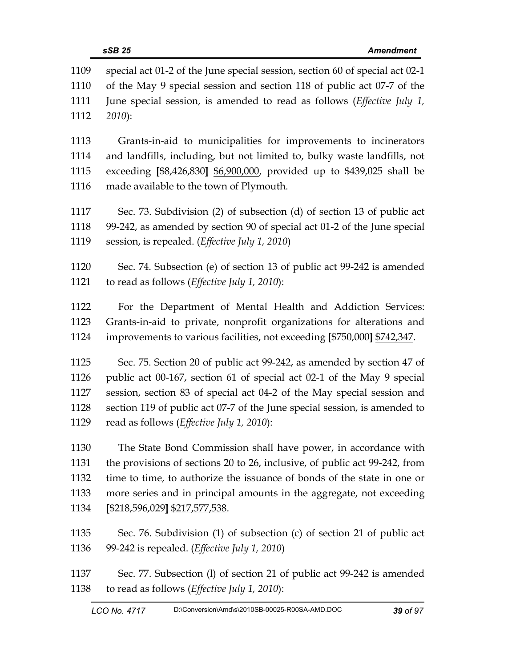| 1109 | special act 01-2 of the June special session, section 60 of special act 02-1 |
|------|------------------------------------------------------------------------------|
| 1110 | of the May 9 special session and section 118 of public act 07-7 of the       |
| 1111 | June special session, is amended to read as follows (Effective July 1,       |
| 1112 | 2010):                                                                       |
| 1113 | Grants-in-aid to municipalities for improvements to incinerators             |
| 1114 | and landfills, including, but not limited to, bulky waste landfills, not     |
| 1115 | exceeding [\$8,426,830] \$6,900,000, provided up to \$439,025 shall be       |
| 1116 | made available to the town of Plymouth.                                      |
| 1117 | Sec. 73. Subdivision (2) of subsection (d) of section 13 of public act       |
| 1118 | 99-242, as amended by section 90 of special act 01-2 of the June special     |
| 1119 | session, is repealed. ( <i>Effective July 1</i> , 2010)                      |
| 1120 | Sec. 74. Subsection (e) of section 13 of public act 99-242 is amended        |
| 1121 | to read as follows ( <i>Effective July 1</i> , 2010):                        |
| 1122 | For the Department of Mental Health and Addiction Services:                  |
| 1123 | Grants-in-aid to private, nonprofit organizations for alterations and        |
| 1124 | improvements to various facilities, not exceeding [\$750,000] \$742,347.     |
| 1125 | Sec. 75. Section 20 of public act 99-242, as amended by section 47 of        |
| 1126 | public act 00-167, section 61 of special act 02-1 of the May 9 special       |
| 1127 | session, section 83 of special act 04-2 of the May special session and       |
| 1128 | section 119 of public act 07-7 of the June special session, is amended to    |
| 1129 | read as follows (Effective July 1, 2010):                                    |
| 1130 | The State Bond Commission shall have power, in accordance with               |
| 1131 | the provisions of sections 20 to 26, inclusive, of public act 99-242, from   |
| 1132 | time to time, to authorize the issuance of bonds of the state in one or      |
| 1133 | more series and in principal amounts in the aggregate, not exceeding         |
| 1134 | $[$218,596,029]$ $$217,577,538$ .                                            |
| 1135 | Sec. 76. Subdivision (1) of subsection (c) of section 21 of public act       |
| 1136 | 99-242 is repealed. ( <i>Effective July 1</i> , 2010)                        |
| 1137 | Sec. 77. Subsection (1) of section 21 of public act 99-242 is amended        |

1138 to read as follows (*Effective July 1, 2010*):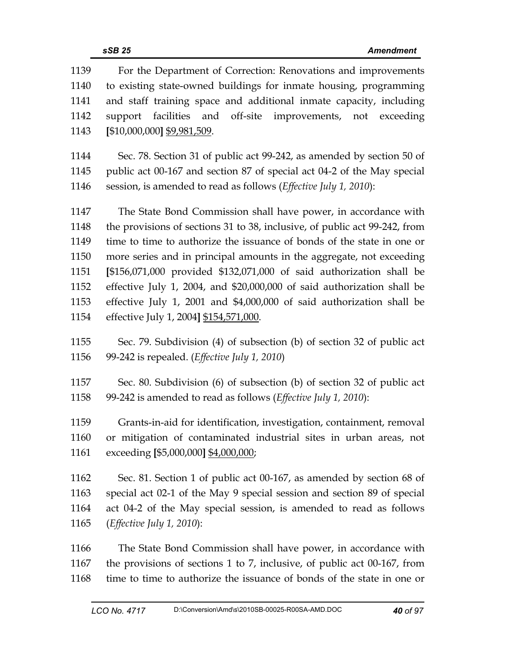| 1139 | For the Department of Correction: Renovations and improvements             |  |
|------|----------------------------------------------------------------------------|--|
| 1140 | to existing state-owned buildings for inmate housing, programming          |  |
| 1141 | and staff training space and additional inmate capacity, including         |  |
| 1142 | support facilities and off-site improvements, not exceeding                |  |
| 1143 | $[$10,000,000]$ \$9,981,509.                                               |  |
|      |                                                                            |  |
| 1144 | Sec. 78. Section 31 of public act 99-242, as amended by section 50 of      |  |
| 1145 | public act 00-167 and section 87 of special act 04-2 of the May special    |  |
| 1146 | session, is amended to read as follows (Effective July 1, 2010):           |  |
| 1147 | The State Bond Commission shall have power, in accordance with             |  |
| 1148 | the provisions of sections 31 to 38, inclusive, of public act 99-242, from |  |
| 1149 | time to time to authorize the issuance of bonds of the state in one or     |  |
| 1150 | more series and in principal amounts in the aggregate, not exceeding       |  |
| 1151 | [\$156,071,000 provided \$132,071,000 of said authorization shall be       |  |
| 1152 | effective July 1, 2004, and \$20,000,000 of said authorization shall be    |  |
| 1153 | effective July 1, 2001 and \$4,000,000 of said authorization shall be      |  |
| 1154 | effective July 1, 2004] \$154,571,000.                                     |  |
| 1155 |                                                                            |  |
| 1156 | Sec. 79. Subdivision (4) of subsection (b) of section 32 of public act     |  |
|      | 99-242 is repealed. ( <i>Effective July 1, 2010</i> )                      |  |
| 1157 | Sec. 80. Subdivision (6) of subsection (b) of section 32 of public act     |  |
| 1158 | 99-242 is amended to read as follows (Effective July 1, 2010):             |  |
|      |                                                                            |  |
| 1159 | Grants-in-aid for identification, investigation, containment, removal      |  |
| 1160 | or mitigation of contaminated industrial sites in urban areas, not         |  |
| 1161 | exceeding [\$5,000,000] \$4,000,000;                                       |  |
| 1162 | Sec. 81. Section 1 of public act 00-167, as amended by section 68 of       |  |
| 1163 | special act 02-1 of the May 9 special session and section 89 of special    |  |
| 1164 | act 04-2 of the May special session, is amended to read as follows         |  |
| 1165 | ( <i>Effective July 1, 2010</i> ):                                         |  |
|      |                                                                            |  |
| 1166 | The State Bond Commission shall have power, in accordance with             |  |
| 1167 | the provisions of sections 1 to 7, inclusive, of public act 00-167, from   |  |
| 1168 | time to time to authorize the issuance of bonds of the state in one or     |  |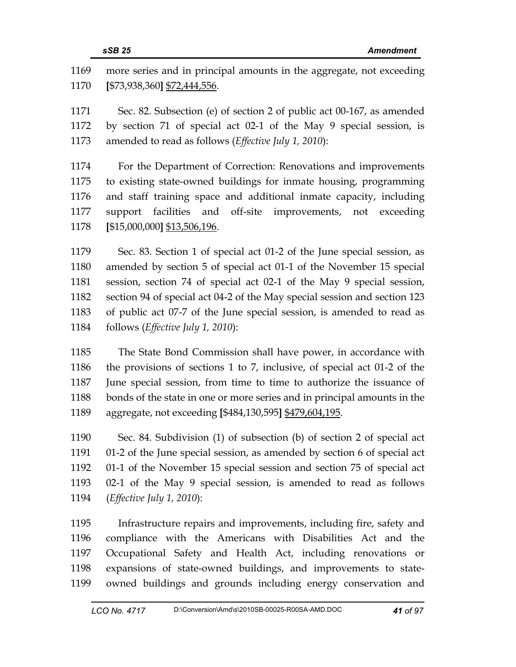| 1169 | more series and in principal amounts in the aggregate, not exceeding      |
|------|---------------------------------------------------------------------------|
| 1170 | [\$73,938,360] \$72,444,556.                                              |
| 1171 | Sec. 82. Subsection (e) of section 2 of public act 00-167, as amended     |
| 1172 | by section 71 of special act 02-1 of the May 9 special session, is        |
| 1173 | amended to read as follows (Effective July 1, 2010):                      |
| 1174 | For the Department of Correction: Renovations and improvements            |
| 1175 | to existing state-owned buildings for inmate housing, programming         |
| 1176 | and staff training space and additional inmate capacity, including        |
| 1177 | support facilities and off-site improvements, not exceeding               |
| 1178 | [\$15,000,000] \$13,506,196.                                              |
| 1179 | Sec. 83. Section 1 of special act 01-2 of the June special session, as    |
| 1180 | amended by section 5 of special act 01-1 of the November 15 special       |
| 1181 | session, section 74 of special act 02-1 of the May 9 special session,     |
| 1182 | section 94 of special act 04-2 of the May special session and section 123 |
| 1183 | of public act 07-7 of the June special session, is amended to read as     |
| 1184 | follows (Effective July 1, 2010):                                         |
| 1185 | The State Bond Commission shall have nower in accordance with             |

1185 The State Bond Commission shall have power, in accordance with 1186 the provisions of sections 1 to 7, inclusive, of special act 01-2 of the 1187 June special session, from time to time to authorize the issuance of 1188 bonds of the state in one or more series and in principal amounts in the 1189 aggregate, not exceeding **[**\$484,130,595**]** \$479,604,195.

1190 Sec. 84. Subdivision (1) of subsection (b) of section 2 of special act 1191 01-2 of the June special session, as amended by section 6 of special act 1192 01-1 of the November 15 special session and section 75 of special act 1193 02-1 of the May 9 special session, is amended to read as follows 1194 (*Effective July 1, 2010*):

1195 Infrastructure repairs and improvements, including fire, safety and 1196 compliance with the Americans with Disabilities Act and the 1197 Occupational Safety and Health Act, including renovations or 1198 expansions of state-owned buildings, and improvements to state-1199 owned buildings and grounds including energy conservation and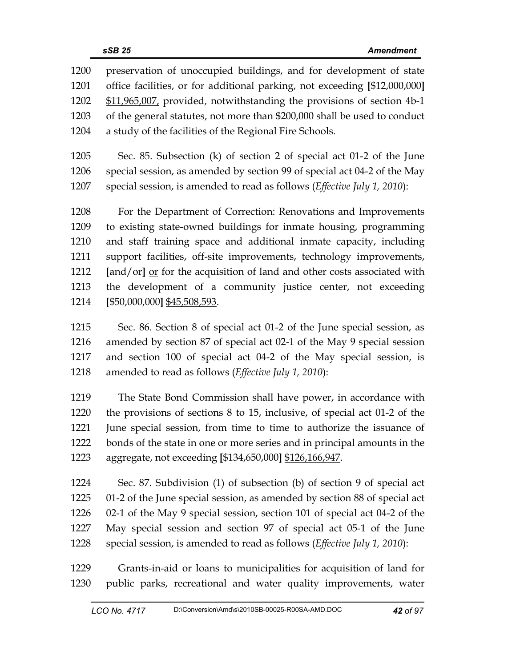1200 preservation of unoccupied buildings, and for development of state 1201 office facilities, or for additional parking, not exceeding **[**\$12,000,000**]** 1202 \$11,965,007, provided, notwithstanding the provisions of section 4b-1 1203 of the general statutes, not more than \$200,000 shall be used to conduct 1204 a study of the facilities of the Regional Fire Schools.

1205 Sec. 85. Subsection (k) of section 2 of special act 01-2 of the June 1206 special session, as amended by section 99 of special act 04-2 of the May 1207 special session, is amended to read as follows (*Effective July 1, 2010*):

1208 For the Department of Correction: Renovations and Improvements 1209 to existing state-owned buildings for inmate housing, programming 1210 and staff training space and additional inmate capacity, including 1211 support facilities, off-site improvements, technology improvements, 1212 **[and/or]** <u>or</u> for the acquisition of land and other costs associated with 1213 the development of a community justice center, not exceeding 1214 **[**\$50,000,000**]** \$45,508,593.

1215 Sec. 86. Section 8 of special act 01-2 of the June special session, as 1216 amended by section 87 of special act 02-1 of the May 9 special session 1217 and section 100 of special act 04-2 of the May special session, is 1218 amended to read as follows (*Effective July 1, 2010*):

1219 The State Bond Commission shall have power, in accordance with 1220 the provisions of sections 8 to 15, inclusive, of special act 01-2 of the 1221 June special session, from time to time to authorize the issuance of 1222 bonds of the state in one or more series and in principal amounts in the 1223 aggregate, not exceeding **[**\$134,650,000**]** \$126,166,947.

1224 Sec. 87. Subdivision (1) of subsection (b) of section 9 of special act 1225 01-2 of the June special session, as amended by section 88 of special act 1226 02-1 of the May 9 special session, section 101 of special act 04-2 of the 1227 May special session and section 97 of special act 05-1 of the June 1228 special session, is amended to read as follows (*Effective July 1, 2010*):

1229 Grants-in-aid or loans to municipalities for acquisition of land for 1230 public parks, recreational and water quality improvements, water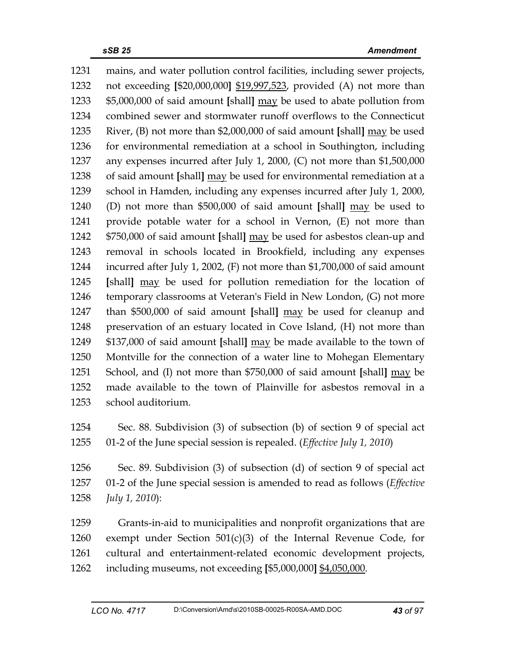1231 mains, and water pollution control facilities, including sewer projects, 1232 not exceeding **[**\$20,000,000**]** \$19,997,523, provided (A) not more than 1233 \$5,000,000 of said amount **[**shall**]** may be used to abate pollution from 1234 combined sewer and stormwater runoff overflows to the Connecticut 1235 River, (B) not more than \$2,000,000 of said amount **[**shall**]** may be used 1236 for environmental remediation at a school in Southington, including 1237 any expenses incurred after July 1, 2000, (C) not more than \$1,500,000 1238 of said amount **[**shall**]** may be used for environmental remediation at a 1239 school in Hamden, including any expenses incurred after July 1, 2000, 1240 (D) not more than \$500,000 of said amount **[**shall**]** may be used to 1241 provide potable water for a school in Vernon, (E) not more than 1242 \$750,000 of said amount **[**shall**]** may be used for asbestos clean-up and 1243 removal in schools located in Brookfield, including any expenses 1244 incurred after July 1, 2002, (F) not more than \$1,700,000 of said amount 1245 **[**shall**]** may be used for pollution remediation for the location of 1246 temporary classrooms at Veteran's Field in New London, (G) not more 1247 than \$500,000 of said amount **[**shall**]** may be used for cleanup and 1248 preservation of an estuary located in Cove Island, (H) not more than 1249 \$137,000 of said amount **[**shall**]** may be made available to the town of 1250 Montville for the connection of a water line to Mohegan Elementary 1251 School, and (I) not more than \$750,000 of said amount **[**shall**]** may be 1252 made available to the town of Plainville for asbestos removal in a 1253 school auditorium.

1254 Sec. 88. Subdivision (3) of subsection (b) of section 9 of special act 1255 01-2 of the June special session is repealed. (*Effective July 1, 2010*)

1256 Sec. 89. Subdivision (3) of subsection (d) of section 9 of special act 1257 01-2 of the June special session is amended to read as follows (*Effective*  1258 *July 1, 2010*):

1259 Grants-in-aid to municipalities and nonprofit organizations that are 1260 exempt under Section 501(c)(3) of the Internal Revenue Code, for 1261 cultural and entertainment-related economic development projects, 1262 including museums, not exceeding **[**\$5,000,000**]** \$4,050,000.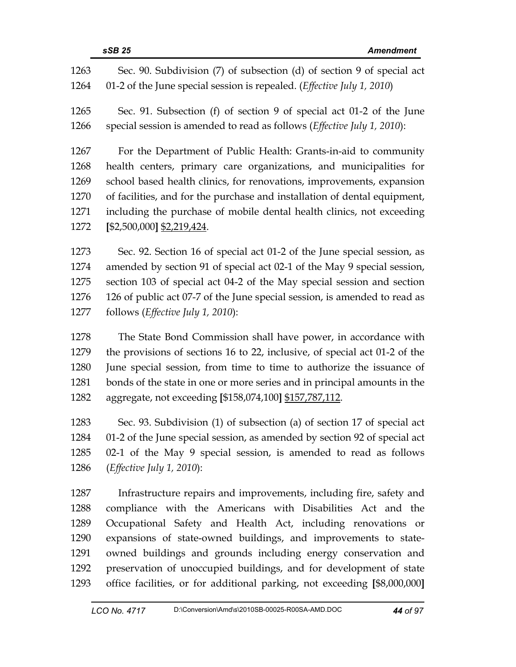| 1263 | Sec. 90. Subdivision (7) of subsection (d) of section 9 of special act          |
|------|---------------------------------------------------------------------------------|
| 1264 | 01-2 of the June special session is repealed. ( <i>Effective July 1, 2010</i> ) |
| 1265 | Sec. 91. Subsection (f) of section 9 of special act 01-2 of the June            |
| 1266 | special session is amended to read as follows (Effective July 1, 2010):         |
| 1267 | For the Department of Public Health: Grants-in-aid to community                 |
| 1268 | health centers, primary care organizations, and municipalities for              |
| 1269 | school based health clinics, for renovations, improvements, expansion           |
| 1270 | of facilities, and for the purchase and installation of dental equipment,       |
| 1271 | including the purchase of mobile dental health clinics, not exceeding           |
| 1272 | [\$2,500,000] \$2,219,424.                                                      |
| 1273 | Sec. 92. Section 16 of special act 01-2 of the June special session, as         |
| 1274 | amended by section 91 of special act 02-1 of the May 9 special session,         |
| 1275 | section 103 of special act 04-2 of the May special session and section          |
| 1276 | 126 of public act 07-7 of the June special session, is amended to read as       |
| 1277 | follows ( <i>Effective July 1, 2010</i> ):                                      |
| 1278 | The State Bond Commission shall have power, in accordance with                  |
| 1279 | the provisions of sections 16 to 22, inclusive, of special act 01-2 of the      |
| 1280 | June special session, from time to time to authorize the issuance of            |
| 1281 | bonds of the state in one or more series and in principal amounts in the        |
| 1282 | aggregate, not exceeding [\$158,074,100] \$157,787,112.                         |
| 1283 | Sec. 93. Subdivision (1) of subsection (a) of section 17 of special act         |
| 1284 | 01-2 of the June special session, as amended by section 92 of special act       |
| 1285 | 02-1 of the May 9 special session, is amended to read as follows                |
| 1286 | ( <i>Effective July 1, 2010</i> ):                                              |
| 1287 | Infrastructure repairs and improvements, including fire, safety and             |
| 1288 | compliance with the Americans with Disabilities Act and the                     |
| 1289 | Occupational Safety and Health Act, including renovations or                    |
| 1290 | expansions of state-owned buildings, and improvements to state-                 |
| 1291 | owned buildings and grounds including energy conservation and                   |

1292 preservation of unoccupied buildings, and for development of state 1293 office facilities, or for additional parking, not exceeding **[**\$8,000,000**]**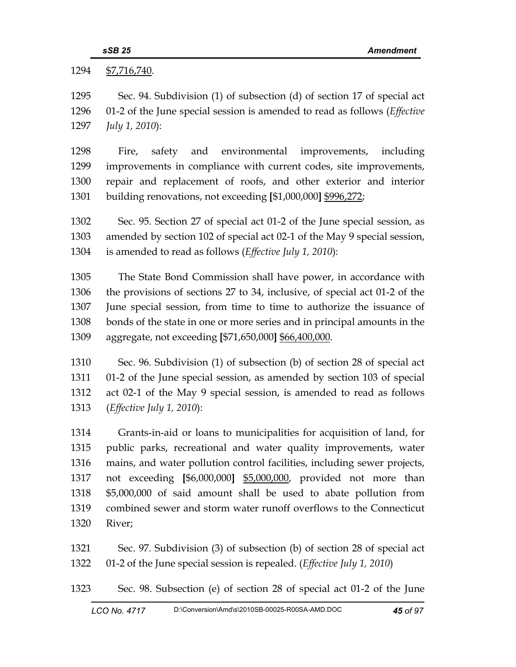1294 \$7,716,740.

| 1295 | Sec. 94. Subdivision (1) of subsection (d) of section 17 of special act           |  |
|------|-----------------------------------------------------------------------------------|--|
| 1296 | 01-2 of the June special session is amended to read as follows ( <i>Effective</i> |  |
| 1297 | July 1, 2010):                                                                    |  |
| 1298 | safety and environmental improvements, including<br>Fire,                         |  |
| 1299 | improvements in compliance with current codes, site improvements,                 |  |
| 1300 | repair and replacement of roofs, and other exterior and interior                  |  |
| 1301 | building renovations, not exceeding [\$1,000,000] \$996,272;                      |  |
| 1302 | Sec. 95. Section 27 of special act 01-2 of the June special session, as           |  |
| 1303 | amended by section 102 of special act 02-1 of the May 9 special session,          |  |
| 1304 | is amended to read as follows (Effective July 1, 2010):                           |  |
| 1305 | The State Bond Commission shall have power, in accordance with                    |  |
| 1306 | the provisions of sections 27 to 34, inclusive, of special act 01-2 of the        |  |
| 1307 | June special session, from time to time to authorize the issuance of              |  |
| 1308 | bonds of the state in one or more series and in principal amounts in the          |  |
| 1309 | aggregate, not exceeding [\$71,650,000] \$66,400,000.                             |  |
| 1310 | Sec. 96. Subdivision (1) of subsection (b) of section 28 of special act           |  |
| 1311 | 01-2 of the June special session, as amended by section 103 of special            |  |
| 1312 | act 02-1 of the May 9 special session, is amended to read as follows              |  |
| 1313 | (Effective July 1, 2010):                                                         |  |
| 1314 | Grants-in-aid or loans to municipalities for acquisition of land, for             |  |
| 1315 | public parks, recreational and water quality improvements, water                  |  |
| 1316 | mains, and water pollution control facilities, including sewer projects,          |  |
| 1317 | not exceeding [\$6,000,000] \$5,000,000, provided not more than                   |  |
| 1318 | \$5,000,000 of said amount shall be used to abate pollution from                  |  |
| 1319 | combined sewer and storm water runoff overflows to the Connecticut                |  |
| 1320 | River;                                                                            |  |

1321 Sec. 97. Subdivision (3) of subsection (b) of section 28 of special act 1322 01-2 of the June special session is repealed. (*Effective July 1, 2010*)

1323 Sec. 98. Subsection (e) of section 28 of special act 01-2 of the June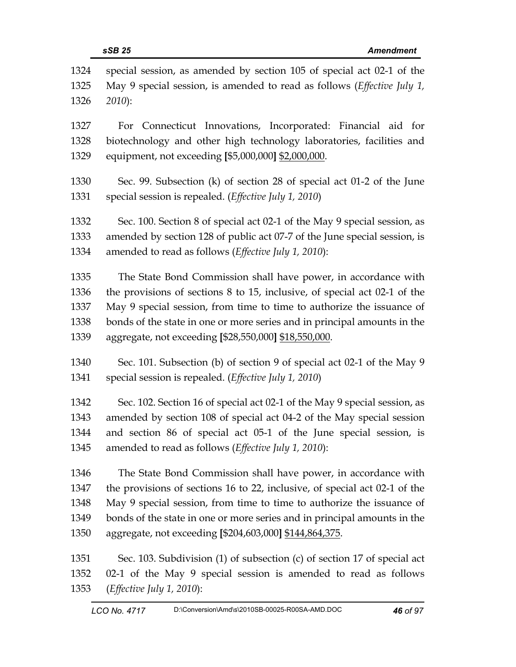| 1324<br>1325<br>1326 | special session, as amended by section 105 of special act 02-1 of the<br>May 9 special session, is amended to read as follows ( <i>Effective July 1</i> ,<br>$2010$ : |  |
|----------------------|-----------------------------------------------------------------------------------------------------------------------------------------------------------------------|--|
| 1327                 | Connecticut Innovations, Incorporated: Financial aid for<br>For                                                                                                       |  |
| 1328                 | biotechnology and other high technology laboratories, facilities and                                                                                                  |  |
| 1329                 | equipment, not exceeding [\$5,000,000] \$2,000,000.                                                                                                                   |  |
| 1330                 | Sec. 99. Subsection (k) of section 28 of special act 01-2 of the June                                                                                                 |  |
| 1331                 | special session is repealed. (Effective July 1, 2010)                                                                                                                 |  |
| 1332                 | Sec. 100. Section 8 of special act 02-1 of the May 9 special session, as                                                                                              |  |
| 1333                 | amended by section 128 of public act 07-7 of the June special session, is                                                                                             |  |
| 1334                 | amended to read as follows (Effective July 1, 2010):                                                                                                                  |  |
| 1335                 | The State Bond Commission shall have power, in accordance with                                                                                                        |  |
| 1336                 | the provisions of sections $8$ to 15, inclusive, of special act 02-1 of the                                                                                           |  |
| 1337                 | May 9 special session, from time to time to authorize the issuance of                                                                                                 |  |
| 1338                 | bonds of the state in one or more series and in principal amounts in the                                                                                              |  |
| 1339                 | aggregate, not exceeding [\$28,550,000] \$18,550,000.                                                                                                                 |  |
| 1340                 | Sec. 101. Subsection (b) of section 9 of special act 02-1 of the May 9                                                                                                |  |
| 1341                 | special session is repealed. (Effective July 1, 2010)                                                                                                                 |  |
| 1342                 | Sec. 102. Section 16 of special act 02-1 of the May 9 special session, as                                                                                             |  |
| 1343                 | amended by section 108 of special act 04-2 of the May special session                                                                                                 |  |
| 1344                 | and section 86 of special act 05-1 of the June special session, is                                                                                                    |  |
| 1345                 | amended to read as follows (Effective July 1, 2010):                                                                                                                  |  |
| 1346                 | The State Bond Commission shall have power, in accordance with                                                                                                        |  |
| 1347                 | the provisions of sections 16 to 22, inclusive, of special act 02-1 of the                                                                                            |  |
| 1348                 | May 9 special session, from time to time to authorize the issuance of                                                                                                 |  |
| 1349                 | bonds of the state in one or more series and in principal amounts in the                                                                                              |  |
| 1350                 | aggregate, not exceeding [\$204,603,000] \$144,864,375.                                                                                                               |  |
| 1351                 | Sec. 103. Subdivision (1) of subsection (c) of section 17 of special act                                                                                              |  |
| 1352                 | 02-1 of the May 9 special session is amended to read as follows                                                                                                       |  |
| 1353                 | ( <i>Effective July 1, 2010</i> ):                                                                                                                                    |  |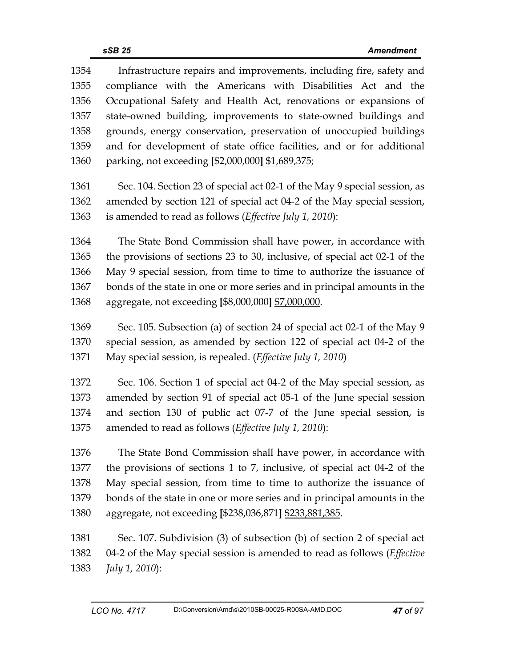1354 Infrastructure repairs and improvements, including fire, safety and 1355 compliance with the Americans with Disabilities Act and the 1356 Occupational Safety and Health Act, renovations or expansions of 1357 state-owned building, improvements to state-owned buildings and 1358 grounds, energy conservation, preservation of unoccupied buildings 1359 and for development of state office facilities, and or for additional 1360 parking, not exceeding **[**\$2,000,000**]** \$1,689,375;

1361 Sec. 104. Section 23 of special act 02-1 of the May 9 special session, as 1362 amended by section 121 of special act 04-2 of the May special session, 1363 is amended to read as follows (*Effective July 1, 2010*):

1364 The State Bond Commission shall have power, in accordance with 1365 the provisions of sections 23 to 30, inclusive, of special act 02-1 of the 1366 May 9 special session, from time to time to authorize the issuance of 1367 bonds of the state in one or more series and in principal amounts in the 1368 aggregate, not exceeding **[**\$8,000,000**]** \$7,000,000.

1369 Sec. 105. Subsection (a) of section 24 of special act 02-1 of the May 9 1370 special session, as amended by section 122 of special act 04-2 of the 1371 May special session, is repealed. (*Effective July 1, 2010*)

1372 Sec. 106. Section 1 of special act 04-2 of the May special session, as 1373 amended by section 91 of special act 05-1 of the June special session 1374 and section 130 of public act 07-7 of the June special session, is 1375 amended to read as follows (*Effective July 1, 2010*):

1376 The State Bond Commission shall have power, in accordance with 1377 the provisions of sections 1 to 7, inclusive, of special act 04-2 of the 1378 May special session, from time to time to authorize the issuance of 1379 bonds of the state in one or more series and in principal amounts in the 1380 aggregate, not exceeding **[**\$238,036,871**]** \$233,881,385.

1381 Sec. 107. Subdivision (3) of subsection (b) of section 2 of special act 1382 04-2 of the May special session is amended to read as follows (*Effective*  1383 *July 1, 2010*):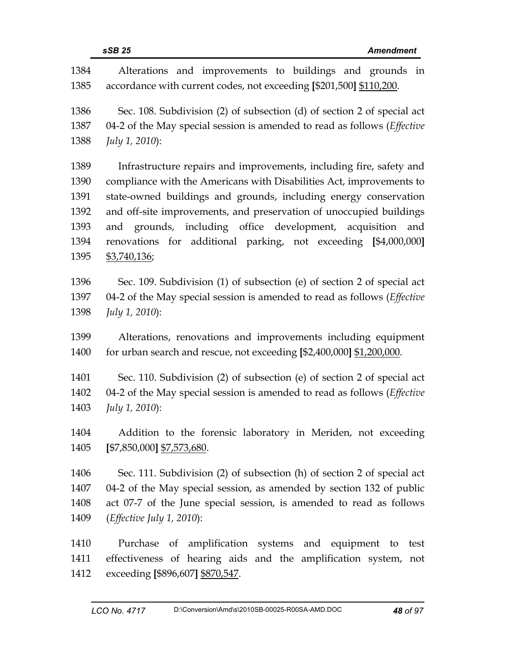| ٧ |  |
|---|--|
|   |  |

1384 Alterations and improvements to buildings and grounds in 1385 accordance with current codes, not exceeding **[**\$201,500**]** \$110,200. 1386 Sec. 108. Subdivision (2) of subsection (d) of section 2 of special act 1387 04-2 of the May special session is amended to read as follows (*Effective*  1388 *July 1, 2010*): 1389 Infrastructure repairs and improvements, including fire, safety and 1390 compliance with the Americans with Disabilities Act, improvements to 1391 state-owned buildings and grounds, including energy conservation 1392 and off-site improvements, and preservation of unoccupied buildings 1393 and grounds, including office development, acquisition and 1394 renovations for additional parking, not exceeding **[**\$4,000,000**]** 1395 \$3,740,136; 1396 Sec. 109. Subdivision (1) of subsection (e) of section 2 of special act 1397 04-2 of the May special session is amended to read as follows (*Effective*  1398 *July 1, 2010*): 1399 Alterations, renovations and improvements including equipment 1400 for urban search and rescue, not exceeding **[**\$2,400,000**]** \$1,200,000. 1401 Sec. 110. Subdivision (2) of subsection (e) of section 2 of special act 1402 04-2 of the May special session is amended to read as follows (*Effective*  1403 *July 1, 2010*): 1404 Addition to the forensic laboratory in Meriden, not exceeding 1405 **[**\$7,850,000**]** \$7,573,680. 1406 Sec. 111. Subdivision (2) of subsection (h) of section 2 of special act 1407 04-2 of the May special session, as amended by section 132 of public 1408 act 07-7 of the June special session, is amended to read as follows 1409 (*Effective July 1, 2010*): 1410 Purchase of amplification systems and equipment to test 1411 effectiveness of hearing aids and the amplification system, not 1412 exceeding **[**\$896,607**]** \$870,547.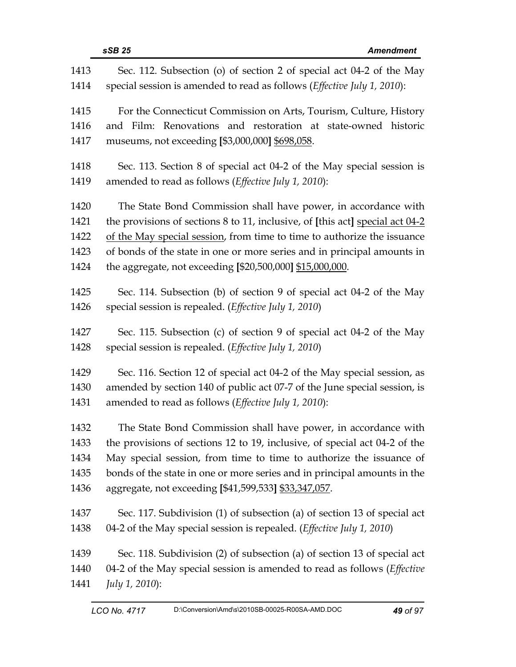| 1413 | Sec. 112. Subsection (o) of section 2 of special act 04-2 of the May             |  |
|------|----------------------------------------------------------------------------------|--|
| 1414 | special session is amended to read as follows (Effective July 1, 2010):          |  |
| 1415 | For the Connecticut Commission on Arts, Tourism, Culture, History                |  |
| 1416 | and Film: Renovations and restoration at state-owned historic                    |  |
| 1417 | museums, not exceeding [\$3,000,000] \$698,058.                                  |  |
| 1418 | Sec. 113. Section 8 of special act 04-2 of the May special session is            |  |
| 1419 | amended to read as follows (Effective July 1, 2010):                             |  |
| 1420 | The State Bond Commission shall have power, in accordance with                   |  |
| 1421 | the provisions of sections 8 to 11, inclusive, of [this act] special act 04-2    |  |
| 1422 | of the May special session, from time to time to authorize the issuance          |  |
| 1423 | of bonds of the state in one or more series and in principal amounts in          |  |
| 1424 | the aggregate, not exceeding [\$20,500,000] \$15,000,000.                        |  |
| 1425 | Sec. 114. Subsection (b) of section 9 of special act 04-2 of the May             |  |
| 1426 | special session is repealed. (Effective July 1, 2010)                            |  |
| 1427 | Sec. 115. Subsection (c) of section 9 of special act 04-2 of the May             |  |
| 1428 | special session is repealed. (Effective July 1, 2010)                            |  |
| 1429 | Sec. 116. Section 12 of special act 04-2 of the May special session, as          |  |
| 1430 | amended by section 140 of public act 07-7 of the June special session, is        |  |
| 1431 | amended to read as follows (Effective July 1, 2010):                             |  |
| 1432 | The State Bond Commission shall have power, in accordance with                   |  |
| 1433 | the provisions of sections 12 to 19, inclusive, of special act 04-2 of the       |  |
| 1434 | May special session, from time to time to authorize the issuance of              |  |
| 1435 | bonds of the state in one or more series and in principal amounts in the         |  |
| 1436 | aggregate, not exceeding [\$41,599,533] \$33,347,057.                            |  |
| 1437 | Sec. 117. Subdivision (1) of subsection (a) of section 13 of special act         |  |
| 1438 | 04-2 of the May special session is repealed. ( <i>Effective July 1, 2010</i> )   |  |
| 1439 | Sec. 118. Subdivision (2) of subsection (a) of section 13 of special act         |  |
| 1440 | 04-2 of the May special session is amended to read as follows ( <i>Effective</i> |  |
| 1441 | <i>July 1, 2010</i> ):                                                           |  |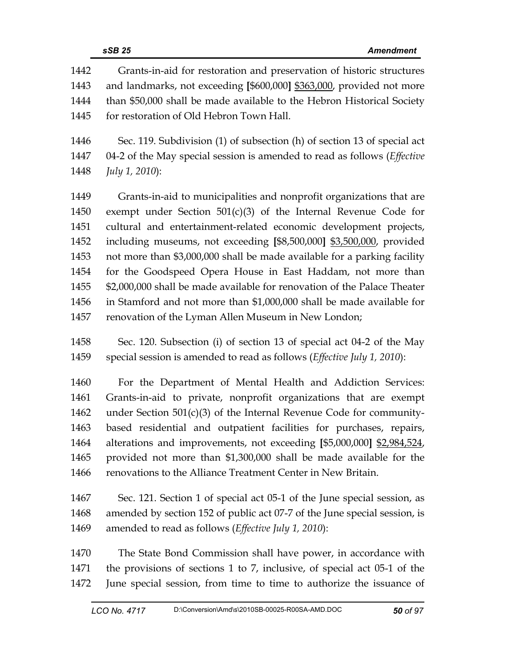| 1442 | Grants-in-aid for restoration and preservation of historic structures            |
|------|----------------------------------------------------------------------------------|
| 1443 | and landmarks, not exceeding [\$600,000] \$363,000, provided not more            |
| 1444 | than \$50,000 shall be made available to the Hebron Historical Society           |
| 1445 | for restoration of Old Hebron Town Hall.                                         |
|      |                                                                                  |
| 1446 | Sec. 119. Subdivision (1) of subsection (h) of section 13 of special act         |
| 1447 | 04-2 of the May special session is amended to read as follows ( <i>Effective</i> |
| 1448 | July 1, 2010):                                                                   |
| 1449 | Grants-in-aid to municipalities and nonprofit organizations that are             |
| 1450 | exempt under Section $501(c)(3)$ of the Internal Revenue Code for                |
| 1451 | cultural and entertainment-related economic development projects,                |
| 1452 | including museums, not exceeding [\$8,500,000] \$3,500,000, provided             |
| 1453 | not more than \$3,000,000 shall be made available for a parking facility         |
| 1454 | for the Goodspeed Opera House in East Haddam, not more than                      |
| 1455 | \$2,000,000 shall be made available for renovation of the Palace Theater         |
| 1456 | in Stamford and not more than \$1,000,000 shall be made available for            |
| 1457 | renovation of the Lyman Allen Museum in New London;                              |
| 1458 | Sec. 120. Subsection (i) of section 13 of special act 04-2 of the May            |
| 1459 | special session is amended to read as follows (Effective July 1, 2010):          |
|      |                                                                                  |
| 1460 | For the Department of Mental Health and Addiction Services:                      |
| 1461 | Grants-in-aid to private, nonprofit organizations that are exempt                |
| 1462 | under Section $501(c)(3)$ of the Internal Revenue Code for community-            |
| 1463 | based residential and outpatient facilities for purchases, repairs,              |
| 1464 | alterations and improvements, not exceeding [\$5,000,000] \$2,984,524,           |
| 1465 | provided not more than \$1,300,000 shall be made available for the               |

- 1466 renovations to the Alliance Treatment Center in New Britain.
- 1467 Sec. 121. Section 1 of special act 05-1 of the June special session, as 1468 amended by section 152 of public act 07-7 of the June special session, is 1469 amended to read as follows (*Effective July 1, 2010*):
- 1470 The State Bond Commission shall have power, in accordance with 1471 the provisions of sections 1 to 7, inclusive, of special act 05-1 of the 1472 June special session, from time to time to authorize the issuance of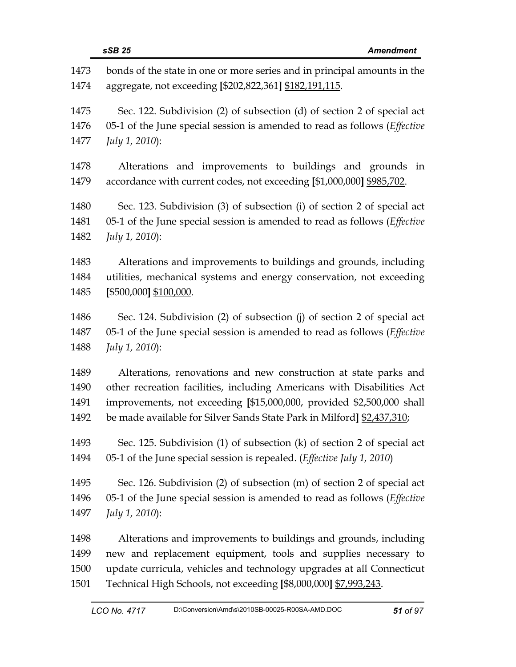|      | sSB 25<br><b>Amendment</b>                                                        |
|------|-----------------------------------------------------------------------------------|
| 1473 | bonds of the state in one or more series and in principal amounts in the          |
| 1474 | aggregate, not exceeding [\$202,822,361] \$182,191,115.                           |
| 1475 | Sec. 122. Subdivision (2) of subsection (d) of section 2 of special act           |
| 1476 | 05-1 of the June special session is amended to read as follows ( <i>Effective</i> |
| 1477 | July 1, 2010):                                                                    |
| 1478 | Alterations and improvements to buildings and grounds in                          |
| 1479 | accordance with current codes, not exceeding [\$1,000,000] \$985,702.             |
| 1480 | Sec. 123. Subdivision (3) of subsection (i) of section 2 of special act           |
| 1481 | 05-1 of the June special session is amended to read as follows ( <i>Effective</i> |
| 1482 | July 1, 2010):                                                                    |
| 1483 | Alterations and improvements to buildings and grounds, including                  |
| 1484 | utilities, mechanical systems and energy conservation, not exceeding              |
| 1485 | [\$500,000] \$100,000.                                                            |
| 1486 | Sec. 124. Subdivision (2) of subsection (j) of section 2 of special act           |
| 1487 | 05-1 of the June special session is amended to read as follows ( <i>Effective</i> |
| 1488 | July 1, 2010):                                                                    |
| 1489 | Alterations, renovations and new construction at state parks and                  |
| 1490 | other recreation facilities, including Americans with Disabilities Act            |
| 1491 | improvements, not exceeding [\$15,000,000, provided \$2,500,000 shall             |
| 1492 | be made available for Silver Sands State Park in Milford] \$2,437,310;            |
| 1493 | Sec. 125. Subdivision (1) of subsection (k) of section 2 of special act           |
| 1494 | 05-1 of the June special session is repealed. ( <i>Effective July 1, 2010</i> )   |
| 1495 | Sec. 126. Subdivision (2) of subsection (m) of section 2 of special act           |
| 1496 | 05-1 of the June special session is amended to read as follows (Effective         |
| 1497 | July 1, 2010):                                                                    |
| 1498 | Alterations and improvements to buildings and grounds, including                  |
| 1499 | new and replacement equipment, tools and supplies necessary to                    |
| 1500 | update curricula, vehicles and technology upgrades at all Connecticut             |
| 1501 | Technical High Schools, not exceeding [\$8,000,000] \$7,993,243.                  |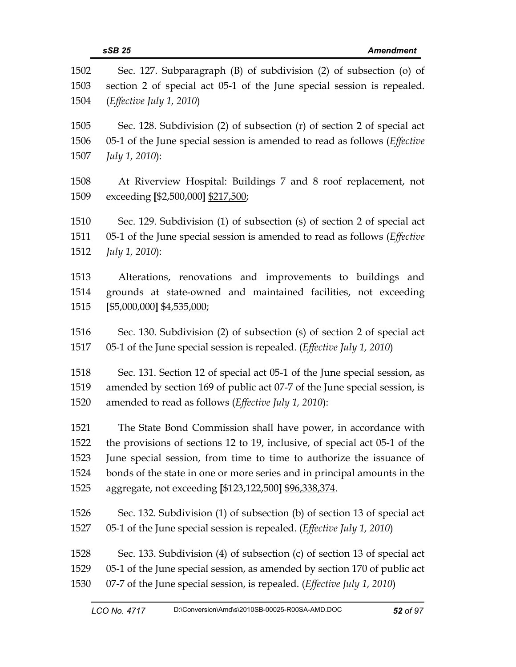|              | sSB 25<br><b>Amendment</b>                                                                                                                   |
|--------------|----------------------------------------------------------------------------------------------------------------------------------------------|
| 1502<br>1503 | Sec. 127. Subparagraph (B) of subdivision (2) of subsection (o) of<br>section 2 of special act 05-1 of the June special session is repealed. |
| 1504         | ( <i>Effective July 1, 2010</i> )                                                                                                            |
| 1505         | Sec. 128. Subdivision (2) of subsection (r) of section 2 of special act                                                                      |
| 1506<br>1507 | 05-1 of the June special session is amended to read as follows ( <i>Effective</i><br>July 1, 2010):                                          |
| 1508<br>1509 | At Riverview Hospital: Buildings 7 and 8 roof replacement, not<br>exceeding [\$2,500,000] \$217,500;                                         |
| 1510         | Sec. 129. Subdivision (1) of subsection (s) of section 2 of special act                                                                      |
| 1511         | 05-1 of the June special session is amended to read as follows ( <i>Effective</i>                                                            |
| 1512         | July 1, 2010):                                                                                                                               |
| 1513         | Alterations, renovations and improvements to buildings and                                                                                   |
| 1514         | grounds at state-owned and maintained facilities, not exceeding                                                                              |
| 1515         | $[$5,000,000]$ \$4,535,000;                                                                                                                  |
| 1516         | Sec. 130. Subdivision (2) of subsection (s) of section 2 of special act                                                                      |
| 1517         | 05-1 of the June special session is repealed. ( <i>Effective July 1</i> , 2010)                                                              |
| 1518         | Sec. 131. Section 12 of special act 05-1 of the June special session, as                                                                     |
| 1519         | amended by section 169 of public act 07-7 of the June special session, is                                                                    |
| 1520         | amended to read as follows (Effective July 1, 2010):                                                                                         |
| 1521         | The State Bond Commission shall have power, in accordance with                                                                               |
| 1522         | the provisions of sections 12 to 19, inclusive, of special act 05-1 of the                                                                   |
| 1523         | June special session, from time to time to authorize the issuance of                                                                         |
| 1524         | bonds of the state in one or more series and in principal amounts in the                                                                     |
| 1525         | aggregate, not exceeding [\$123,122,500] \$96,338,374.                                                                                       |
| 1526         | Sec. 132. Subdivision (1) of subsection (b) of section 13 of special act                                                                     |
| 1527         | 05-1 of the June special session is repealed. ( <i>Effective July 1, 2010</i> )                                                              |
| 1528         | Sec. 133. Subdivision (4) of subsection (c) of section 13 of special act                                                                     |
| 1529         | 05-1 of the June special session, as amended by section 170 of public act                                                                    |
| 1530         | 07-7 of the June special session, is repealed. (Effective July 1, 2010)                                                                      |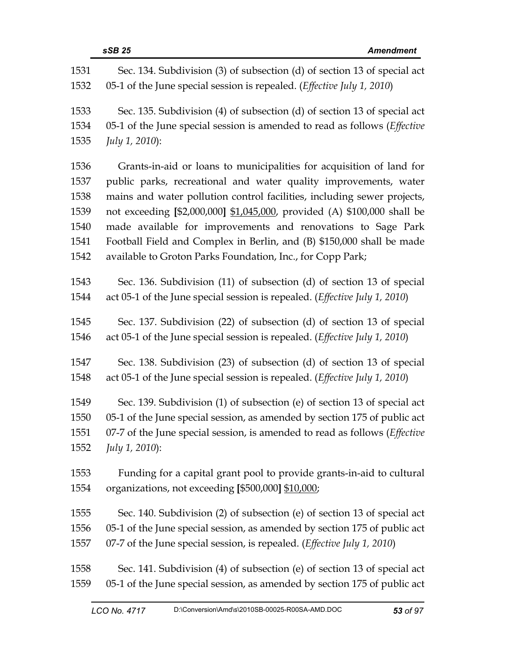|      | sSB 25<br><b>Amendment</b>                                                          |
|------|-------------------------------------------------------------------------------------|
| 1531 | Sec. 134. Subdivision (3) of subsection (d) of section 13 of special act            |
| 1532 | 05-1 of the June special session is repealed. ( <i>Effective July 1, 2010</i> )     |
| 1533 | Sec. 135. Subdivision (4) of subsection (d) of section 13 of special act            |
| 1534 | 05-1 of the June special session is amended to read as follows ( <i>Effective</i>   |
| 1535 | July 1, 2010):                                                                      |
| 1536 | Grants-in-aid or loans to municipalities for acquisition of land for                |
| 1537 | public parks, recreational and water quality improvements, water                    |
| 1538 | mains and water pollution control facilities, including sewer projects,             |
| 1539 | not exceeding [\$2,000,000] \$1,045,000, provided (A) \$100,000 shall be            |
| 1540 | made available for improvements and renovations to Sage Park                        |
| 1541 | Football Field and Complex in Berlin, and (B) \$150,000 shall be made               |
| 1542 | available to Groton Parks Foundation, Inc., for Copp Park;                          |
| 1543 | Sec. 136. Subdivision (11) of subsection (d) of section 13 of special               |
| 1544 | act 05-1 of the June special session is repealed. ( <i>Effective July 1</i> , 2010) |
| 1545 | Sec. 137. Subdivision (22) of subsection (d) of section 13 of special               |
| 1546 | act 05-1 of the June special session is repealed. ( <i>Effective July 1</i> , 2010) |
| 1547 | Sec. 138. Subdivision (23) of subsection (d) of section 13 of special               |
| 1548 | act 05-1 of the June special session is repealed. (Effective July 1, 2010)          |
| 1549 | Sec. 139. Subdivision (1) of subsection (e) of section 13 of special act            |
| 1550 | 05-1 of the June special session, as amended by section 175 of public act           |
| 1551 | 07-7 of the June special session, is amended to read as follows (Effective          |
| 1552 | July 1, 2010):                                                                      |
| 1553 | Funding for a capital grant pool to provide grants-in-aid to cultural               |
| 1554 | organizations, not exceeding [\$500,000] \$10,000;                                  |
| 1555 | Sec. 140. Subdivision (2) of subsection (e) of section 13 of special act            |
| 1556 | 05-1 of the June special session, as amended by section 175 of public act           |
| 1557 | 07-7 of the June special session, is repealed. ( <i>Effective July 1</i> , 2010)    |
| 1558 | Sec. 141. Subdivision (4) of subsection (e) of section 13 of special act            |
| 1559 | 05-1 of the June special session, as amended by section 175 of public act           |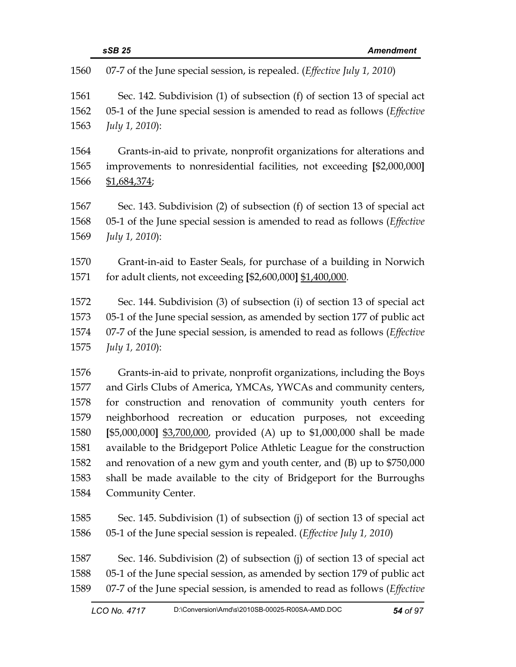| 1560 | 07-7 of the June special session, is repealed. ( <i>Effective July 1</i> , 2010)  |
|------|-----------------------------------------------------------------------------------|
| 1561 | Sec. 142. Subdivision (1) of subsection (f) of section 13 of special act          |
| 1562 | 05-1 of the June special session is amended to read as follows ( <i>Effective</i> |
| 1563 | July 1, 2010):                                                                    |
| 1564 | Grants-in-aid to private, nonprofit organizations for alterations and             |
| 1565 | improvements to nonresidential facilities, not exceeding [\$2,000,000]            |
| 1566 | \$1,684,374;                                                                      |
| 1567 | Sec. 143. Subdivision (2) of subsection (f) of section 13 of special act          |
| 1568 | 05-1 of the June special session is amended to read as follows (Effective         |
| 1569 | July 1, 2010):                                                                    |
| 1570 | Grant-in-aid to Easter Seals, for purchase of a building in Norwich               |
| 1571 | for adult clients, not exceeding [\$2,600,000] \$1,400,000.                       |
| 1572 | Sec. 144. Subdivision (3) of subsection (i) of section 13 of special act          |
| 1573 | 05-1 of the June special session, as amended by section 177 of public act         |
| 1574 | 07-7 of the June special session, is amended to read as follows (Effective        |
| 1575 | July 1, 2010):                                                                    |
| 1576 | Grants-in-aid to private, nonprofit organizations, including the Boys             |
| 1577 | and Girls Clubs of America, YMCAs, YWCAs and community centers,                   |
| 1578 | for construction and renovation of community youth centers for                    |
| 1579 | neighborhood recreation or education purposes, not exceeding                      |
| 1580 | [\$5,000,000] \$3,700,000, provided (A) up to \$1,000,000 shall be made           |
| 1581 | available to the Bridgeport Police Athletic League for the construction           |
| 1582 | and renovation of a new gym and youth center, and (B) up to \$750,000             |
| 1583 | shall be made available to the city of Bridgeport for the Burroughs               |
| 1584 | Community Center.                                                                 |
| 1585 | Sec. 145. Subdivision (1) of subsection (j) of section 13 of special act          |
| 1586 | 05-1 of the June special session is repealed. ( <i>Effective July 1, 2010</i> )   |
| 1587 | Sec. 146. Subdivision (2) of subsection (j) of section 13 of special act          |
| 1588 | 05-1 of the June special session, as amended by section 179 of public act         |
| 1589 | 07-7 of the June special session, is amended to read as follows (Effective        |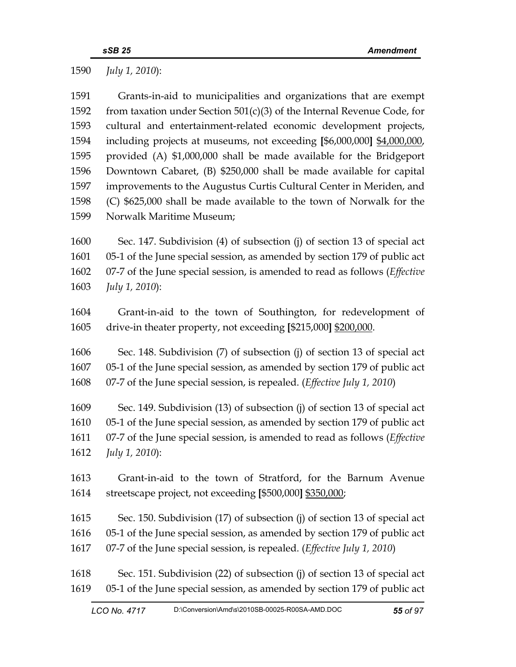1590 *July 1, 2010*):

| 1591 | Grants-in-aid to municipalities and organizations that are exempt                  |
|------|------------------------------------------------------------------------------------|
| 1592 | from taxation under Section $501(c)(3)$ of the Internal Revenue Code, for          |
| 1593 | cultural and entertainment-related economic development projects,                  |
| 1594 | including projects at museums, not exceeding [\$6,000,000] \$4,000,000,            |
| 1595 | provided (A) \$1,000,000 shall be made available for the Bridgeport                |
| 1596 | Downtown Cabaret, (B) \$250,000 shall be made available for capital                |
| 1597 | improvements to the Augustus Curtis Cultural Center in Meriden, and                |
| 1598 | (C) \$625,000 shall be made available to the town of Norwalk for the               |
| 1599 | Norwalk Maritime Museum;                                                           |
| 1600 | Sec. 147. Subdivision (4) of subsection (j) of section 13 of special act           |
| 1601 | 05-1 of the June special session, as amended by section 179 of public act          |
| 1602 | 07-7 of the June special session, is amended to read as follows ( <i>Effective</i> |
| 1603 | July 1, 2010):                                                                     |
| 1604 | Grant-in-aid to the town of Southington, for redevelopment of                      |
| 1605 | drive-in theater property, not exceeding [\$215,000] \$200,000.                    |
| 1606 | Sec. 148. Subdivision (7) of subsection (j) of section 13 of special act           |
| 1607 | 05-1 of the June special session, as amended by section 179 of public act          |
| 1608 | 07-7 of the June special session, is repealed. (Effective July 1, 2010)            |
| 1609 | Sec. 149. Subdivision (13) of subsection (j) of section 13 of special act          |
| 1610 | 05-1 of the June special session, as amended by section 179 of public act          |
| 1611 | 07-7 of the June special session, is amended to read as follows (Effective         |
| 1612 | July 1, 2010):                                                                     |
| 1613 | Grant-in-aid to the town of Stratford, for the Barnum Avenue                       |
| 1614 | streetscape project, not exceeding [\$500,000] \$350,000;                          |
| 1615 | Sec. 150. Subdivision (17) of subsection (j) of section 13 of special act          |
| 1616 | 05-1 of the June special session, as amended by section 179 of public act          |
| 1617 | 07-7 of the June special session, is repealed. (Effective July 1, 2010)            |
| 1618 | Sec. 151. Subdivision (22) of subsection (j) of section 13 of special act          |
| 1619 | 05-1 of the June special session, as amended by section 179 of public act          |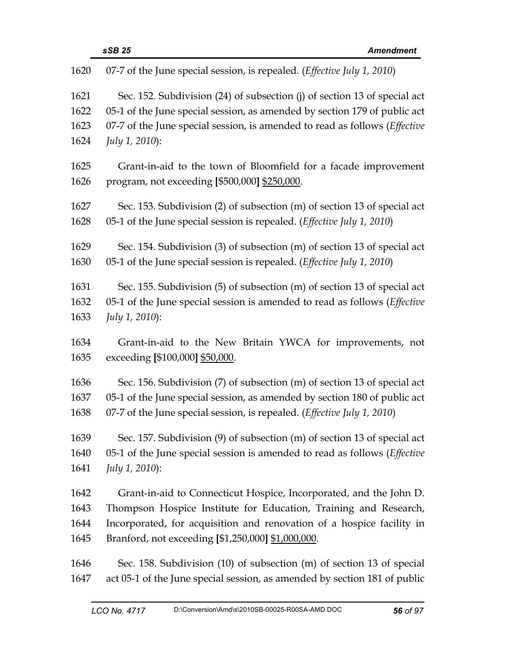| 1620                 | 07-7 of the June special session, is repealed. ( <i>Effective July 1</i> , 2010)                                                                                                                                                             |
|----------------------|----------------------------------------------------------------------------------------------------------------------------------------------------------------------------------------------------------------------------------------------|
| 1621<br>1622<br>1623 | Sec. 152. Subdivision (24) of subsection (j) of section 13 of special act<br>05-1 of the June special session, as amended by section 179 of public act<br>07-7 of the June special session, is amended to read as follows ( <i>Effective</i> |
| 1624                 | July 1, 2010):                                                                                                                                                                                                                               |
| 1625<br>1626         | Grant-in-aid to the town of Bloomfield for a facade improvement<br>program, not exceeding [\$500,000] \$250,000.                                                                                                                             |
| 1627<br>1628         | Sec. 153. Subdivision (2) of subsection (m) of section 13 of special act<br>05-1 of the June special session is repealed. (Effective July 1, 2010)                                                                                           |
| 1629<br>1630         | Sec. 154. Subdivision (3) of subsection (m) of section 13 of special act<br>05-1 of the June special session is repealed. (Effective July 1, 2010)                                                                                           |
| 1631<br>1632<br>1633 | Sec. 155. Subdivision (5) of subsection (m) of section 13 of special act<br>05-1 of the June special session is amended to read as follows ( <i>Effective</i><br>July 1, 2010):                                                              |
| 1634<br>1635         | Grant-in-aid to the New Britain YWCA for improvements, not<br>exceeding [\$100,000] \$50,000.                                                                                                                                                |
| 1636<br>1637<br>1638 | Sec. 156. Subdivision (7) of subsection (m) of section 13 of special act<br>05-1 of the June special session, as amended by section 180 of public act<br>07-7 of the June special session, is repealed. ( <i>Effective July 1</i> , 2010)    |
| 1639                 | Sec. 157. Subdivision (9) of subsection (m) of section 13 of special act                                                                                                                                                                     |
| 1640<br>1641         | 05-1 of the June special session is amended to read as follows (Effective<br>July 1, 2010):                                                                                                                                                  |
| 1642                 | Grant-in-aid to Connecticut Hospice, Incorporated, and the John D.                                                                                                                                                                           |
| 1643                 | Thompson Hospice Institute for Education, Training and Research,                                                                                                                                                                             |
| 1644                 | Incorporated, for acquisition and renovation of a hospice facility in                                                                                                                                                                        |
| 1645                 | Branford, not exceeding [\$1,250,000] \$1,000,000.                                                                                                                                                                                           |
| 1646                 | Sec. 158. Subdivision (10) of subsection (m) of section 13 of special                                                                                                                                                                        |
| 1647                 | act 05-1 of the June special session, as amended by section 181 of public                                                                                                                                                                    |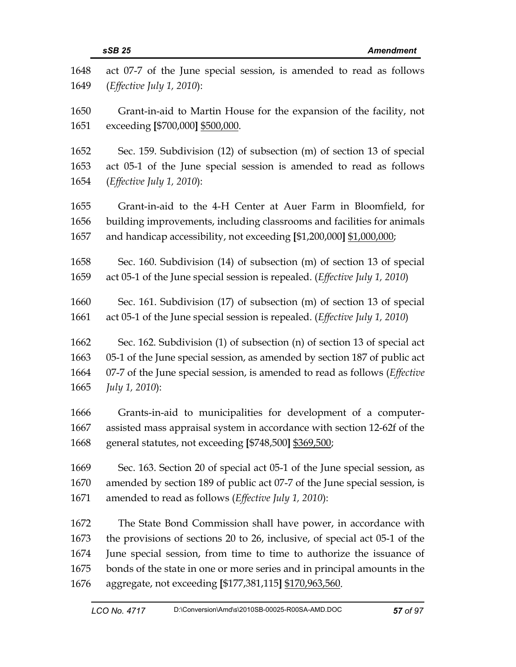| 1648 | act 07-7 of the June special session, is amended to read as follows        |
|------|----------------------------------------------------------------------------|
| 1649 | (Effective July 1, 2010):                                                  |
| 1650 | Grant-in-aid to Martin House for the expansion of the facility, not        |
| 1651 | exceeding [\$700,000] \$500,000.                                           |
| 1652 | Sec. 159. Subdivision (12) of subsection (m) of section 13 of special      |
| 1653 | act 05-1 of the June special session is amended to read as follows         |
| 1654 | (Effective July 1, 2010):                                                  |
| 1655 | Grant-in-aid to the 4-H Center at Auer Farm in Bloomfield, for             |
| 1656 | building improvements, including classrooms and facilities for animals     |
| 1657 | and handicap accessibility, not exceeding [\$1,200,000] \$1,000,000;       |
| 1658 | Sec. 160. Subdivision (14) of subsection (m) of section 13 of special      |
| 1659 | act 05-1 of the June special session is repealed. (Effective July 1, 2010) |
| 1660 | Sec. 161. Subdivision (17) of subsection (m) of section 13 of special      |
| 1661 | act 05-1 of the June special session is repealed. (Effective July 1, 2010) |
| 1662 | Sec. 162. Subdivision (1) of subsection (n) of section 13 of special act   |
| 1663 | 05-1 of the June special session, as amended by section 187 of public act  |
| 1664 | 07-7 of the June special session, is amended to read as follows (Effective |
| 1665 | July 1, 2010):                                                             |
| 1666 | Grants-in-aid to municipalities for development of a computer-             |
| 1667 | assisted mass appraisal system in accordance with section 12-62f of the    |
| 1668 | general statutes, not exceeding [\$748,500] \$369,500;                     |
| 1669 | Sec. 163. Section 20 of special act 05-1 of the June special session, as   |
| 1670 | amended by section 189 of public act 07-7 of the June special session, is  |
| 1671 | amended to read as follows ( <i>Effective July 1</i> , 2010):              |
| 1672 | The State Bond Commission shall have power, in accordance with             |
| 1673 | the provisions of sections 20 to 26, inclusive, of special act 05-1 of the |
| 1674 | June special session, from time to time to authorize the issuance of       |
| 1675 | bonds of the state in one or more series and in principal amounts in the   |
| 1676 | aggregate, not exceeding [\$177,381,115] \$170,963,560.                    |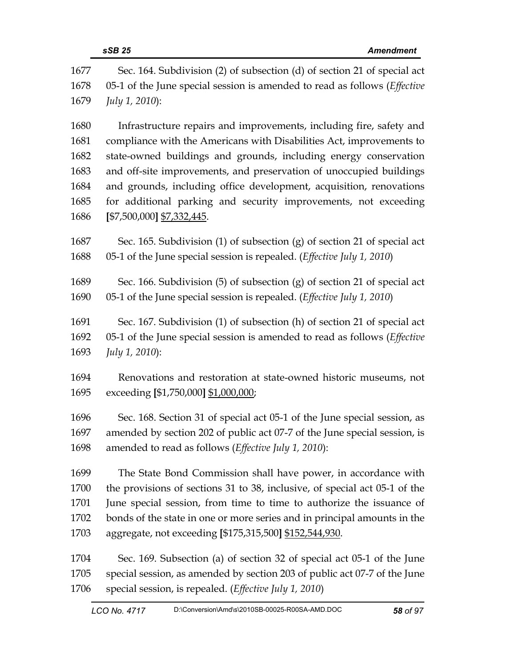|      | sSB 25<br><b>Amendment</b>                                                        |
|------|-----------------------------------------------------------------------------------|
| 1677 | Sec. 164. Subdivision (2) of subsection (d) of section 21 of special act          |
| 1678 | 05-1 of the June special session is amended to read as follows ( <i>Effective</i> |
| 1679 | July 1, 2010):                                                                    |
| 1680 | Infrastructure repairs and improvements, including fire, safety and               |
| 1681 | compliance with the Americans with Disabilities Act, improvements to              |
| 1682 | state-owned buildings and grounds, including energy conservation                  |
| 1683 | and off-site improvements, and preservation of unoccupied buildings               |
| 1684 | and grounds, including office development, acquisition, renovations               |
| 1685 | for additional parking and security improvements, not exceeding                   |
| 1686 | [\$7,500,000] \$7,332,445.                                                        |
| 1687 | Sec. 165. Subdivision (1) of subsection (g) of section 21 of special act          |
| 1688 | 05-1 of the June special session is repealed. (Effective July 1, 2010)            |
| 1689 | Sec. 166. Subdivision $(5)$ of subsection $(g)$ of section 21 of special act      |
| 1690 | 05-1 of the June special session is repealed. (Effective July 1, 2010)            |
| 1691 | Sec. 167. Subdivision (1) of subsection (h) of section 21 of special act          |
| 1692 | 05-1 of the June special session is amended to read as follows (Effective         |
| 1693 | July 1, 2010):                                                                    |
| 1694 | Renovations and restoration at state-owned historic museums, not                  |
| 1695 | exceeding [\$1,750,000] \$1,000,000;                                              |
| 1696 | Sec. 168. Section 31 of special act 05-1 of the June special session, as          |
| 1697 | amended by section 202 of public act 07-7 of the June special session, is         |
| 1698 | amended to read as follows ( <i>Effective July 1</i> , 2010):                     |
| 1699 | The State Bond Commission shall have power, in accordance with                    |
| 1700 | the provisions of sections 31 to 38, inclusive, of special act 05-1 of the        |
| 1701 | June special session, from time to time to authorize the issuance of              |
| 1702 | bonds of the state in one or more series and in principal amounts in the          |
| 1703 | aggregate, not exceeding [\$175,315,500] \$152,544,930.                           |

1704 Sec. 169. Subsection (a) of section 32 of special act 05-1 of the June 1705 special session, as amended by section 203 of public act 07-7 of the June 1706 special session, is repealed. (*Effective July 1, 2010*)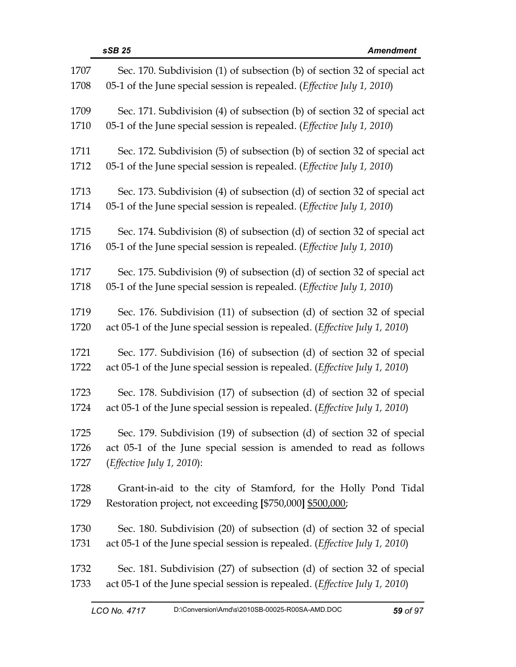| 1707 | Sec. 170. Subdivision (1) of subsection (b) of section 32 of special act            |
|------|-------------------------------------------------------------------------------------|
| 1708 | 05-1 of the June special session is repealed. ( <i>Effective July 1, 2010</i> )     |
| 1709 | Sec. 171. Subdivision (4) of subsection (b) of section 32 of special act            |
| 1710 | 05-1 of the June special session is repealed. ( <i>Effective July 1, 2010</i> )     |
| 1711 | Sec. 172. Subdivision (5) of subsection (b) of section 32 of special act            |
| 1712 | 05-1 of the June special session is repealed. ( <i>Effective July 1, 2010</i> )     |
| 1713 | Sec. 173. Subdivision (4) of subsection (d) of section 32 of special act            |
| 1714 | 05-1 of the June special session is repealed. (Effective July 1, 2010)              |
| 1715 | Sec. 174. Subdivision (8) of subsection (d) of section 32 of special act            |
| 1716 | 05-1 of the June special session is repealed. ( <i>Effective July 1, 2010</i> )     |
| 1717 | Sec. 175. Subdivision (9) of subsection (d) of section 32 of special act            |
| 1718 | 05-1 of the June special session is repealed. ( <i>Effective July 1, 2010</i> )     |
| 1719 | Sec. 176. Subdivision (11) of subsection (d) of section 32 of special               |
| 1720 | act 05-1 of the June special session is repealed. (Effective July 1, 2010)          |
| 1721 | Sec. 177. Subdivision (16) of subsection (d) of section 32 of special               |
| 1722 | act 05-1 of the June special session is repealed. (Effective July 1, 2010)          |
| 1723 | Sec. 178. Subdivision (17) of subsection (d) of section 32 of special               |
| 1724 | act 05-1 of the June special session is repealed. (Effective July 1, 2010)          |
| 1725 | Sec. 179. Subdivision (19) of subsection (d) of section 32 of special               |
| 1726 | act 05-1 of the June special session is amended to read as follows                  |
| 1727 | ( <i>Effective July 1, 2010</i> ):                                                  |
| 1728 | Grant-in-aid to the city of Stamford, for the Holly Pond Tidal                      |
| 1729 | Restoration project, not exceeding [\$750,000] \$500,000;                           |
| 1730 | Sec. 180. Subdivision (20) of subsection (d) of section 32 of special               |
| 1731 | act 05-1 of the June special session is repealed. ( <i>Effective July 1</i> , 2010) |
| 1732 | Sec. 181. Subdivision (27) of subsection (d) of section 32 of special               |
| 1733 | act 05-1 of the June special session is repealed. (Effective July 1, 2010)          |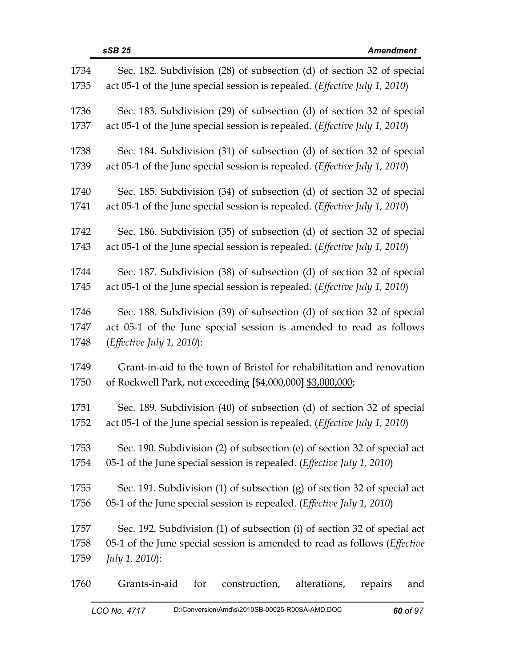| 1734 | Sec. 182. Subdivision (28) of subsection (d) of section 32 of special               |
|------|-------------------------------------------------------------------------------------|
| 1735 | act 05-1 of the June special session is repealed. ( <i>Effective July 1, 2010</i> ) |
| 1736 | Sec. 183. Subdivision (29) of subsection (d) of section 32 of special               |
| 1737 | act 05-1 of the June special session is repealed. ( <i>Effective July 1</i> , 2010) |
| 1738 | Sec. 184. Subdivision (31) of subsection (d) of section 32 of special               |
| 1739 | act 05-1 of the June special session is repealed. ( <i>Effective July 1, 2010</i> ) |
| 1740 | Sec. 185. Subdivision (34) of subsection (d) of section 32 of special               |
| 1741 | act 05-1 of the June special session is repealed. (Effective July 1, 2010)          |
| 1742 | Sec. 186. Subdivision (35) of subsection (d) of section 32 of special               |
| 1743 | act 05-1 of the June special session is repealed. (Effective July 1, 2010)          |
| 1744 | Sec. 187. Subdivision (38) of subsection (d) of section 32 of special               |
| 1745 | act 05-1 of the June special session is repealed. (Effective July 1, 2010)          |
| 1746 | Sec. 188. Subdivision (39) of subsection (d) of section 32 of special               |
| 1747 | act 05-1 of the June special session is amended to read as follows                  |
| 1748 | ( <i>Effective July 1, 2010</i> ):                                                  |
| 1749 | Grant-in-aid to the town of Bristol for rehabilitation and renovation               |
| 1750 | of Rockwell Park, not exceeding [\$4,000,000] \$3,000,000;                          |
| 1751 | Sec. 189. Subdivision (40) of subsection (d) of section 32 of special               |
| 1752 | act 05-1 of the June special session is repealed. ( <i>Effective July 1</i> , 2010) |
| 1753 | Sec. 190. Subdivision (2) of subsection (e) of section 32 of special act            |
| 1754 | 05-1 of the June special session is repealed. ( <i>Effective July 1, 2010</i> )     |
| 1755 | Sec. 191. Subdivision $(1)$ of subsection $(g)$ of section 32 of special act        |
| 1756 | 05-1 of the June special session is repealed. ( <i>Effective July 1, 2010</i> )     |
| 1757 | Sec. 192. Subdivision (1) of subsection (i) of section 32 of special act            |
| 1758 | 05-1 of the June special session is amended to read as follows ( <i>Effective</i>   |
| 1759 | <i>July 1, 2010</i> ):                                                              |
| 1760 | Grants-in-aid<br>for<br>construction,<br>alterations,<br>repairs<br>and             |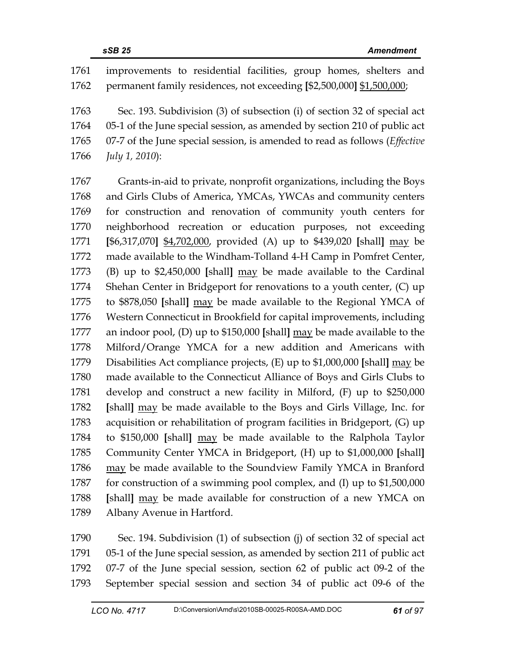1761 improvements to residential facilities, group homes, shelters and 1762 permanent family residences, not exceeding **[**\$2,500,000**]** \$1,500,000; 1763 Sec. 193. Subdivision (3) of subsection (i) of section 32 of special act 1764 05-1 of the June special session, as amended by section 210 of public act 1765 07-7 of the June special session, is amended to read as follows (*Effective*  1766 *July 1, 2010*): 1767 Grants-in-aid to private, nonprofit organizations, including the Boys 1768 and Girls Clubs of America, YMCAs, YWCAs and community centers 1769 for construction and renovation of community youth centers for 1770 neighborhood recreation or education purposes, not exceeding 1771 **[**\$6,317,070**]** \$4,702,000, provided (A) up to \$439,020 **[**shall**]** may be 1772 made available to the Windham-Tolland 4-H Camp in Pomfret Center, 1773 (B) up to \$2,450,000 **[**shall**]** may be made available to the Cardinal 1774 Shehan Center in Bridgeport for renovations to a youth center, (C) up 1775 to \$878,050 **[**shall**]** may be made available to the Regional YMCA of 1776 Western Connecticut in Brookfield for capital improvements, including 1777 an indoor pool, (D) up to \$150,000 **[**shall**]** may be made available to the 1778 Milford/Orange YMCA for a new addition and Americans with 1779 Disabilities Act compliance projects, (E) up to \$1,000,000 **[**shall**]** may be 1780 made available to the Connecticut Alliance of Boys and Girls Clubs to 1781 develop and construct a new facility in Milford, (F) up to \$250,000 1782 **[**shall**]** may be made available to the Boys and Girls Village, Inc. for 1783 acquisition or rehabilitation of program facilities in Bridgeport, (G) up 1784 to \$150,000 **[**shall**]** may be made available to the Ralphola Taylor 1785 Community Center YMCA in Bridgeport, (H) up to \$1,000,000 **[**shall**]** 1786 may be made available to the Soundview Family YMCA in Branford 1787 for construction of a swimming pool complex, and (I) up to \$1,500,000 1788 **[**shall**]** may be made available for construction of a new YMCA on 1789 Albany Avenue in Hartford.

1790 Sec. 194. Subdivision (1) of subsection (j) of section 32 of special act 1791 05-1 of the June special session, as amended by section 211 of public act 1792 07-7 of the June special session, section 62 of public act 09-2 of the 1793 September special session and section 34 of public act 09-6 of the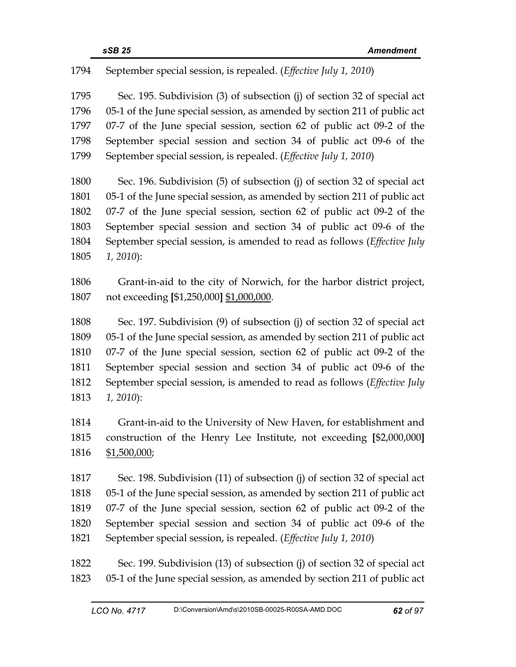1794 September special session, is repealed. (*Effective July 1, 2010*)

1795 Sec. 195. Subdivision (3) of subsection (j) of section 32 of special act 1796 05-1 of the June special session, as amended by section 211 of public act 1797 07-7 of the June special session, section 62 of public act 09-2 of the 1798 September special session and section 34 of public act 09-6 of the 1799 September special session, is repealed. (*Effective July 1, 2010*)

1800 Sec. 196. Subdivision (5) of subsection (j) of section 32 of special act 1801 05-1 of the June special session, as amended by section 211 of public act 1802 07-7 of the June special session, section 62 of public act 09-2 of the 1803 September special session and section 34 of public act 09-6 of the 1804 September special session, is amended to read as follows (*Effective July*  1805 *1, 2010*):

1806 Grant-in-aid to the city of Norwich, for the harbor district project, 1807 not exceeding **[**\$1,250,000**]** \$1,000,000.

1808 Sec. 197. Subdivision (9) of subsection (j) of section 32 of special act 1809 05-1 of the June special session, as amended by section 211 of public act 1810 07-7 of the June special session, section 62 of public act 09-2 of the 1811 September special session and section 34 of public act 09-6 of the 1812 September special session, is amended to read as follows (*Effective July*  1813 *1, 2010*):

1814 Grant-in-aid to the University of New Haven, for establishment and 1815 construction of the Henry Lee Institute, not exceeding **[**\$2,000,000**]** 1816 \$1,500,000;

1817 Sec. 198. Subdivision (11) of subsection (j) of section 32 of special act 1818 05-1 of the June special session, as amended by section 211 of public act 1819 07-7 of the June special session, section 62 of public act 09-2 of the 1820 September special session and section 34 of public act 09-6 of the 1821 September special session, is repealed. (*Effective July 1, 2010*)

1822 Sec. 199. Subdivision (13) of subsection (j) of section 32 of special act 1823 05-1 of the June special session, as amended by section 211 of public act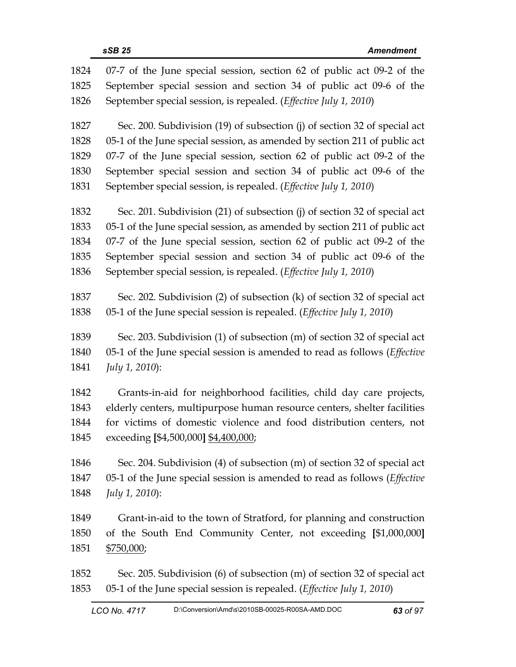| 1824 | 07-7 of the June special session, section 62 of public act 09-2 of the          |
|------|---------------------------------------------------------------------------------|
| 1825 | September special session and section 34 of public act 09-6 of the              |
| 1826 | September special session, is repealed. (Effective July 1, 2010)                |
| 1827 | Sec. 200. Subdivision (19) of subsection (j) of section 32 of special act       |
| 1828 | 05-1 of the June special session, as amended by section 211 of public act       |
| 1829 | 07-7 of the June special session, section 62 of public act 09-2 of the          |
| 1830 | September special session and section 34 of public act 09-6 of the              |
| 1831 | September special session, is repealed. (Effective July 1, 2010)                |
| 1832 | Sec. 201. Subdivision (21) of subsection (j) of section 32 of special act       |
| 1833 | 05-1 of the June special session, as amended by section 211 of public act       |
| 1834 | 07-7 of the June special session, section 62 of public act 09-2 of the          |
| 1835 | September special session and section 34 of public act 09-6 of the              |
| 1836 | September special session, is repealed. (Effective July 1, 2010)                |
| 1837 | Sec. 202. Subdivision (2) of subsection (k) of section 32 of special act        |
| 1838 | 05-1 of the June special session is repealed. ( <i>Effective July 1, 2010</i> ) |
| 1839 | Sec. 203. Subdivision (1) of subsection (m) of section 32 of special act        |
| 1840 | 05-1 of the June special session is amended to read as follows (Effective       |
| 1841 | July 1, 2010):                                                                  |
| 1842 | Grants-in-aid for neighborhood facilities, child day care projects,             |
| 1843 | elderly centers, multipurpose human resource centers, shelter facilities        |
| 1844 | for victims of domestic violence and food distribution centers, not             |
| 1845 | exceeding [\$4,500,000] \$4,400,000;                                            |
| 1846 | Sec. 204. Subdivision (4) of subsection (m) of section 32 of special act        |
| 1847 | 05-1 of the June special session is amended to read as follows (Effective       |
| 1848 | <i>July 1, 2010</i> ):                                                          |
| 1849 | Grant-in-aid to the town of Stratford, for planning and construction            |
| 1850 | of the South End Community Center, not exceeding [\$1,000,000]                  |
| 1851 | <u>\$750,000;</u>                                                               |
| 1852 | Sec. 205. Subdivision (6) of subsection (m) of section 32 of special act        |
| 1853 | 05-1 of the June special session is repealed. (Effective July 1, 2010)          |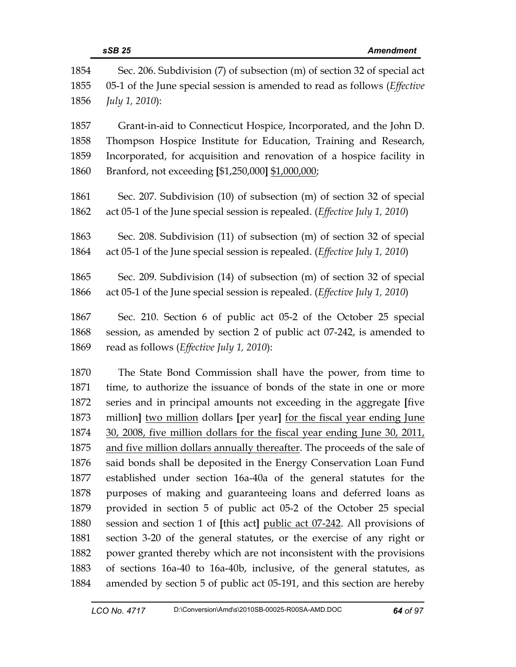|      | sSB 25<br><b>Amendment</b>                                                          |
|------|-------------------------------------------------------------------------------------|
| 1854 | Sec. 206. Subdivision (7) of subsection (m) of section 32 of special act            |
| 1855 | 05-1 of the June special session is amended to read as follows ( <i>Effective</i>   |
| 1856 | July 1, 2010):                                                                      |
| 1857 | Grant-in-aid to Connecticut Hospice, Incorporated, and the John D.                  |
| 1858 | Thompson Hospice Institute for Education, Training and Research,                    |
| 1859 | Incorporated, for acquisition and renovation of a hospice facility in               |
| 1860 | Branford, not exceeding [\$1,250,000] \$1,000,000;                                  |
| 1861 | Sec. 207. Subdivision (10) of subsection (m) of section 32 of special               |
| 1862 | act 05-1 of the June special session is repealed. (Effective July 1, 2010)          |
| 1863 | Sec. 208. Subdivision (11) of subsection (m) of section 32 of special               |
| 1864 | act 05-1 of the June special session is repealed. ( <i>Effective July 1</i> , 2010) |
| 1865 | Sec. 209. Subdivision (14) of subsection (m) of section 32 of special               |
| 1866 | act 05-1 of the June special session is repealed. ( <i>Effective July 1</i> , 2010) |
| 1867 | Sec. 210. Section 6 of public act 05-2 of the October 25 special                    |
| 1868 | session, as amended by section 2 of public act 07-242, is amended to                |
| 1869 | read as follows ( <i>Effective July 1</i> , 2010):                                  |
| 1870 | The State Bond Commission shall have the power, from time to                        |
| 1871 | time, to authorize the issuance of bonds of the state in one or more                |
| 1872 | series and in principal amounts not exceeding in the aggregate [five                |
| 1873 | million] two million dollars [per year] for the fiscal year ending June             |
| 1874 | 30, 2008, five million dollars for the fiscal year ending June 30, 2011,            |
| 1875 | and five million dollars annually thereafter. The proceeds of the sale of           |
| 1876 | said bonds shall be deposited in the Energy Conservation Loan Fund                  |
| 1877 | established under section 16a-40a of the general statutes for the                   |

1874 30, 2008, five million dollars for the fiscal year ending June 30, 2011, 1875 and five million dollars annually thereafter. The proceeds of the sale of 1876 said bonds shall be deposited in the Energy Conservation Loan Fund 1877 established under section 16a-40a of the general statutes for the 1878 purposes of making and guaranteeing loans and deferred loans as 1879 provided in section 5 of public act 05-2 of the October 25 special 1880 session and section 1 of **[**this act**]** public act 07-242. All provisions of 1881 section 3-20 of the general statutes, or the exercise of any right or 1882 power granted thereby which are not inconsistent with the provisions 1883 of sections 16a-40 to 16a-40b, inclusive, of the general statutes, as 1884 amended by section 5 of public act 05-191, and this section are hereby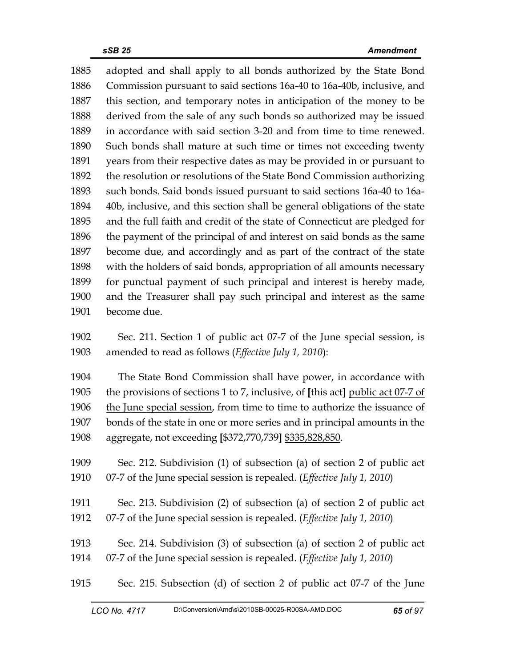1885 adopted and shall apply to all bonds authorized by the State Bond 1886 Commission pursuant to said sections 16a-40 to 16a-40b, inclusive, and 1887 this section, and temporary notes in anticipation of the money to be 1888 derived from the sale of any such bonds so authorized may be issued 1889 in accordance with said section 3-20 and from time to time renewed. 1890 Such bonds shall mature at such time or times not exceeding twenty 1891 years from their respective dates as may be provided in or pursuant to 1892 the resolution or resolutions of the State Bond Commission authorizing 1893 such bonds. Said bonds issued pursuant to said sections 16a-40 to 16a-1894 40b, inclusive, and this section shall be general obligations of the state 1895 and the full faith and credit of the state of Connecticut are pledged for 1896 the payment of the principal of and interest on said bonds as the same 1897 become due, and accordingly and as part of the contract of the state 1898 with the holders of said bonds, appropriation of all amounts necessary 1899 for punctual payment of such principal and interest is hereby made, 1900 and the Treasurer shall pay such principal and interest as the same 1901 become due. 1902 Sec. 211. Section 1 of public act 07-7 of the June special session, is 1903 amended to read as follows (*Effective July 1, 2010*): 1904 The State Bond Commission shall have power, in accordance with 1905 the provisions of sections 1 to 7, inclusive, of **[**this act**]** public act 07-7 of 1906 the June special session, from time to time to authorize the issuance of 1907 bonds of the state in one or more series and in principal amounts in the 1908 aggregate, not exceeding **[**\$372,770,739**]** \$335,828,850. 1909 Sec. 212. Subdivision (1) of subsection (a) of section 2 of public act 1910 07-7 of the June special session is repealed. (*Effective July 1, 2010*) 1911 Sec. 213. Subdivision (2) of subsection (a) of section 2 of public act 1912 07-7 of the June special session is repealed. (*Effective July 1, 2010*) 1913 Sec. 214. Subdivision (3) of subsection (a) of section 2 of public act 1914 07-7 of the June special session is repealed. (*Effective July 1, 2010*)

1915 Sec. 215. Subsection (d) of section 2 of public act 07-7 of the June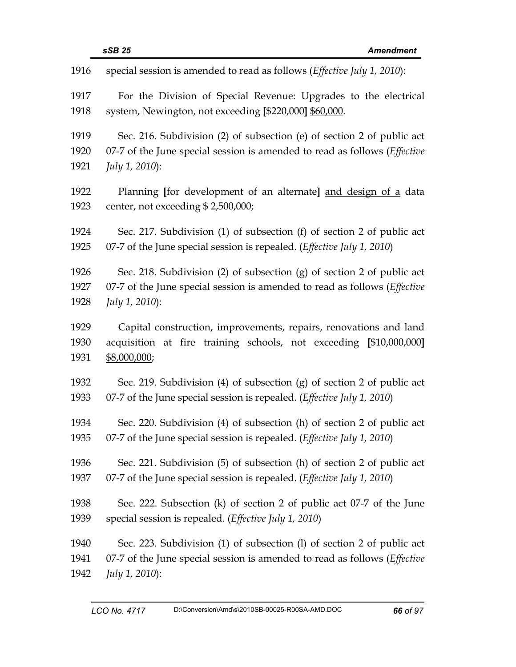| 1916 | special session is amended to read as follows (Effective July 1, 2010):           |
|------|-----------------------------------------------------------------------------------|
| 1917 | For the Division of Special Revenue: Upgrades to the electrical                   |
| 1918 | system, Newington, not exceeding [\$220,000] \$60,000.                            |
| 1919 | Sec. 216. Subdivision (2) of subsection (e) of section 2 of public act            |
| 1920 | 07-7 of the June special session is amended to read as follows (Effective         |
| 1921 | July 1, 2010):                                                                    |
| 1922 | Planning [for development of an alternate] and design of a data                   |
| 1923 | center, not exceeding \$2,500,000;                                                |
| 1924 | Sec. 217. Subdivision (1) of subsection (f) of section 2 of public act            |
| 1925 | 07-7 of the June special session is repealed. (Effective July 1, 2010)            |
| 1926 | Sec. 218. Subdivision (2) of subsection (g) of section 2 of public act            |
| 1927 | 07-7 of the June special session is amended to read as follows ( <i>Effective</i> |
| 1928 | July 1, 2010):                                                                    |
| 1929 | Capital construction, improvements, repairs, renovations and land                 |
| 1930 | acquisition at fire training schools, not exceeding [\$10,000,000]                |
| 1931 | \$8,000,000;                                                                      |
| 1932 | Sec. 219. Subdivision (4) of subsection (g) of section 2 of public act            |
| 1933 | 07-7 of the June special session is repealed. (Effective July 1, 2010)            |
| 1934 | Sec. 220. Subdivision (4) of subsection (h) of section 2 of public act            |
| 1935 | 07-7 of the June special session is repealed. ( <i>Effective July 1, 2010</i> )   |
| 1936 | Sec. 221. Subdivision (5) of subsection (h) of section 2 of public act            |
| 1937 | 07-7 of the June special session is repealed. ( <i>Effective July 1, 2010</i> )   |
| 1938 | Sec. 222. Subsection (k) of section 2 of public act 07-7 of the June              |
| 1939 | special session is repealed. (Effective July 1, 2010)                             |
| 1940 | Sec. 223. Subdivision (1) of subsection (1) of section 2 of public act            |
| 1941 | 07-7 of the June special session is amended to read as follows ( <i>Effective</i> |
| 1942 | <i>July 1, 2010</i> ):                                                            |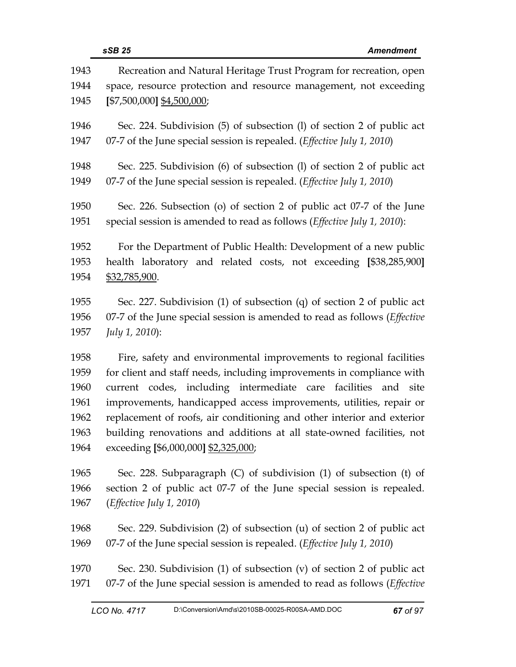| 1943 | Recreation and Natural Heritage Trust Program for recreation, open                |
|------|-----------------------------------------------------------------------------------|
| 1944 | space, resource protection and resource management, not exceeding                 |
| 1945 | $[$7,500,000]$ \$4,500,000;                                                       |
| 1946 | Sec. 224. Subdivision (5) of subsection (1) of section 2 of public act            |
| 1947 | 07-7 of the June special session is repealed. (Effective July 1, 2010)            |
| 1948 | Sec. 225. Subdivision (6) of subsection (1) of section 2 of public act            |
| 1949 | 07-7 of the June special session is repealed. (Effective July 1, 2010)            |
| 1950 | Sec. 226. Subsection (o) of section 2 of public act 07-7 of the June              |
| 1951 | special session is amended to read as follows (Effective July 1, 2010):           |
| 1952 | For the Department of Public Health: Development of a new public                  |
| 1953 | health laboratory and related costs, not exceeding [\$38,285,900]                 |
| 1954 | \$32,785,900.                                                                     |
| 1955 | Sec. 227. Subdivision (1) of subsection (q) of section 2 of public act            |
| 1956 | 07-7 of the June special session is amended to read as follows ( <i>Effective</i> |
| 1957 | July 1, 2010):                                                                    |
| 1958 | Fire, safety and environmental improvements to regional facilities                |
| 1959 | for client and staff needs, including improvements in compliance with             |
| 1960 | current codes, including intermediate care facilities and site                    |
| 1961 | improvements, handicapped access improvements, utilities, repair or               |
| 1962 | replacement of roofs, air conditioning and other interior and exterior            |
| 1963 | building renovations and additions at all state-owned facilities, not             |
| 1964 | exceeding [\$6,000,000] \$2,325,000;                                              |
| 1965 | Sec. 228. Subparagraph (C) of subdivision (1) of subsection (t) of                |
| 1966 | section 2 of public act 07-7 of the June special session is repealed.             |
| 1967 | ( <i>Effective July 1</i> , 2010)                                                 |
| 1968 | Sec. 229. Subdivision (2) of subsection (u) of section 2 of public act            |
| 1969 | 07-7 of the June special session is repealed. ( <i>Effective July 1, 2010</i> )   |
| 1970 | Sec. 230. Subdivision (1) of subsection (v) of section 2 of public act            |
| 1971 | 07-7 of the June special session is amended to read as follows ( <i>Effective</i> |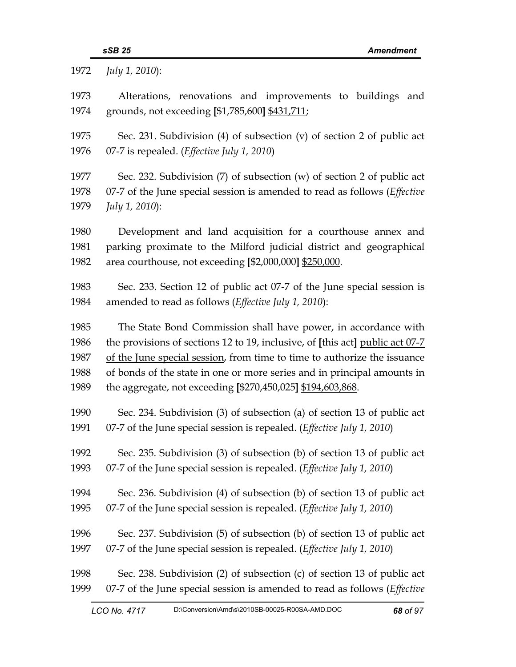| 1972         | July 1, 2010):                                                                                                                         |
|--------------|----------------------------------------------------------------------------------------------------------------------------------------|
| 1973         | Alterations, renovations and improvements to buildings<br>and                                                                          |
| 1974         | grounds, not exceeding [\$1,785,600] \$431,711;                                                                                        |
| 1975         | Sec. 231. Subdivision (4) of subsection (v) of section 2 of public act                                                                 |
| 1976         | 07-7 is repealed. (Effective July 1, 2010)                                                                                             |
| 1977         | Sec. 232. Subdivision $(7)$ of subsection $(w)$ of section 2 of public act                                                             |
| 1978         | 07-7 of the June special session is amended to read as follows ( <i>Effective</i>                                                      |
| 1979         | July 1, 2010):                                                                                                                         |
| 1980         | Development and land acquisition for a courthouse annex and                                                                            |
| 1981         | parking proximate to the Milford judicial district and geographical                                                                    |
| 1982         | area courthouse, not exceeding [\$2,000,000] \$250,000.                                                                                |
| 1983         | Sec. 233. Section 12 of public act 07-7 of the June special session is                                                                 |
| 1984         | amended to read as follows (Effective July 1, 2010):                                                                                   |
| 1985         | The State Bond Commission shall have power, in accordance with                                                                         |
| 1986         | the provisions of sections 12 to 19, inclusive, of [this act] public act 07-7                                                          |
| 1987         | of the June special session, from time to time to authorize the issuance                                                               |
| 1988<br>1989 | of bonds of the state in one or more series and in principal amounts in<br>the aggregate, not exceeding [\$270,450,025] \$194,603,868. |
|              |                                                                                                                                        |
| 1990         | Sec. 234. Subdivision (3) of subsection (a) of section 13 of public act                                                                |
| 1991         | 07-7 of the June special session is repealed. (Effective July 1, 2010)                                                                 |
| 1992         | Sec. 235. Subdivision (3) of subsection (b) of section 13 of public act                                                                |
| 1993         | 07-7 of the June special session is repealed. (Effective July 1, 2010)                                                                 |
| 1994         | Sec. 236. Subdivision (4) of subsection (b) of section 13 of public act                                                                |
| 1995         | 07-7 of the June special session is repealed. (Effective July 1, 2010)                                                                 |
| 1996         | Sec. 237. Subdivision (5) of subsection (b) of section 13 of public act                                                                |
| 1997         | 07-7 of the June special session is repealed. (Effective July 1, 2010)                                                                 |
| 1998         | Sec. 238. Subdivision (2) of subsection (c) of section 13 of public act                                                                |
| 1999         | 07-7 of the June special session is amended to read as follows (Effective                                                              |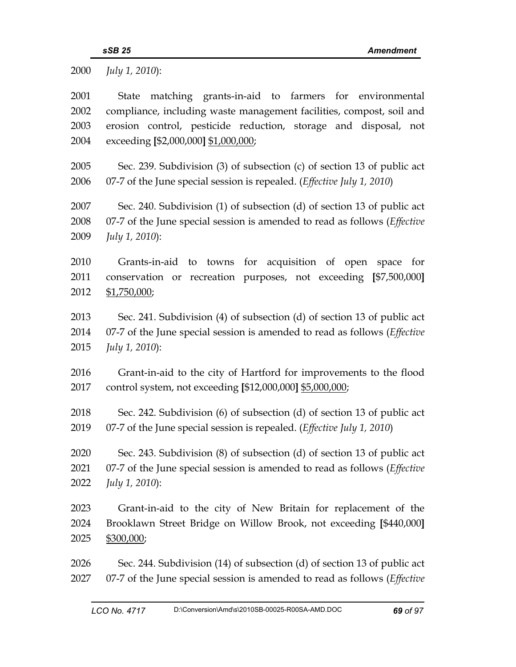2000 *July 1, 2010*):

2001 State matching grants-in-aid to farmers for environmental 2002 compliance, including waste management facilities, compost, soil and 2003 erosion control, pesticide reduction, storage and disposal, not 2004 exceeding **[**\$2,000,000**]** \$1,000,000; 2005 Sec. 239. Subdivision (3) of subsection (c) of section 13 of public act 2006 07-7 of the June special session is repealed. (*Effective July 1, 2010*) 2007 Sec. 240. Subdivision (1) of subsection (d) of section 13 of public act 2008 07-7 of the June special session is amended to read as follows (*Effective*  2009 *July 1, 2010*): 2010 Grants-in-aid to towns for acquisition of open space for 2011 conservation or recreation purposes, not exceeding **[**\$7,500,000**]** 2012 \$1,750,000; 2013 Sec. 241. Subdivision (4) of subsection (d) of section 13 of public act 2014 07-7 of the June special session is amended to read as follows (*Effective*  2015 *July 1, 2010*): 2016 Grant-in-aid to the city of Hartford for improvements to the flood 2017 control system, not exceeding **[**\$12,000,000**]** \$5,000,000; 2018 Sec. 242. Subdivision (6) of subsection (d) of section 13 of public act 2019 07-7 of the June special session is repealed. (*Effective July 1, 2010*) 2020 Sec. 243. Subdivision (8) of subsection (d) of section 13 of public act 2021 07-7 of the June special session is amended to read as follows (*Effective*  2022 *July 1, 2010*): 2023 Grant-in-aid to the city of New Britain for replacement of the 2024 Brooklawn Street Bridge on Willow Brook, not exceeding **[**\$440,000**]** 2025 \$300,000; 2026 Sec. 244. Subdivision (14) of subsection (d) of section 13 of public act 2027 07-7 of the June special session is amended to read as follows (*Effective*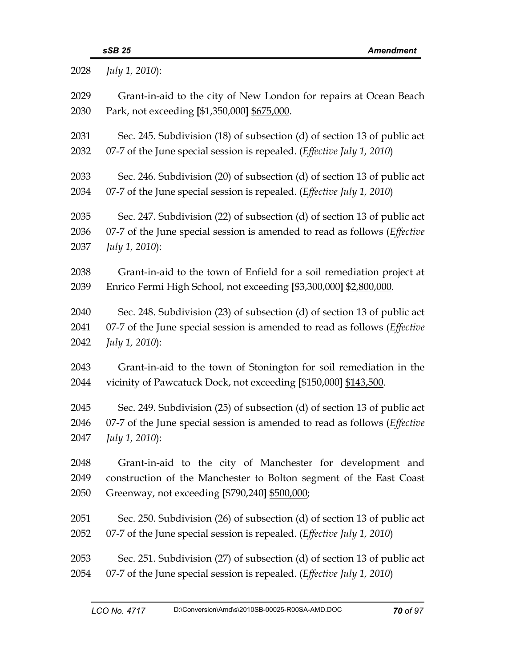| 2028 | July 1, 2010):                                                                    |
|------|-----------------------------------------------------------------------------------|
| 2029 | Grant-in-aid to the city of New London for repairs at Ocean Beach                 |
| 2030 | Park, not exceeding [\$1,350,000] \$675,000.                                      |
| 2031 | Sec. 245. Subdivision (18) of subsection (d) of section 13 of public act          |
| 2032 | 07-7 of the June special session is repealed. ( <i>Effective July 1, 2010</i> )   |
| 2033 | Sec. 246. Subdivision (20) of subsection (d) of section 13 of public act          |
| 2034 | 07-7 of the June special session is repealed. ( <i>Effective July 1, 2010</i> )   |
| 2035 | Sec. 247. Subdivision (22) of subsection (d) of section 13 of public act          |
| 2036 | 07-7 of the June special session is amended to read as follows (Effective         |
| 2037 | July 1, 2010):                                                                    |
| 2038 | Grant-in-aid to the town of Enfield for a soil remediation project at             |
| 2039 | Enrico Fermi High School, not exceeding [\$3,300,000] \$2,800,000.                |
| 2040 | Sec. 248. Subdivision (23) of subsection (d) of section 13 of public act          |
| 2041 | 07-7 of the June special session is amended to read as follows ( <i>Effective</i> |
| 2042 | July 1, 2010):                                                                    |
| 2043 | Grant-in-aid to the town of Stonington for soil remediation in the                |
| 2044 | vicinity of Pawcatuck Dock, not exceeding [\$150,000] \$143,500.                  |
| 2045 | Sec. 249. Subdivision (25) of subsection (d) of section 13 of public act          |
| 2046 | 07-7 of the June special session is amended to read as follows (Effective         |
| 2047 | <i>July 1, 2010</i> ):                                                            |
| 2048 | Grant-in-aid to the city of Manchester for development and                        |
| 2049 | construction of the Manchester to Bolton segment of the East Coast                |
| 2050 | Greenway, not exceeding [\$790,240] \$500,000;                                    |
| 2051 | Sec. 250. Subdivision (26) of subsection (d) of section 13 of public act          |
| 2052 | 07-7 of the June special session is repealed. (Effective July 1, 2010)            |
| 2053 | Sec. 251. Subdivision (27) of subsection (d) of section 13 of public act          |
| 2054 | 07-7 of the June special session is repealed. (Effective July 1, 2010)            |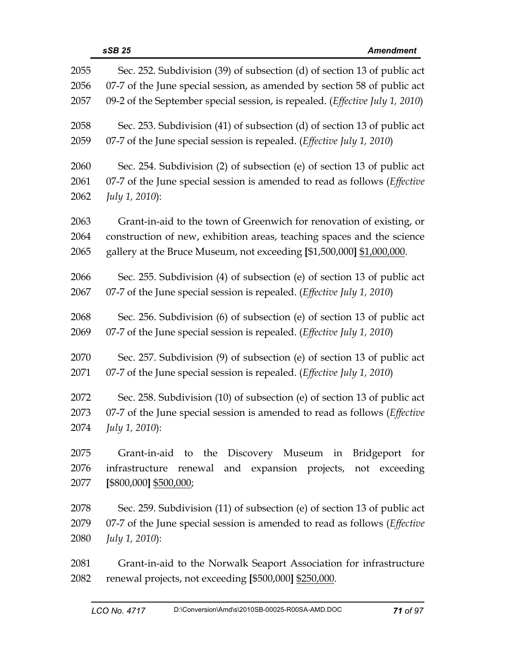| 2055 | Sec. 252. Subdivision (39) of subsection (d) of section 13 of public act        |
|------|---------------------------------------------------------------------------------|
| 2056 | 07-7 of the June special session, as amended by section 58 of public act        |
| 2057 | 09-2 of the September special session, is repealed. (Effective July 1, 2010)    |
| 2058 | Sec. 253. Subdivision (41) of subsection (d) of section 13 of public act        |
| 2059 | 07-7 of the June special session is repealed. ( <i>Effective July 1, 2010</i> ) |
| 2060 | Sec. 254. Subdivision (2) of subsection (e) of section 13 of public act         |
| 2061 | 07-7 of the June special session is amended to read as follows (Effective       |
| 2062 | July 1, 2010):                                                                  |
| 2063 | Grant-in-aid to the town of Greenwich for renovation of existing, or            |
| 2064 | construction of new, exhibition areas, teaching spaces and the science          |
| 2065 | gallery at the Bruce Museum, not exceeding [\$1,500,000] \$1,000,000.           |
| 2066 | Sec. 255. Subdivision (4) of subsection (e) of section 13 of public act         |
| 2067 | 07-7 of the June special session is repealed. (Effective July 1, 2010)          |
| 2068 | Sec. 256. Subdivision (6) of subsection (e) of section 13 of public act         |
| 2069 | 07-7 of the June special session is repealed. (Effective July 1, 2010)          |
| 2070 | Sec. 257. Subdivision (9) of subsection (e) of section 13 of public act         |
| 2071 | 07-7 of the June special session is repealed. (Effective July 1, 2010)          |
| 2072 | Sec. 258. Subdivision (10) of subsection (e) of section 13 of public act        |
| 2073 | 07-7 of the June special session is amended to read as follows (Effective       |
| 2074 | July 1, 2010):                                                                  |
| 2075 | Grant-in-aid to the Discovery Museum in Bridgeport for                          |
| 2076 | infrastructure renewal and expansion projects, not exceeding                    |
| 2077 | [\$800,000] \$500,000;                                                          |
| 2078 | Sec. 259. Subdivision (11) of subsection (e) of section 13 of public act        |
| 2079 | 07-7 of the June special session is amended to read as follows (Effective       |
| 2080 | <i>July 1, 2010</i> ):                                                          |
| 2081 | Grant-in-aid to the Norwalk Seaport Association for infrastructure              |
| 2082 | renewal projects, not exceeding [\$500,000] \$250,000.                          |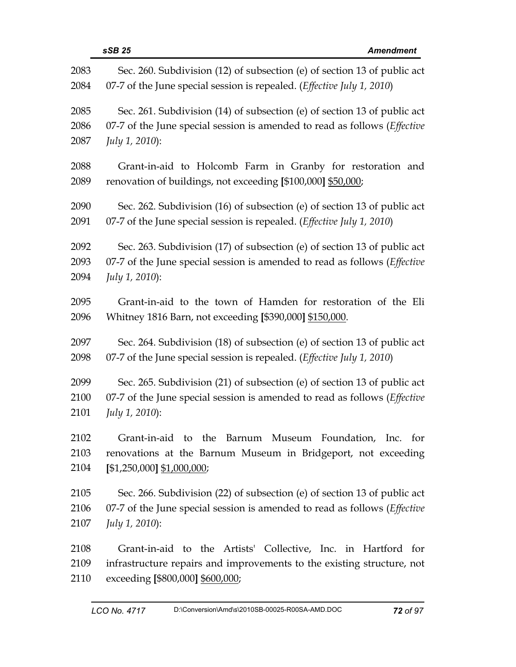| 2083 | Sec. 260. Subdivision (12) of subsection (e) of section 13 of public act          |
|------|-----------------------------------------------------------------------------------|
| 2084 | 07-7 of the June special session is repealed. (Effective July 1, 2010)            |
| 2085 | Sec. 261. Subdivision (14) of subsection (e) of section 13 of public act          |
| 2086 | 07-7 of the June special session is amended to read as follows ( <i>Effective</i> |
| 2087 | July 1, 2010):                                                                    |
| 2088 | Grant-in-aid to Holcomb Farm in Granby for restoration and                        |
| 2089 | renovation of buildings, not exceeding [\$100,000] \$50,000;                      |
| 2090 | Sec. 262. Subdivision (16) of subsection (e) of section 13 of public act          |
| 2091 | 07-7 of the June special session is repealed. (Effective July 1, 2010)            |
| 2092 | Sec. 263. Subdivision (17) of subsection (e) of section 13 of public act          |
| 2093 | 07-7 of the June special session is amended to read as follows ( <i>Effective</i> |
| 2094 | July 1, 2010):                                                                    |
| 2095 | Grant-in-aid to the town of Hamden for restoration of the Eli                     |
| 2096 | Whitney 1816 Barn, not exceeding [\$390,000] \$150,000.                           |
| 2097 | Sec. 264. Subdivision (18) of subsection (e) of section 13 of public act          |
| 2098 | 07-7 of the June special session is repealed. (Effective July 1, 2010)            |
| 2099 | Sec. 265. Subdivision (21) of subsection (e) of section 13 of public act          |
| 2100 | 07-7 of the June special session is amended to read as follows ( <i>Effective</i> |
| 2101 | July 1, 2010):                                                                    |
| 2102 | Museum Foundation, Inc. for<br>Grant-in-aid to the<br>Barnum                      |
| 2103 | renovations at the Barnum Museum in Bridgeport, not exceeding                     |
| 2104 | $[$1,250,000]$ \$1,000,000;                                                       |
| 2105 | Sec. 266. Subdivision (22) of subsection (e) of section 13 of public act          |
| 2106 | 07-7 of the June special session is amended to read as follows ( <i>Effective</i> |
| 2107 | July 1, 2010):                                                                    |
| 2108 | Grant-in-aid to the Artists' Collective, Inc. in Hartford for                     |
| 2109 | infrastructure repairs and improvements to the existing structure, not            |

2110 exceeding **[**\$800,000**]** \$600,000;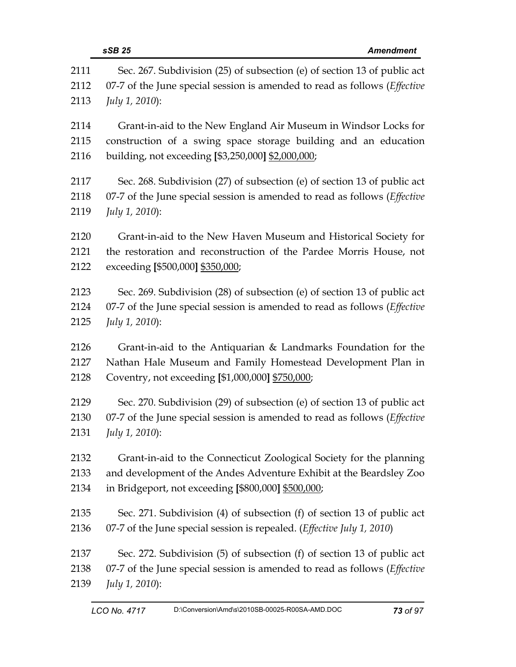|      | sSB 25<br><b>Amendment</b>                                                        |
|------|-----------------------------------------------------------------------------------|
| 2111 | Sec. 267. Subdivision (25) of subsection (e) of section 13 of public act          |
| 2112 | 07-7 of the June special session is amended to read as follows (Effective         |
| 2113 | July 1, 2010):                                                                    |
| 2114 | Grant-in-aid to the New England Air Museum in Windsor Locks for                   |
| 2115 | construction of a swing space storage building and an education                   |
| 2116 | building, not exceeding [\$3,250,000] \$2,000,000;                                |
| 2117 | Sec. 268. Subdivision (27) of subsection (e) of section 13 of public act          |
| 2118 | 07-7 of the June special session is amended to read as follows ( <i>Effective</i> |
| 2119 | July 1, 2010):                                                                    |
| 2120 | Grant-in-aid to the New Haven Museum and Historical Society for                   |
| 2121 | the restoration and reconstruction of the Pardee Morris House, not                |
| 2122 | exceeding [\$500,000] \$350,000;                                                  |
| 2123 | Sec. 269. Subdivision (28) of subsection (e) of section 13 of public act          |
| 2124 | 07-7 of the June special session is amended to read as follows (Effective         |
| 2125 | July 1, 2010):                                                                    |
| 2126 | Grant-in-aid to the Antiquarian & Landmarks Foundation for the                    |
| 2127 | Nathan Hale Museum and Family Homestead Development Plan in                       |
| 2128 | Coventry, not exceeding [\$1,000,000] \$750,000;                                  |
| 2129 | Sec. 270. Subdivision (29) of subsection (e) of section 13 of public act          |
| 2130 | 07-7 of the June special session is amended to read as follows (Effective         |
| 2131 | <i>July 1, 2010</i> ):                                                            |
| 2132 | Grant-in-aid to the Connecticut Zoological Society for the planning               |
| 2133 | and development of the Andes Adventure Exhibit at the Beardsley Zoo               |
| 2134 | in Bridgeport, not exceeding [\$800,000] \$500,000;                               |
| 2135 | Sec. 271. Subdivision (4) of subsection (f) of section 13 of public act           |
| 2136 | 07-7 of the June special session is repealed. ( <i>Effective July 1</i> , 2010)   |
| 2137 | Sec. 272. Subdivision (5) of subsection (f) of section 13 of public act           |
| 2138 | 07-7 of the June special session is amended to read as follows ( <i>Effective</i> |
| 2139 | <i>July 1, 2010</i> ):                                                            |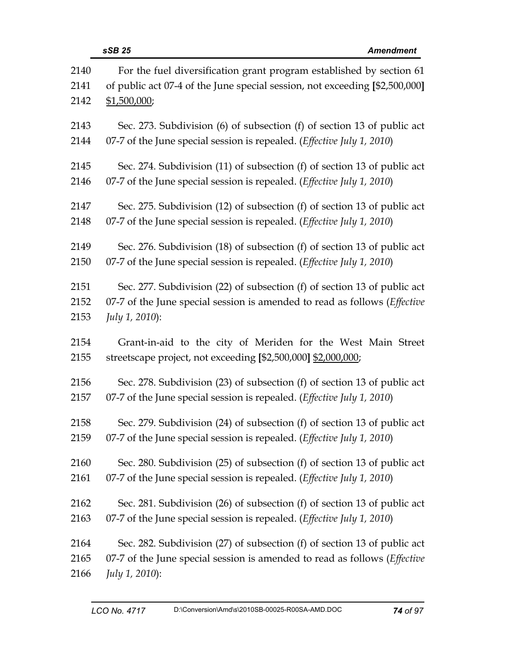| 2140<br>2141 | For the fuel diversification grant program established by section 61<br>of public act 07-4 of the June special session, not exceeding [\$2,500,000] |
|--------------|-----------------------------------------------------------------------------------------------------------------------------------------------------|
| 2142         | \$1,500,000;                                                                                                                                        |
| 2143         | Sec. 273. Subdivision (6) of subsection (f) of section 13 of public act                                                                             |
| 2144         | 07-7 of the June special session is repealed. (Effective July 1, 2010)                                                                              |
| 2145         | Sec. 274. Subdivision (11) of subsection (f) of section 13 of public act                                                                            |
| 2146         | 07-7 of the June special session is repealed. (Effective July 1, 2010)                                                                              |
| 2147         | Sec. 275. Subdivision (12) of subsection (f) of section 13 of public act                                                                            |
| 2148         | 07-7 of the June special session is repealed. (Effective July 1, 2010)                                                                              |
| 2149         | Sec. 276. Subdivision (18) of subsection (f) of section 13 of public act                                                                            |
| 2150         | 07-7 of the June special session is repealed. (Effective July 1, 2010)                                                                              |
| 2151         | Sec. 277. Subdivision (22) of subsection (f) of section 13 of public act                                                                            |
| 2152         | 07-7 of the June special session is amended to read as follows (Effective                                                                           |
| 2153         | July 1, 2010):                                                                                                                                      |
| 2154         | Grant-in-aid to the city of Meriden for the West Main Street                                                                                        |
| 2155         | streetscape project, not exceeding [\$2,500,000] \$2,000,000;                                                                                       |
| 2156         | Sec. 278. Subdivision (23) of subsection (f) of section 13 of public act                                                                            |
| 2157         | 07-7 of the June special session is repealed. (Effective July 1, 2010)                                                                              |
| 2158         | Sec. 279. Subdivision (24) of subsection (f) of section 13 of public act                                                                            |
| 2159         | 07-7 of the June special session is repealed. (Effective July 1, 2010)                                                                              |
| 2160         | Sec. 280. Subdivision (25) of subsection (f) of section 13 of public act                                                                            |
| 2161         | 07-7 of the June special session is repealed. (Effective July 1, 2010)                                                                              |
| 2162         | Sec. 281. Subdivision (26) of subsection (f) of section 13 of public act                                                                            |
| 2163         | 07-7 of the June special session is repealed. ( <i>Effective July 1, 2010</i> )                                                                     |
| 2164         | Sec. 282. Subdivision (27) of subsection (f) of section 13 of public act                                                                            |
| 2165         | 07-7 of the June special session is amended to read as follows (Effective                                                                           |
| 2166         | July 1, 2010):                                                                                                                                      |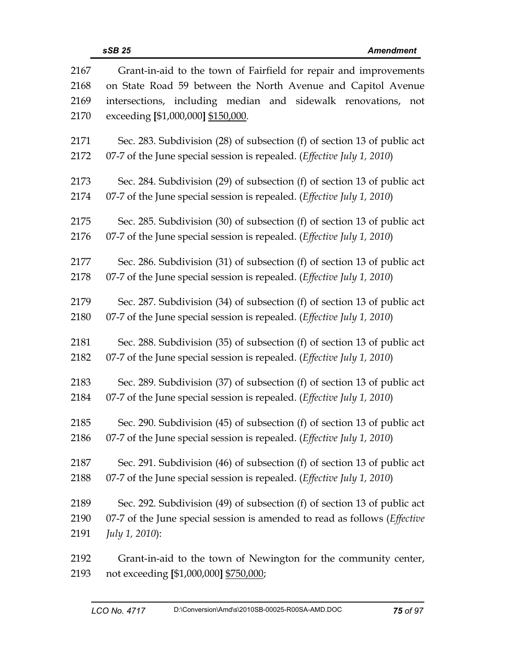| 2167 | Grant-in-aid to the town of Fairfield for repair and improvements                 |
|------|-----------------------------------------------------------------------------------|
| 2168 | on State Road 59 between the North Avenue and Capitol Avenue                      |
| 2169 | intersections, including median and sidewalk renovations, not                     |
| 2170 | exceeding [\$1,000,000] \$150,000.                                                |
| 2171 | Sec. 283. Subdivision (28) of subsection (f) of section 13 of public act          |
| 2172 | 07-7 of the June special session is repealed. ( <i>Effective July 1, 2010</i> )   |
| 2173 | Sec. 284. Subdivision (29) of subsection (f) of section 13 of public act          |
| 2174 | 07-7 of the June special session is repealed. (Effective July 1, 2010)            |
| 2175 | Sec. 285. Subdivision (30) of subsection (f) of section 13 of public act          |
| 2176 | 07-7 of the June special session is repealed. ( <i>Effective July 1, 2010</i> )   |
| 2177 | Sec. 286. Subdivision (31) of subsection (f) of section 13 of public act          |
| 2178 | 07-7 of the June special session is repealed. ( <i>Effective July 1, 2010</i> )   |
| 2179 | Sec. 287. Subdivision (34) of subsection (f) of section 13 of public act          |
| 2180 | 07-7 of the June special session is repealed. ( <i>Effective July 1, 2010</i> )   |
| 2181 | Sec. 288. Subdivision (35) of subsection (f) of section 13 of public act          |
| 2182 | 07-7 of the June special session is repealed. (Effective July 1, 2010)            |
| 2183 | Sec. 289. Subdivision (37) of subsection (f) of section 13 of public act          |
| 2184 | 07-7 of the June special session is repealed. (Effective July 1, 2010)            |
| 2185 | Sec. 290. Subdivision (45) of subsection (f) of section 13 of public act          |
| 2186 | 07-7 of the June special session is repealed. ( <i>Effective July 1, 2010</i> )   |
| 2187 | Sec. 291. Subdivision (46) of subsection (f) of section 13 of public act          |
| 2188 | 07-7 of the June special session is repealed. ( <i>Effective July 1, 2010</i> )   |
| 2189 | Sec. 292. Subdivision (49) of subsection (f) of section 13 of public act          |
| 2190 | 07-7 of the June special session is amended to read as follows ( <i>Effective</i> |
| 2191 | <i>July 1, 2010</i> ):                                                            |
| 2192 | Grant-in-aid to the town of Newington for the community center,                   |
| 2193 | not exceeding [\$1,000,000] \$750,000;                                            |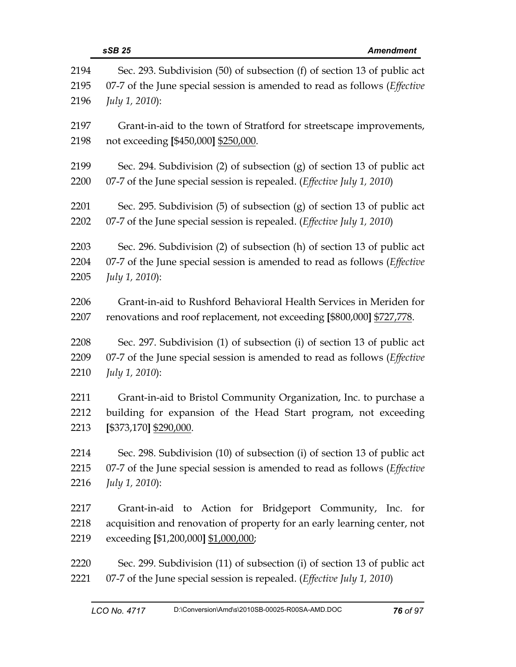|      | sSB 25<br><b>Amendment</b>                                                        |
|------|-----------------------------------------------------------------------------------|
| 2194 | Sec. 293. Subdivision (50) of subsection (f) of section 13 of public act          |
| 2195 | 07-7 of the June special session is amended to read as follows (Effective         |
| 2196 | July 1, 2010):                                                                    |
| 2197 | Grant-in-aid to the town of Stratford for streetscape improvements,               |
| 2198 | not exceeding [\$450,000] \$250,000.                                              |
| 2199 | Sec. 294. Subdivision (2) of subsection (g) of section 13 of public act           |
| 2200 | 07-7 of the June special session is repealed. ( <i>Effective July 1, 2010</i> )   |
| 2201 | Sec. 295. Subdivision $(5)$ of subsection $(g)$ of section 13 of public act       |
| 2202 | 07-7 of the June special session is repealed. (Effective July 1, 2010)            |
| 2203 | Sec. 296. Subdivision (2) of subsection (h) of section 13 of public act           |
| 2204 | 07-7 of the June special session is amended to read as follows ( <i>Effective</i> |
| 2205 | <i>July 1, 2010</i> ):                                                            |
| 2206 | Grant-in-aid to Rushford Behavioral Health Services in Meriden for                |
| 2207 | renovations and roof replacement, not exceeding [\$800,000] \$727,778.            |
| 2208 | Sec. 297. Subdivision (1) of subsection (i) of section 13 of public act           |
| 2209 | 07-7 of the June special session is amended to read as follows (Effective         |
| 2210 | July 1, 2010):                                                                    |
| 2211 | Grant-in-aid to Bristol Community Organization, Inc. to purchase a                |
| 2212 | building for expansion of the Head Start program, not exceeding                   |
| 2213 | [\$373,170] \$290,000.                                                            |
| 2214 | Sec. 298. Subdivision (10) of subsection (i) of section 13 of public act          |
| 2215 | 07-7 of the June special session is amended to read as follows (Effective         |
| 2216 | July 1, 2010):                                                                    |
| 2217 | Grant-in-aid to Action for Bridgeport Community, Inc. for                         |
| 2218 | acquisition and renovation of property for an early learning center, not          |
| 2219 | exceeding [\$1,200,000] \$1,000,000;                                              |
| 2220 | Sec. 299. Subdivision (11) of subsection (i) of section 13 of public act          |
| 2221 | 07-7 of the June special session is repealed. ( <i>Effective July 1, 2010</i> )   |
|      |                                                                                   |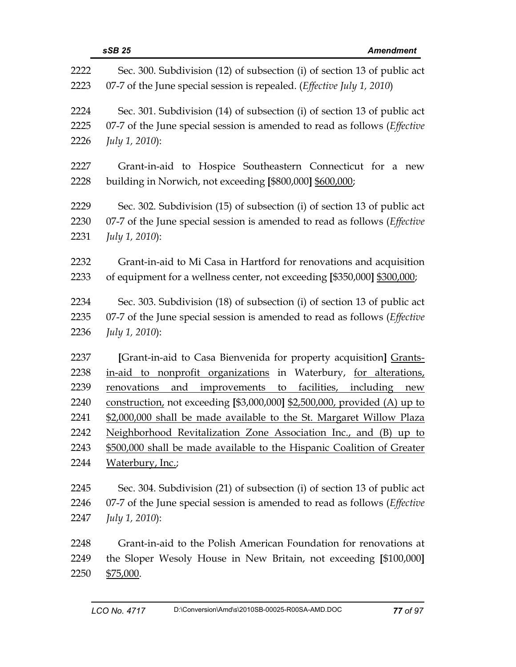|                                                              | sSB 25<br><b>Amendment</b>                                                                                                                                                                                                                                                                                                                                                                                                                                                                                                          |
|--------------------------------------------------------------|-------------------------------------------------------------------------------------------------------------------------------------------------------------------------------------------------------------------------------------------------------------------------------------------------------------------------------------------------------------------------------------------------------------------------------------------------------------------------------------------------------------------------------------|
| 2222                                                         | Sec. 300. Subdivision (12) of subsection (i) of section 13 of public act                                                                                                                                                                                                                                                                                                                                                                                                                                                            |
| 2223                                                         | 07-7 of the June special session is repealed. (Effective July 1, 2010)                                                                                                                                                                                                                                                                                                                                                                                                                                                              |
| 2224                                                         | Sec. 301. Subdivision (14) of subsection (i) of section 13 of public act                                                                                                                                                                                                                                                                                                                                                                                                                                                            |
| 2225                                                         | 07-7 of the June special session is amended to read as follows ( <i>Effective</i>                                                                                                                                                                                                                                                                                                                                                                                                                                                   |
| 2226                                                         | July 1, 2010):                                                                                                                                                                                                                                                                                                                                                                                                                                                                                                                      |
| 2227                                                         | Grant-in-aid to Hospice Southeastern Connecticut for a new                                                                                                                                                                                                                                                                                                                                                                                                                                                                          |
| 2228                                                         | building in Norwich, not exceeding [\$800,000] \$600,000;                                                                                                                                                                                                                                                                                                                                                                                                                                                                           |
| 2229                                                         | Sec. 302. Subdivision (15) of subsection (i) of section 13 of public act                                                                                                                                                                                                                                                                                                                                                                                                                                                            |
| 2230                                                         | 07-7 of the June special session is amended to read as follows ( <i>Effective</i>                                                                                                                                                                                                                                                                                                                                                                                                                                                   |
| 2231                                                         | July 1, 2010):                                                                                                                                                                                                                                                                                                                                                                                                                                                                                                                      |
| 2232                                                         | Grant-in-aid to Mi Casa in Hartford for renovations and acquisition                                                                                                                                                                                                                                                                                                                                                                                                                                                                 |
| 2233                                                         | of equipment for a wellness center, not exceeding [\$350,000] \$300,000;                                                                                                                                                                                                                                                                                                                                                                                                                                                            |
| 2234                                                         | Sec. 303. Subdivision (18) of subsection (i) of section 13 of public act                                                                                                                                                                                                                                                                                                                                                                                                                                                            |
| 2235                                                         | 07-7 of the June special session is amended to read as follows ( <i>Effective</i>                                                                                                                                                                                                                                                                                                                                                                                                                                                   |
| 2236                                                         | July 1, 2010):                                                                                                                                                                                                                                                                                                                                                                                                                                                                                                                      |
| 2237<br>2238<br>2239<br>2240<br>2241<br>2242<br>2243<br>2244 | [Grant-in-aid to Casa Bienvenida for property acquisition] Grants-<br>in-aid to nonprofit organizations in Waterbury, for alterations,<br>improvements to<br>facilities, including new<br>renovations<br>and<br>construction, not exceeding [\$3,000,000] \$2,500,000, provided (A) up to<br>\$2,000,000 shall be made available to the St. Margaret Willow Plaza<br>Neighborhood Revitalization Zone Association Inc., and (B) up to<br>\$500,000 shall be made available to the Hispanic Coalition of Greater<br>Waterbury, Inc.; |
| 2245                                                         | Sec. 304. Subdivision (21) of subsection (i) of section 13 of public act                                                                                                                                                                                                                                                                                                                                                                                                                                                            |
| 2246                                                         | 07-7 of the June special session is amended to read as follows ( <i>Effective</i>                                                                                                                                                                                                                                                                                                                                                                                                                                                   |
| 2247                                                         | <i>July 1, 2010</i> ):                                                                                                                                                                                                                                                                                                                                                                                                                                                                                                              |
| 2248                                                         | Grant-in-aid to the Polish American Foundation for renovations at                                                                                                                                                                                                                                                                                                                                                                                                                                                                   |
| 2249                                                         | the Sloper Wesoly House in New Britain, not exceeding [\$100,000]                                                                                                                                                                                                                                                                                                                                                                                                                                                                   |
| 2250                                                         | \$75,000.                                                                                                                                                                                                                                                                                                                                                                                                                                                                                                                           |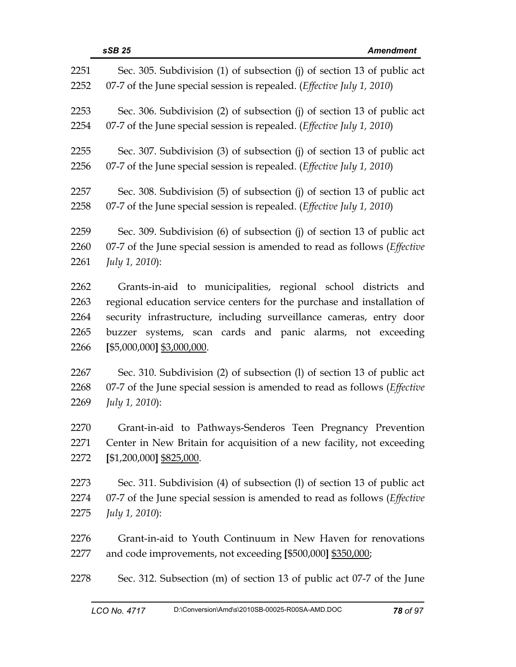| 2251 | Sec. 305. Subdivision (1) of subsection (j) of section 13 of public act           |
|------|-----------------------------------------------------------------------------------|
| 2252 | 07-7 of the June special session is repealed. ( <i>Effective July 1, 2010</i> )   |
| 2253 | Sec. 306. Subdivision (2) of subsection (j) of section 13 of public act           |
| 2254 | 07-7 of the June special session is repealed. ( <i>Effective July 1, 2010</i> )   |
| 2255 | Sec. 307. Subdivision (3) of subsection (j) of section 13 of public act           |
| 2256 | 07-7 of the June special session is repealed. ( <i>Effective July 1, 2010</i> )   |
| 2257 | Sec. 308. Subdivision (5) of subsection (j) of section 13 of public act           |
| 2258 | 07-7 of the June special session is repealed. (Effective July 1, 2010)            |
| 2259 | Sec. 309. Subdivision (6) of subsection (j) of section 13 of public act           |
| 2260 | 07-7 of the June special session is amended to read as follows (Effective         |
| 2261 | July 1, 2010):                                                                    |
| 2262 | Grants-in-aid to municipalities, regional school districts and                    |
| 2263 | regional education service centers for the purchase and installation of           |
| 2264 | security infrastructure, including surveillance cameras, entry door               |
| 2265 | buzzer systems, scan cards and panic alarms, not exceeding                        |
| 2266 | $[$5,000,000]$ \$3,000,000.                                                       |
| 2267 | Sec. 310. Subdivision (2) of subsection (1) of section 13 of public act           |
| 2268 | 07-7 of the June special session is amended to read as follows ( <i>Effective</i> |
| 2269 | July 1, 2010):                                                                    |
| 2270 | Grant-in-aid to Pathways-Senderos Teen Pregnancy Prevention                       |
| 2271 | Center in New Britain for acquisition of a new facility, not exceeding            |
| 2272 | [\$1,200,000] \$825,000.                                                          |
| 2273 | Sec. 311. Subdivision (4) of subsection (1) of section 13 of public act           |
| 2274 | 07-7 of the June special session is amended to read as follows ( <i>Effective</i> |
| 2275 | <i>July 1, 2010</i> ):                                                            |
| 2276 | Grant-in-aid to Youth Continuum in New Haven for renovations                      |
| 2277 | and code improvements, not exceeding [\$500,000] \$350,000;                       |
| 2278 | Sec. 312. Subsection (m) of section 13 of public act 07-7 of the June             |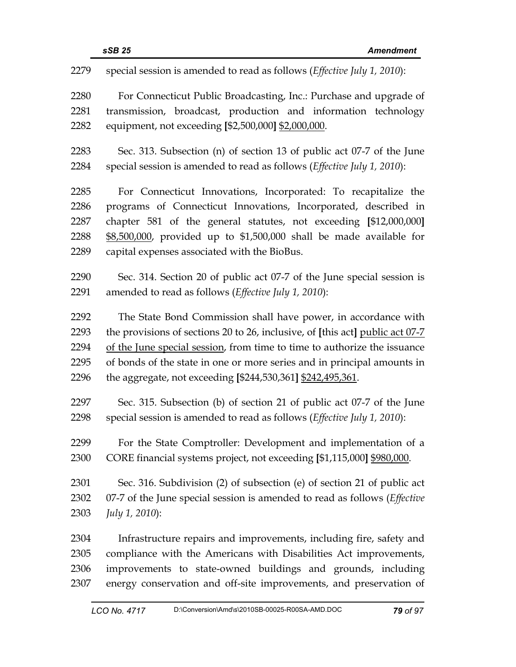| 2279 | special session is amended to read as follows (Effective July 1, 2010):           |
|------|-----------------------------------------------------------------------------------|
| 2280 | For Connecticut Public Broadcasting, Inc.: Purchase and upgrade of                |
| 2281 | transmission, broadcast, production and information technology                    |
| 2282 | equipment, not exceeding [\$2,500,000] \$2,000,000.                               |
| 2283 | Sec. 313. Subsection (n) of section 13 of public act 07-7 of the June             |
| 2284 | special session is amended to read as follows (Effective July 1, 2010):           |
| 2285 | For Connecticut Innovations, Incorporated: To recapitalize the                    |
| 2286 | programs of Connecticut Innovations, Incorporated, described in                   |
| 2287 | chapter 581 of the general statutes, not exceeding [\$12,000,000]                 |
| 2288 | \$8,500,000, provided up to \$1,500,000 shall be made available for               |
| 2289 | capital expenses associated with the BioBus.                                      |
| 2290 | Sec. 314. Section 20 of public act 07-7 of the June special session is            |
| 2291 | amended to read as follows (Effective July 1, 2010):                              |
| 2292 | The State Bond Commission shall have power, in accordance with                    |
| 2293 | the provisions of sections 20 to 26, inclusive, of [this act] public act 07-7     |
| 2294 | of the June special session, from time to time to authorize the issuance          |
| 2295 | of bonds of the state in one or more series and in principal amounts in           |
| 2296 | the aggregate, not exceeding [\$244,530,361] \$242,495,361.                       |
| 2297 | Sec. 315. Subsection (b) of section 21 of public act 07-7 of the June             |
| 2298 | special session is amended to read as follows (Effective July 1, 2010):           |
| 2299 | For the State Comptroller: Development and implementation of a                    |
| 2300 | CORE financial systems project, not exceeding [\$1,115,000] \$980,000.            |
| 2301 | Sec. 316. Subdivision (2) of subsection (e) of section 21 of public act           |
| 2302 | 07-7 of the June special session is amended to read as follows ( <i>Effective</i> |
| 2303 | July 1, 2010):                                                                    |
| 2304 | Infrastructure repairs and improvements, including fire, safety and               |
| 2305 | compliance with the Americans with Disabilities Act improvements,                 |
| 2306 | improvements to state-owned buildings and grounds, including                      |
| 2307 | energy conservation and off-site improvements, and preservation of                |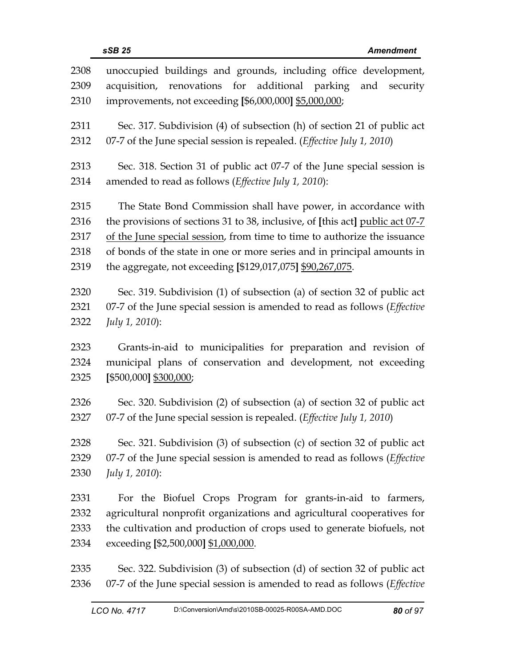| 2308 | unoccupied buildings and grounds, including office development,                   |
|------|-----------------------------------------------------------------------------------|
| 2309 | renovations for additional parking<br>and<br>acquisition,<br>security             |
| 2310 | improvements, not exceeding [\$6,000,000] \$5,000,000;                            |
| 2311 | Sec. 317. Subdivision (4) of subsection (h) of section 21 of public act           |
| 2312 | 07-7 of the June special session is repealed. (Effective July 1, 2010)            |
| 2313 | Sec. 318. Section 31 of public act 07-7 of the June special session is            |
| 2314 | amended to read as follows (Effective July 1, 2010):                              |
| 2315 | The State Bond Commission shall have power, in accordance with                    |
| 2316 | the provisions of sections 31 to 38, inclusive, of [this act] public act 07-7     |
| 2317 | of the June special session, from time to time to authorize the issuance          |
| 2318 | of bonds of the state in one or more series and in principal amounts in           |
| 2319 | the aggregate, not exceeding [\$129,017,075] \$90,267,075.                        |
| 2320 | Sec. 319. Subdivision (1) of subsection (a) of section 32 of public act           |
| 2321 | 07-7 of the June special session is amended to read as follows ( <i>Effective</i> |
| 2322 | July 1, 2010):                                                                    |
| 2323 | Grants-in-aid to municipalities for preparation and revision of                   |
| 2324 | municipal plans of conservation and development, not exceeding                    |
| 2325 | [\$500,000] \$300,000;                                                            |
| 2326 | Sec. 320. Subdivision (2) of subsection (a) of section 32 of public act           |
| 2327 | 07-7 of the June special session is repealed. (Effective July 1, 2010)            |
| 2328 | Sec. 321. Subdivision (3) of subsection (c) of section 32 of public act           |
| 2329 | 07-7 of the June special session is amended to read as follows ( <i>Effective</i> |
| 2330 | July 1, 2010):                                                                    |
| 2331 | For the Biofuel Crops Program for grants-in-aid to farmers,                       |
| 2332 | agricultural nonprofit organizations and agricultural cooperatives for            |
| 2333 | the cultivation and production of crops used to generate biofuels, not            |
| 2334 | exceeding [\$2,500,000] \$1,000,000.                                              |
| 2335 | Sec. 322. Subdivision (3) of subsection (d) of section 32 of public act           |

2336 07-7 of the June special session is amended to read as follows (*Effective*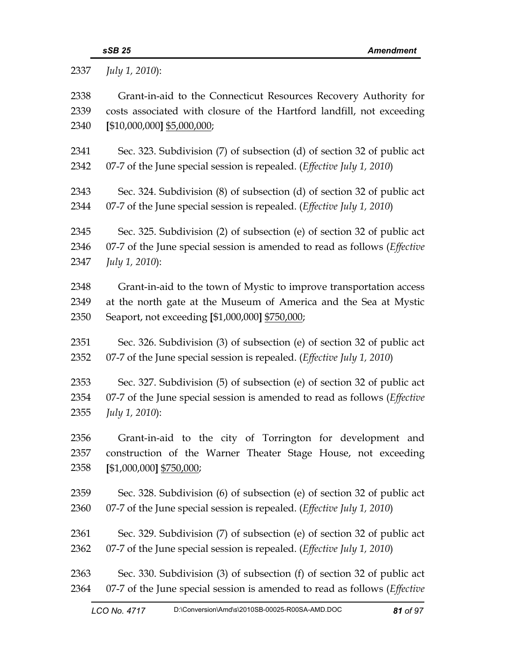|      | sSB 25<br><b>Amendment</b>                                                |
|------|---------------------------------------------------------------------------|
| 2337 | July 1, 2010):                                                            |
| 2338 | Grant-in-aid to the Connecticut Resources Recovery Authority for          |
| 2339 | costs associated with closure of the Hartford landfill, not exceeding     |
| 2340 | [\$10,000,000] \$5,000,000;                                               |
| 2341 | Sec. 323. Subdivision (7) of subsection (d) of section 32 of public act   |
| 2342 | 07-7 of the June special session is repealed. (Effective July 1, 2010)    |
| 2343 | Sec. 324. Subdivision (8) of subsection (d) of section 32 of public act   |
| 2344 | 07-7 of the June special session is repealed. (Effective July 1, 2010)    |
| 2345 | Sec. 325. Subdivision (2) of subsection (e) of section 32 of public act   |
| 2346 | 07-7 of the June special session is amended to read as follows (Effective |
| 2347 | July 1, 2010):                                                            |
| 2348 | Grant-in-aid to the town of Mystic to improve transportation access       |
| 2349 | at the north gate at the Museum of America and the Sea at Mystic          |
| 2350 | Seaport, not exceeding [\$1,000,000] \$750,000;                           |
| 2351 | Sec. 326. Subdivision (3) of subsection (e) of section 32 of public act   |
| 2352 | 07-7 of the June special session is repealed. (Effective July 1, 2010)    |
| 2353 | Sec. 327. Subdivision (5) of subsection (e) of section 32 of public act   |
| 2354 | 07-7 of the June special session is amended to read as follows (Effective |
| 2355 | July 1, 2010):                                                            |
| 2356 | Grant-in-aid to the city of Torrington for development and                |
| 2357 | construction of the Warner Theater Stage House, not exceeding             |
| 2358 | [\$1,000,000] \$750,000;                                                  |
| 2359 | Sec. 328. Subdivision (6) of subsection (e) of section 32 of public act   |
| 2360 | 07-7 of the June special session is repealed. (Effective July 1, 2010)    |

- 2361 Sec. 329. Subdivision (7) of subsection (e) of section 32 of public act 2362 07-7 of the June special session is repealed. (*Effective July 1, 2010*)
- 2363 Sec. 330. Subdivision (3) of subsection (f) of section 32 of public act 2364 07-7 of the June special session is amended to read as follows (*Effective*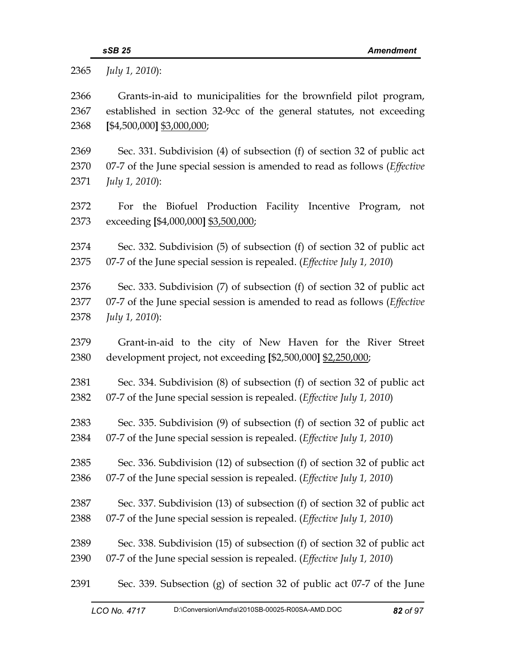| 2365         | July 1, 2010):                                                                                        |
|--------------|-------------------------------------------------------------------------------------------------------|
| 2366         | Grants-in-aid to municipalities for the brownfield pilot program,                                     |
| 2367         | established in section 32-9cc of the general statutes, not exceeding                                  |
| 2368         | $[$4,500,000]$ \$3,000,000;                                                                           |
| 2369         | Sec. 331. Subdivision (4) of subsection (f) of section 32 of public act                               |
| 2370         | 07-7 of the June special session is amended to read as follows ( <i>Effective</i>                     |
| 2371         | July 1, 2010):                                                                                        |
| 2372<br>2373 | For the Biofuel Production Facility Incentive Program,<br>not<br>exceeding [\$4,000,000] \$3,500,000; |
| 2374         | Sec. 332. Subdivision (5) of subsection (f) of section 32 of public act                               |
| 2375         | 07-7 of the June special session is repealed. (Effective July 1, 2010)                                |
| 2376         | Sec. 333. Subdivision (7) of subsection (f) of section 32 of public act                               |
| 2377         | 07-7 of the June special session is amended to read as follows (Effective                             |
| 2378         | July 1, 2010):                                                                                        |
| 2379         | Grant-in-aid to the city of New Haven for the River Street                                            |
| 2380         | development project, not exceeding [\$2,500,000] \$2,250,000;                                         |
| 2381         | Sec. 334. Subdivision (8) of subsection (f) of section 32 of public act                               |
| 2382         | 07-7 of the June special session is repealed. ( <i>Effective July 1, 2010</i> )                       |
| 2383         | Sec. 335. Subdivision (9) of subsection (f) of section 32 of public act                               |
| 2384         | 07-7 of the June special session is repealed. ( <i>Effective July 1, 2010</i> )                       |
| 2385         | Sec. 336. Subdivision (12) of subsection (f) of section 32 of public act                              |
| 2386         | 07-7 of the June special session is repealed. ( <i>Effective July 1, 2010</i> )                       |
| 2387         | Sec. 337. Subdivision (13) of subsection (f) of section 32 of public act                              |
| 2388         | 07-7 of the June special session is repealed. (Effective July 1, 2010)                                |
| 2389         | Sec. 338. Subdivision (15) of subsection (f) of section 32 of public act                              |
| 2390         | 07-7 of the June special session is repealed. ( <i>Effective July 1, 2010</i> )                       |
| 2391         | Sec. 339. Subsection (g) of section 32 of public act 07-7 of the June                                 |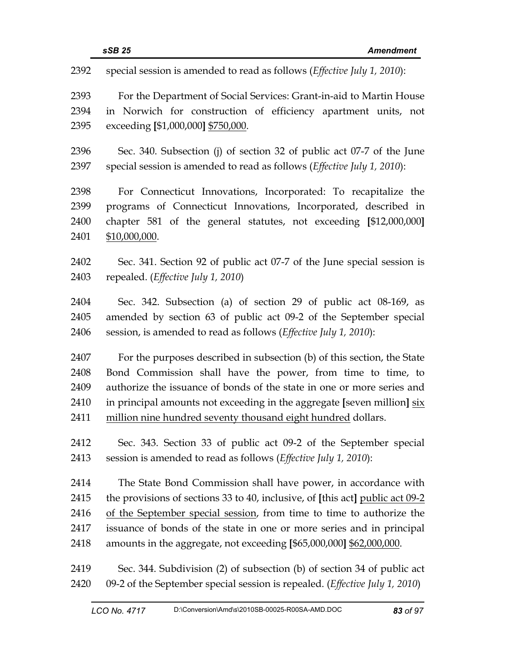| 2392<br>special session is amended to read as follows ( <i>Effective July 1</i> , 2010): |  |
|------------------------------------------------------------------------------------------|--|
| 2393<br>For the Department of Social Services: Grant-in-aid to Martin House              |  |
| in Norwich for construction of efficiency apartment units, not<br>2394                   |  |
| 2395<br>exceeding [\$1,000,000] \$750,000.                                               |  |
|                                                                                          |  |
| 2396<br>Sec. 340. Subsection (j) of section 32 of public act 07-7 of the June            |  |
| 2397<br>special session is amended to read as follows ( <i>Effective July 1</i> , 2010): |  |
| 2398<br>For Connecticut Innovations, Incorporated: To recapitalize the                   |  |
| 2399<br>programs of Connecticut Innovations, Incorporated, described in                  |  |
| chapter 581 of the general statutes, not exceeding [\$12,000,000]<br>2400                |  |
| 2401<br>\$10,000,000.                                                                    |  |
|                                                                                          |  |
| 2402<br>Sec. 341. Section 92 of public act 07-7 of the June special session is           |  |
| repealed. (Effective July 1, 2010)<br>2403                                               |  |
| 2404<br>Sec. 342. Subsection (a) of section 29 of public act 08-169, as                  |  |
| amended by section 63 of public act 09-2 of the September special<br>2405                |  |
| session, is amended to read as follows (Effective July 1, 2010):<br>2406                 |  |
| 2407<br>For the purposes described in subsection (b) of this section, the State          |  |
| 2408<br>Bond Commission shall have the power, from time to time, to                      |  |
| authorize the issuance of bonds of the state in one or more series and<br>2409           |  |
| in principal amounts not exceeding in the aggregate [seven million] six<br>2410          |  |
| million nine hundred seventy thousand eight hundred dollars.<br>2411                     |  |
|                                                                                          |  |
| Sec. 343. Section 33 of public act 09-2 of the September special<br>2412                 |  |
| 2413<br>session is amended to read as follows (Effective July 1, 2010):                  |  |
| 2414<br>The State Bond Commission shall have power, in accordance with                   |  |
| the provisions of sections 33 to 40, inclusive, of [this act] public act 09-2<br>2415    |  |
| 2416<br>of the September special session, from time to time to authorize the             |  |
| issuance of bonds of the state in one or more series and in principal<br>2417            |  |
| 2418<br>amounts in the aggregate, not exceeding $[$65,000,000]$ $$62,000,000$ .          |  |
| 2419<br>Sec. 344. Subdivision (2) of subsection (b) of section 34 of public act          |  |
| 09-2 of the September special session is repealed. (Effective July 1, 2010)<br>2420      |  |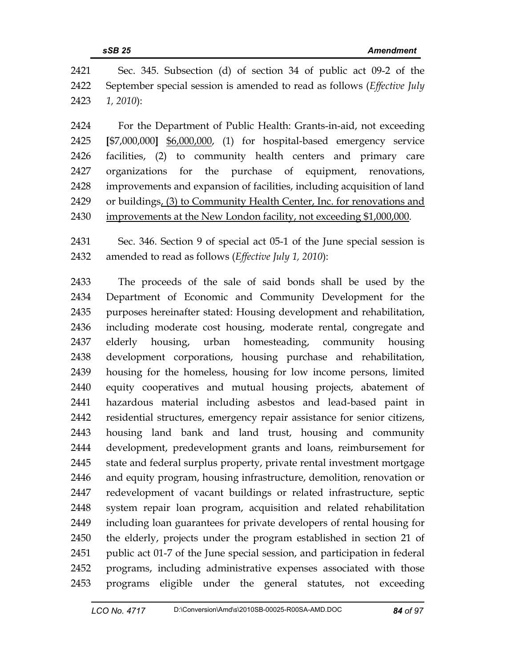| 2421 | Sec. 345. Subsection (d) of section 34 of public act 09-2 of the                     |
|------|--------------------------------------------------------------------------------------|
|      | 2422 September special session is amended to read as follows ( <i>Effective July</i> |
|      | $2423$ 1, 2010):                                                                     |

2424 For the Department of Public Health: Grants-in-aid, not exceeding 2425 **[**\$7,000,000**]** \$6,000,000, (1) for hospital-based emergency service 2426 facilities, (2) to community health centers and primary care 2427 organizations for the purchase of equipment, renovations, 2428 improvements and expansion of facilities, including acquisition of land 2429 or buildings, (3) to Community Health Center, Inc. for renovations and 2430 improvements at the New London facility, not exceeding \$1,000,000.

2431 Sec. 346. Section 9 of special act 05-1 of the June special session is 2432 amended to read as follows (*Effective July 1, 2010*):

2433 The proceeds of the sale of said bonds shall be used by the 2434 Department of Economic and Community Development for the 2435 purposes hereinafter stated: Housing development and rehabilitation, 2436 including moderate cost housing, moderate rental, congregate and 2437 elderly housing, urban homesteading, community housing 2438 development corporations, housing purchase and rehabilitation, 2439 housing for the homeless, housing for low income persons, limited 2440 equity cooperatives and mutual housing projects, abatement of 2441 hazardous material including asbestos and lead-based paint in 2442 residential structures, emergency repair assistance for senior citizens, 2443 housing land bank and land trust, housing and community 2444 development, predevelopment grants and loans, reimbursement for 2445 state and federal surplus property, private rental investment mortgage 2446 and equity program, housing infrastructure, demolition, renovation or 2447 redevelopment of vacant buildings or related infrastructure, septic 2448 system repair loan program, acquisition and related rehabilitation 2449 including loan guarantees for private developers of rental housing for 2450 the elderly, projects under the program established in section 21 of 2451 public act 01-7 of the June special session, and participation in federal 2452 programs, including administrative expenses associated with those 2453 programs eligible under the general statutes, not exceeding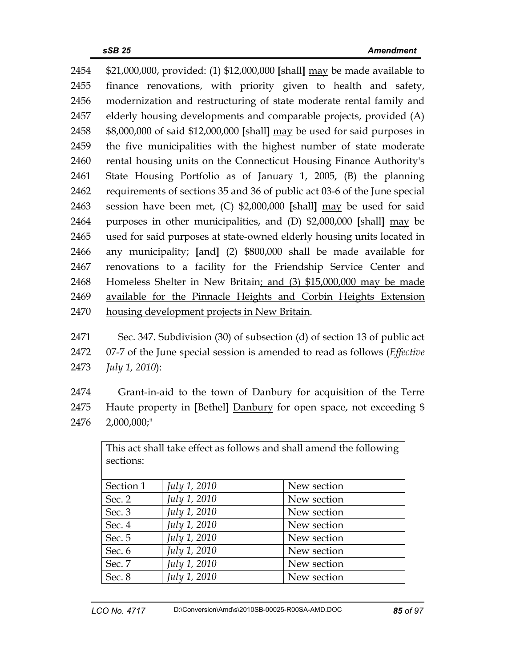2454 \$21,000,000, provided: (1) \$12,000,000 **[**shall**]** may be made available to 2455 finance renovations, with priority given to health and safety, 2456 modernization and restructuring of state moderate rental family and 2457 elderly housing developments and comparable projects, provided (A) 2458 \$8,000,000 of said \$12,000,000 **[**shall**]** may be used for said purposes in 2459 the five municipalities with the highest number of state moderate 2460 rental housing units on the Connecticut Housing Finance Authority's 2461 State Housing Portfolio as of January 1, 2005, (B) the planning 2462 requirements of sections 35 and 36 of public act 03-6 of the June special 2463 session have been met, (C) \$2,000,000 **[**shall**]** may be used for said 2464 purposes in other municipalities, and (D) \$2,000,000 **[**shall**]** may be 2465 used for said purposes at state-owned elderly housing units located in 2466 any municipality; **[**and**]** (2) \$800,000 shall be made available for 2467 renovations to a facility for the Friendship Service Center and 2468 Homeless Shelter in New Britain; and (3) \$15,000,000 may be made 2469 available for the Pinnacle Heights and Corbin Heights Extension 2470 housing development projects in New Britain.

2471 Sec. 347. Subdivision (30) of subsection (d) of section 13 of public act 2472 07-7 of the June special session is amended to read as follows (*Effective*  2473 *July 1, 2010*):

2474 Grant-in-aid to the town of Danbury for acquisition of the Terre 2475 Haute property in **[**Bethel**]** Danbury for open space, not exceeding \$ 2476 2,000,000;"

| This act shall take effect as follows and shall amend the following |              |             |
|---------------------------------------------------------------------|--------------|-------------|
| sections:                                                           |              |             |
|                                                                     |              |             |
| Section 1                                                           | July 1, 2010 | New section |
| Sec. 2                                                              | July 1, 2010 | New section |
| Sec. 3                                                              | July 1, 2010 | New section |
| Sec. 4                                                              | July 1, 2010 | New section |
| Sec. 5                                                              | July 1, 2010 | New section |
| Sec. 6                                                              | July 1, 2010 | New section |
| Sec. 7                                                              | July 1, 2010 | New section |
| Sec. 8                                                              | July 1, 2010 | New section |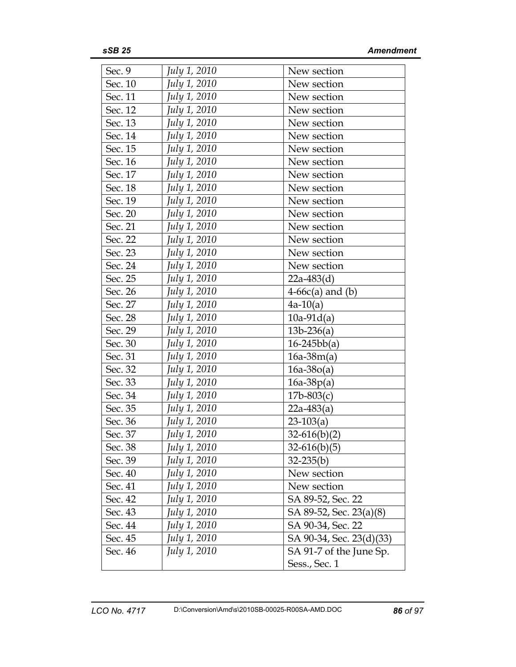| Sec. 9  | <i>July 1, 2010</i> | New section              |
|---------|---------------------|--------------------------|
| Sec. 10 | July 1, 2010        | New section              |
| Sec. 11 | July 1, 2010        | New section              |
| Sec. 12 | July 1, 2010        | New section              |
| Sec. 13 | July 1, 2010        | New section              |
| Sec. 14 | July 1, 2010        | New section              |
| Sec. 15 | July 1, 2010        | New section              |
| Sec. 16 | July 1, 2010        | New section              |
| Sec. 17 | July 1, 2010        | New section              |
| Sec. 18 | July 1, 2010        | New section              |
| Sec. 19 | July 1, 2010        | New section              |
| Sec. 20 | July 1, 2010        | New section              |
| Sec. 21 | July 1, 2010        | New section              |
| Sec. 22 | July 1, 2010        | New section              |
| Sec. 23 | July 1, 2010        | New section              |
| Sec. 24 | July 1, 2010        | New section              |
| Sec. 25 | July 1, 2010        | $22a-483(d)$             |
| Sec. 26 | July 1, 2010        | $4-66c(a)$ and (b)       |
| Sec. 27 | July 1, 2010        | $4a-10(a)$               |
| Sec. 28 | July 1, 2010        | $10a-91d(a)$             |
| Sec. 29 | <i>July 1, 2010</i> | $13b-236(a)$             |
| Sec. 30 | July 1, 2010        | $16 - 245bb(a)$          |
| Sec. 31 | July 1, 2010        | $16a-38m(a)$             |
| Sec. 32 | July 1, 2010        | $16a-38o(a)$             |
| Sec. 33 | July 1, 2010        | $16a-38p(a)$             |
| Sec. 34 | July 1, 2010        | $17b - 803(c)$           |
| Sec. 35 | July 1, 2010        | $22a-483(a)$             |
| Sec. 36 | July 1, 2010        | $23-103(a)$              |
| Sec. 37 | July 1, 2010        | $32-616(b)(2)$           |
| Sec. 38 | July 1, 2010        | $32-616(b)(5)$           |
| Sec. 39 | July 1, 2010        | $32 - 235(b)$            |
| Sec. 40 | July 1, 2010        | New section              |
| Sec. 41 | July 1, 2010        | New section              |
| Sec. 42 | July 1, 2010        | SA 89-52, Sec. 22        |
| Sec. 43 | July 1, 2010        | SA 89-52, Sec. 23(a)(8)  |
| Sec. 44 | July 1, 2010        | SA 90-34, Sec. 22        |
| Sec. 45 | July 1, 2010        | SA 90-34, Sec. 23(d)(33) |
| Sec. 46 | July 1, 2010        | SA 91-7 of the June Sp.  |
|         |                     | Sess., Sec. 1            |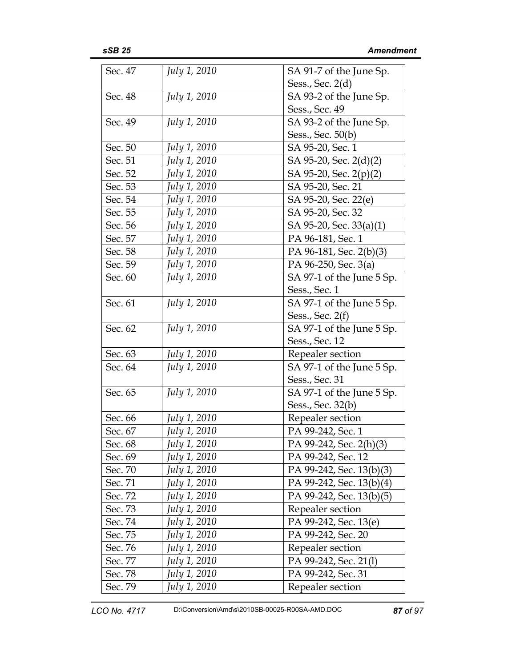| Sec. 47 | <i>July 1, 2010</i> | SA 91-7 of the June Sp.   |
|---------|---------------------|---------------------------|
|         |                     | Sess., Sec. $2(d)$        |
| Sec. 48 | July 1, 2010        | SA 93-2 of the June Sp.   |
|         |                     | Sess., Sec. 49            |
| Sec. 49 | <i>July 1, 2010</i> | SA 93-2 of the June Sp.   |
|         |                     | Sess., Sec. 50(b)         |
| Sec. 50 | July 1, 2010        | SA 95-20, Sec. 1          |
| Sec. 51 | July 1, 2010        | SA 95-20, Sec. 2(d)(2)    |
| Sec. 52 | July 1, 2010        | SA 95-20, Sec. 2(p)(2)    |
| Sec. 53 | July 1, 2010        | SA 95-20, Sec. 21         |
| Sec. 54 | July 1, 2010        | SA 95-20, Sec. 22(e)      |
| Sec. 55 | July 1, 2010        | SA 95-20, Sec. 32         |
| Sec. 56 | July 1, 2010        | SA 95-20, Sec. 33(a)(1)   |
| Sec. 57 | July 1, 2010        | PA 96-181, Sec. 1         |
| Sec. 58 | July 1, 2010        | PA 96-181, Sec. 2(b)(3)   |
| Sec. 59 | July 1, 2010        | PA 96-250, Sec. 3(a)      |
| Sec. 60 | July 1, 2010        | SA 97-1 of the June 5 Sp. |
|         |                     | Sess., Sec. 1             |
| Sec. 61 | <i>July 1, 2010</i> | SA 97-1 of the June 5 Sp. |
|         |                     | Sess., Sec. $2(f)$        |
| Sec. 62 | July 1, 2010        | SA 97-1 of the June 5 Sp. |
|         |                     | Sess., Sec. 12            |
| Sec. 63 | July 1, 2010        | Repealer section          |
| Sec. 64 | July 1, 2010        | SA 97-1 of the June 5 Sp. |
|         |                     | Sess., Sec. 31            |
| Sec. 65 | July 1, 2010        | SA 97-1 of the June 5 Sp. |
|         |                     | Sess., Sec. 32(b)         |
| Sec. 66 | July 1, 2010        | Repealer section          |
| Sec. 67 | July 1, 2010        | PA 99-242, Sec. 1         |
| Sec. 68 | July 1, 2010        | PA 99-242, Sec. 2(h)(3)   |
| Sec. 69 | July 1, 2010        | PA 99-242, Sec. 12        |
| Sec. 70 | July 1, 2010        | PA 99-242, Sec. 13(b)(3)  |
| Sec. 71 | July 1, 2010        | PA 99-242, Sec. 13(b)(4)  |
| Sec. 72 | July 1, 2010        | PA 99-242, Sec. 13(b)(5)  |
| Sec. 73 | July 1, 2010        | Repealer section          |
| Sec. 74 | July 1, 2010        | PA 99-242, Sec. 13(e)     |
| Sec. 75 | July 1, 2010        | PA 99-242, Sec. 20        |
| Sec. 76 | July 1, 2010        | Repealer section          |
| Sec. 77 | July 1, 2010        | PA 99-242, Sec. 21(l)     |
| Sec. 78 | July 1, 2010        | PA 99-242, Sec. 31        |
| Sec. 79 | July 1, 2010        | Repealer section          |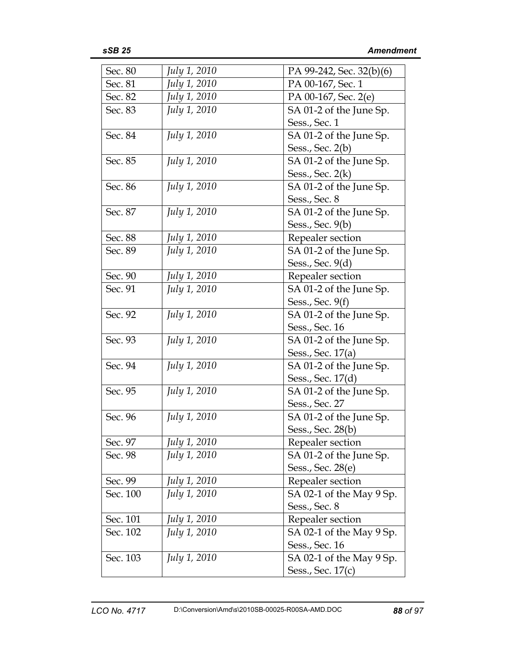| Sec. 80  | July 1, 2010        | PA 99-242, Sec. 32(b)(6) |
|----------|---------------------|--------------------------|
| Sec. 81  | July 1, 2010        | PA 00-167, Sec. 1        |
| Sec. 82  | July 1, 2010        | PA 00-167, Sec. 2(e)     |
| Sec. 83  | July 1, 2010        | SA 01-2 of the June Sp.  |
|          |                     | Sess., Sec. 1            |
| Sec. 84  | <i>July 1, 2010</i> | SA 01-2 of the June Sp.  |
|          |                     | Sess., Sec. 2(b)         |
| Sec. 85  | <i>July 1, 2010</i> | SA 01-2 of the June Sp.  |
|          |                     | Sess., Sec. 2(k)         |
| Sec. 86  | July 1, 2010        | SA 01-2 of the June Sp.  |
|          |                     | Sess., Sec. 8            |
| Sec. 87  | <i>July 1, 2010</i> | SA 01-2 of the June Sp.  |
|          |                     | Sess., Sec. 9(b)         |
| Sec. 88  | July 1, 2010        | Repealer section         |
| Sec. 89  | <i>July 1, 2010</i> | SA 01-2 of the June Sp.  |
|          |                     | Sess., Sec. 9(d)         |
| Sec. 90  | July 1, 2010        | Repealer section         |
| Sec. 91  | July 1, 2010        | SA 01-2 of the June Sp.  |
|          |                     | Sess., Sec. 9(f)         |
| Sec. 92  | <i>July 1, 2010</i> | SA 01-2 of the June Sp.  |
|          |                     | Sess., Sec. 16           |
| Sec. 93  | <i>July 1, 2010</i> | SA 01-2 of the June Sp.  |
|          |                     | Sess., Sec. 17(a)        |
| Sec. 94  | <i>July 1, 2010</i> | SA 01-2 of the June Sp.  |
|          |                     | Sess., Sec. 17(d)        |
| Sec. 95  | July 1, 2010        | SA 01-2 of the June Sp.  |
|          |                     | Sess., Sec. 27           |
| Sec. 96  | July 1, 2010        | SA 01-2 of the June Sp.  |
|          |                     | Sess., Sec. 28(b)        |
| Sec. 97  | July 1, 2010        | Repealer section         |
| Sec. 98  | July 1, 2010        | SA 01-2 of the June Sp.  |
|          |                     | Sess., Sec. 28(e)        |
| Sec. 99  | July 1, 2010        | Repealer section         |
| Sec. 100 | July 1, 2010        | SA 02-1 of the May 9 Sp. |
|          |                     | Sess., Sec. 8            |
| Sec. 101 | July 1, 2010        | Repealer section         |
| Sec. 102 | <i>July 1, 2010</i> | SA 02-1 of the May 9 Sp. |
|          |                     | Sess., Sec. 16           |
| Sec. 103 | July 1, 2010        | SA 02-1 of the May 9 Sp. |
|          |                     | Sess., Sec. 17(c)        |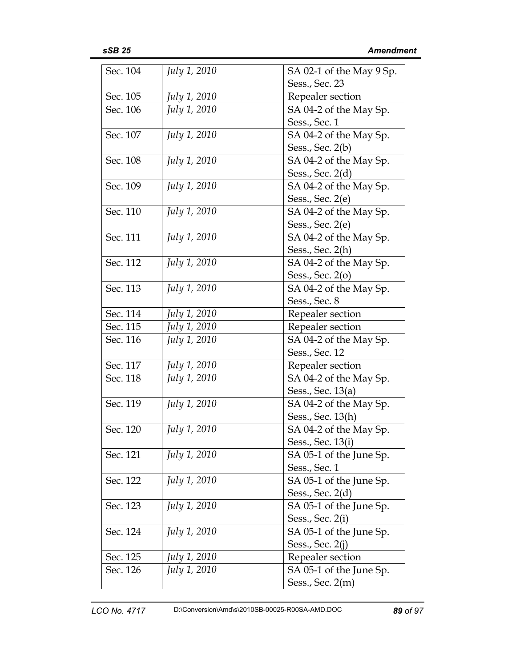| Sec. 104 | <i>July 1, 2010</i> | SA 02-1 of the May 9 Sp. |
|----------|---------------------|--------------------------|
|          |                     | Sess., Sec. 23           |
| Sec. 105 | July 1, 2010        | Repealer section         |
| Sec. 106 | <i>July 1, 2010</i> | SA 04-2 of the May Sp.   |
|          |                     | Sess., Sec. 1            |
| Sec. 107 | July 1, 2010        | SA 04-2 of the May Sp.   |
|          |                     | Sess., Sec. $2(b)$       |
| Sec. 108 | July 1, 2010        | SA 04-2 of the May Sp.   |
|          |                     | Sess., Sec. 2(d)         |
| Sec. 109 | July 1, 2010        | SA 04-2 of the May Sp.   |
|          |                     | Sess., Sec. $2(e)$       |
| Sec. 110 | <i>July 1, 2010</i> | SA 04-2 of the May Sp.   |
|          |                     | Sess., Sec. $2(e)$       |
| Sec. 111 | July 1, 2010        | SA 04-2 of the May Sp.   |
|          |                     | Sess., Sec. $2(h)$       |
| Sec. 112 | July 1, 2010        | SA 04-2 of the May Sp.   |
|          |                     | Sess., Sec. 2(0)         |
| Sec. 113 | July 1, 2010        | SA 04-2 of the May Sp.   |
|          |                     | Sess., Sec. 8            |
| Sec. 114 | July 1, 2010        | Repealer section         |
| Sec. 115 | July 1, 2010        | Repealer section         |
| Sec. 116 | July 1, 2010        | SA 04-2 of the May Sp.   |
|          |                     | Sess., Sec. 12           |
| Sec. 117 | July 1, 2010        | Repealer section         |
| Sec. 118 | July 1, 2010        | SA 04-2 of the May Sp.   |
|          |                     | Sess., Sec. 13(a)        |
| Sec. 119 | <i>July 1, 2010</i> | SA 04-2 of the May Sp.   |
|          |                     | Sess., Sec. 13(h)        |
| Sec. 120 | <i>July 1, 2010</i> | SA 04-2 of the May Sp.   |
|          |                     | Sess., Sec. 13(i)        |
| Sec. 121 | July 1, 2010        | SA 05-1 of the June Sp.  |
|          |                     | Sess., Sec. 1            |
| Sec. 122 | <i>July 1, 2010</i> | SA 05-1 of the June Sp.  |
|          |                     | Sess., Sec. 2(d)         |
| Sec. 123 | July 1, 2010        | SA 05-1 of the June Sp.  |
|          |                     | Sess., Sec. 2(i)         |
| Sec. 124 | July 1, 2010        | SA 05-1 of the June Sp.  |
|          |                     | Sess., Sec. $2(j)$       |
| Sec. 125 | July 1, 2010        | Repealer section         |
| Sec. 126 | July 1, 2010        | SA 05-1 of the June Sp.  |
|          |                     | Sess., Sec. $2(m)$       |
|          |                     |                          |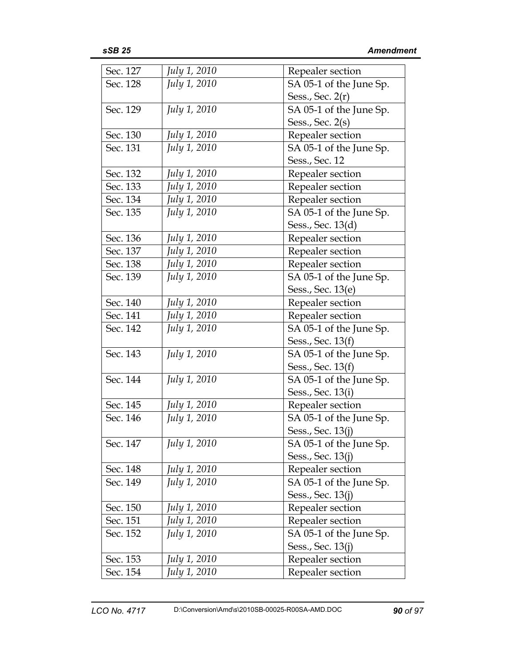| Sec. 127 | July 1, 2010        | Repealer section        |
|----------|---------------------|-------------------------|
| Sec. 128 | July 1, 2010        | SA 05-1 of the June Sp. |
|          |                     | Sess., Sec. $2(r)$      |
| Sec. 129 | July 1, 2010        | SA 05-1 of the June Sp. |
|          |                     | Sess., Sec. $2(s)$      |
| Sec. 130 | July 1, 2010        | Repealer section        |
| Sec. 131 | July 1, 2010        | SA 05-1 of the June Sp. |
|          |                     | Sess., Sec. 12          |
| Sec. 132 | July 1, 2010        | Repealer section        |
| Sec. 133 | July 1, 2010        | Repealer section        |
| Sec. 134 | July 1, 2010        | Repealer section        |
| Sec. 135 | July 1, 2010        | SA 05-1 of the June Sp. |
|          |                     | Sess., Sec. 13(d)       |
| Sec. 136 | July 1, 2010        | Repealer section        |
| Sec. 137 | July 1, 2010        | Repealer section        |
| Sec. 138 | July 1, 2010        | Repealer section        |
| Sec. 139 | July 1, 2010        | SA 05-1 of the June Sp. |
|          |                     | Sess., Sec. 13(e)       |
| Sec. 140 | July 1, 2010        | Repealer section        |
| Sec. 141 | July 1, 2010        | Repealer section        |
| Sec. 142 | July 1, 2010        | SA 05-1 of the June Sp. |
|          |                     | Sess., Sec. 13(f)       |
| Sec. 143 | <i>July 1, 2010</i> | SA 05-1 of the June Sp. |
|          |                     | Sess., Sec. 13(f)       |
| Sec. 144 | July 1, 2010        | SA 05-1 of the June Sp. |
|          |                     | Sess., Sec. 13(i)       |
| Sec. 145 | July 1, 2010        | Repealer section        |
| Sec. 146 | July 1, 2010        | SA 05-1 of the June Sp. |
|          |                     | Sess., Sec. 13(j)       |
| Sec. 147 | July 1, 2010        | SA 05-1 of the June Sp. |
|          |                     | Sess., Sec. 13(j)       |
| Sec. 148 | July 1, 2010        | Repealer section        |
| Sec. 149 | July 1, 2010        | SA 05-1 of the June Sp. |
|          |                     | Sess., Sec. 13(j)       |
| Sec. 150 | July 1, 2010        | Repealer section        |
| Sec. 151 | July 1, 2010        | Repealer section        |
| Sec. 152 | July 1, 2010        | SA 05-1 of the June Sp. |
|          |                     | Sess., Sec. 13(j)       |
| Sec. 153 | July 1, 2010        | Repealer section        |
| Sec. 154 | July 1, 2010        | Repealer section        |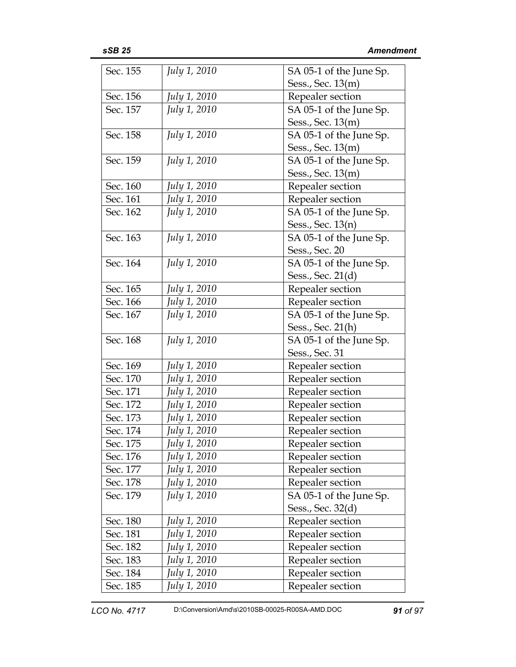| Sec. 155 | <i>July 1, 2010</i> | SA 05-1 of the June Sp. |
|----------|---------------------|-------------------------|
|          |                     | Sess., Sec. 13(m)       |
| Sec. 156 | July 1, 2010        | Repealer section        |
| Sec. 157 | July 1, 2010        | SA 05-1 of the June Sp. |
|          |                     | Sess., Sec. 13(m)       |
| Sec. 158 | July 1, 2010        | SA 05-1 of the June Sp. |
|          |                     | Sess., Sec. 13(m)       |
| Sec. 159 | <i>July 1, 2010</i> | SA 05-1 of the June Sp. |
|          |                     | Sess., Sec. 13(m)       |
| Sec. 160 | July 1, 2010        | Repealer section        |
| Sec. 161 | July 1, 2010        | Repealer section        |
| Sec. 162 | July 1, 2010        | SA 05-1 of the June Sp. |
|          |                     | Sess., Sec. 13(n)       |
| Sec. 163 | <i>July 1, 2010</i> | SA 05-1 of the June Sp. |
|          |                     | Sess., Sec. 20          |
| Sec. 164 | <i>July 1, 2010</i> | SA 05-1 of the June Sp. |
|          |                     | Sess., Sec. 21(d)       |
| Sec. 165 | July 1, 2010        | Repealer section        |
| Sec. 166 | July 1, 2010        | Repealer section        |
| Sec. 167 | <i>July 1, 2010</i> | SA 05-1 of the June Sp. |
|          |                     | Sess., Sec. 21(h)       |
| Sec. 168 | July 1, 2010        | SA 05-1 of the June Sp. |
|          |                     | Sess., Sec. 31          |
| Sec. 169 | July 1, 2010        | Repealer section        |
| Sec. 170 | July 1, 2010        | Repealer section        |
| Sec. 171 | July 1, 2010        | Repealer section        |
| Sec. 172 | July 1, 2010        | Repealer section        |
| Sec. 173 | July 1, 2010        | Repealer section        |
| Sec. 174 | July 1, 2010        | Repealer section        |
| Sec. 175 | July 1, 2010        | Repealer section        |
| Sec. 176 | July 1, 2010        | Repealer section        |
| Sec. 177 | July 1, 2010        | Repealer section        |
| Sec. 178 | July 1, 2010        | Repealer section        |
| Sec. 179 | July 1, 2010        | SA 05-1 of the June Sp. |
|          |                     | Sess., Sec. 32(d)       |
| Sec. 180 | <i>July 1, 2010</i> | Repealer section        |
| Sec. 181 | July 1, 2010        | Repealer section        |
| Sec. 182 | July 1, 2010        | Repealer section        |
| Sec. 183 | July 1, 2010        | Repealer section        |
| Sec. 184 | July 1, 2010        | Repealer section        |
| Sec. 185 | July 1, 2010        | Repealer section        |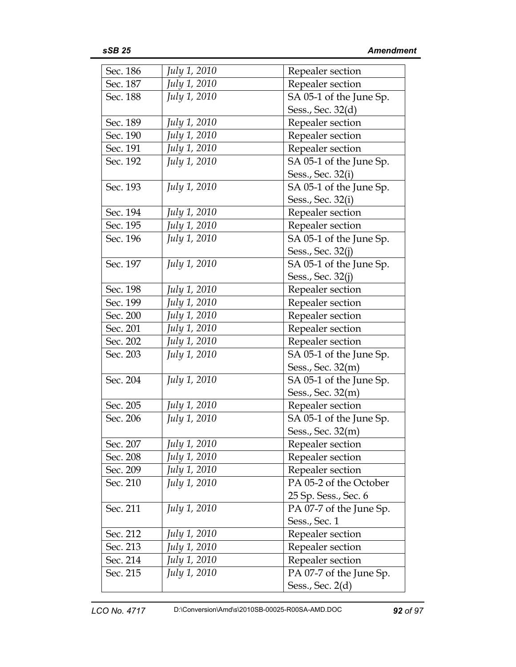| Sec. 186 | July 1, 2010        | Repealer section        |
|----------|---------------------|-------------------------|
| Sec. 187 | July 1, 2010        | Repealer section        |
| Sec. 188 | <i>July 1, 2010</i> | SA 05-1 of the June Sp. |
|          |                     | Sess., Sec. 32(d)       |
| Sec. 189 | July 1, 2010        | Repealer section        |
| Sec. 190 | July 1, 2010        | Repealer section        |
| Sec. 191 | July 1, 2010        | Repealer section        |
| Sec. 192 | July 1, 2010        | SA 05-1 of the June Sp. |
|          |                     | Sess., Sec. 32(i)       |
| Sec. 193 | July 1, 2010        | SA 05-1 of the June Sp. |
|          |                     | Sess., Sec. 32(i)       |
| Sec. 194 | July 1, 2010        | Repealer section        |
| Sec. 195 | July 1, 2010        | Repealer section        |
| Sec. 196 | <i>July 1, 2010</i> | SA 05-1 of the June Sp. |
|          |                     | Sess., Sec. 32(j)       |
| Sec. 197 | <i>July 1, 2010</i> | SA 05-1 of the June Sp. |
|          |                     | Sess., Sec. 32(j)       |
| Sec. 198 | July 1, 2010        | Repealer section        |
| Sec. 199 | July 1, 2010        | Repealer section        |
| Sec. 200 | July 1, 2010        | Repealer section        |
| Sec. 201 | July 1, 2010        | Repealer section        |
| Sec. 202 | July 1, 2010        | Repealer section        |
| Sec. 203 | July 1, 2010        | SA 05-1 of the June Sp. |
|          |                     | Sess., Sec. 32(m)       |
| Sec. 204 | <i>July 1, 2010</i> | SA 05-1 of the June Sp. |
|          |                     | Sess., Sec. 32(m)       |
| Sec. 205 | July 1, 2010        | Repealer section        |
| Sec. 206 | July 1, 2010        | SA 05-1 of the June Sp. |
|          |                     | Sess., Sec. 32(m)       |
| Sec. 207 | July 1, 2010        | Repealer section        |
| Sec. 208 | July 1, 2010        | Repealer section        |
| Sec. 209 | July 1, 2010        | Repealer section        |
| Sec. 210 | July 1, 2010        | PA 05-2 of the October  |
|          |                     | 25 Sp. Sess., Sec. 6    |
| Sec. 211 | July 1, 2010        | PA 07-7 of the June Sp. |
|          |                     | Sess., Sec. 1           |
| Sec. 212 | July 1, 2010        | Repealer section        |
| Sec. 213 | July 1, 2010        | Repealer section        |
| Sec. 214 | July 1, 2010        | Repealer section        |
| Sec. 215 | July 1, 2010        | PA 07-7 of the June Sp. |
|          |                     | Sess., Sec. 2(d)        |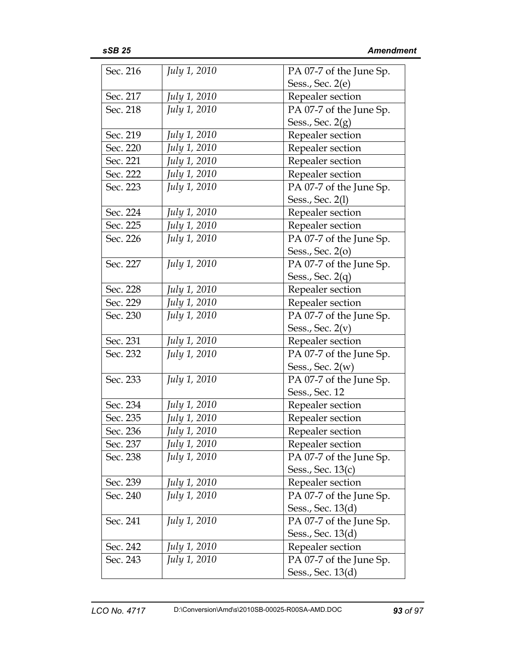| Sec. 216 | <i>July 1, 2010</i> | PA 07-7 of the June Sp. |
|----------|---------------------|-------------------------|
|          |                     | Sess., Sec. 2(e)        |
| Sec. 217 | July 1, 2010        | Repealer section        |
| Sec. 218 | July 1, 2010        | PA 07-7 of the June Sp. |
|          |                     | Sess., Sec. $2(g)$      |
| Sec. 219 | July 1, 2010        | Repealer section        |
| Sec. 220 | July 1, 2010        | Repealer section        |
| Sec. 221 | July 1, 2010        | Repealer section        |
| Sec. 222 | July 1, 2010        | Repealer section        |
| Sec. 223 | July 1, 2010        | PA 07-7 of the June Sp. |
|          |                     | Sess., Sec. 2(1)        |
| Sec. 224 | July 1, 2010        | Repealer section        |
| Sec. 225 | July 1, 2010        | Repealer section        |
| Sec. 226 | July 1, 2010        | PA 07-7 of the June Sp. |
|          |                     | Sess., Sec. 2(0)        |
| Sec. 227 | <i>July 1, 2010</i> | PA 07-7 of the June Sp. |
|          |                     | Sess., Sec. $2(q)$      |
| Sec. 228 | July 1, 2010        | Repealer section        |
| Sec. 229 | July 1, 2010        | Repealer section        |
| Sec. 230 | July 1, 2010        | PA 07-7 of the June Sp. |
|          |                     | Sess., Sec. $2(v)$      |
| Sec. 231 | July 1, 2010        | Repealer section        |
| Sec. 232 | July 1, 2010        | PA 07-7 of the June Sp. |
|          |                     | Sess., Sec. $2(w)$      |
| Sec. 233 | <i>July 1, 2010</i> | PA 07-7 of the June Sp. |
|          |                     | Sess., Sec. 12          |
| Sec. 234 | <i>July 1, 2010</i> | Repealer section        |
| Sec. 235 | July 1, 2010        | Repealer section        |
| Sec. 236 | July 1, 2010        | Repealer section        |
| Sec. 237 | July 1, 2010        | Repealer section        |
| Sec. 238 | July 1, 2010        | PA 07-7 of the June Sp. |
|          |                     | Sess., Sec. 13(c)       |
| Sec. 239 | July 1, 2010        | Repealer section        |
| Sec. 240 | July 1, 2010        | PA 07-7 of the June Sp. |
|          |                     | Sess., Sec. 13(d)       |
| Sec. 241 | <i>July 1, 2010</i> | PA 07-7 of the June Sp. |
|          |                     | Sess., Sec. 13(d)       |
| Sec. 242 | July 1, 2010        | Repealer section        |
| Sec. 243 | July 1, 2010        | PA 07-7 of the June Sp. |
|          |                     | Sess., Sec. 13(d)       |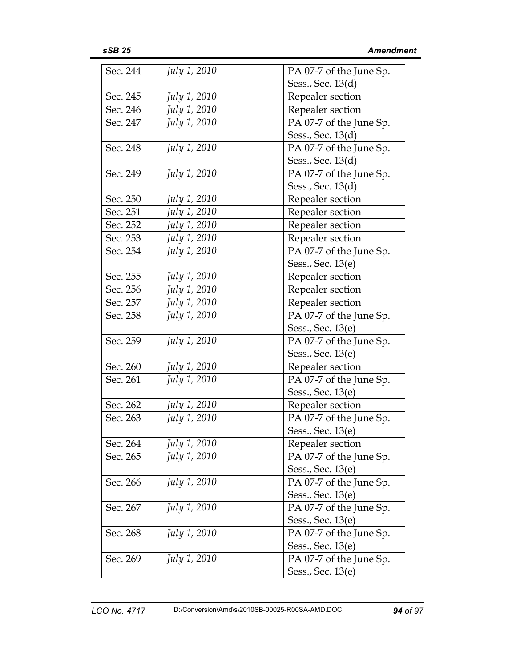| Sec. 244 | <i>July 1, 2010</i> | PA 07-7 of the June Sp. |
|----------|---------------------|-------------------------|
|          |                     | Sess., Sec. 13(d)       |
| Sec. 245 | July 1, 2010        | Repealer section        |
| Sec. 246 | July 1, 2010        | Repealer section        |
| Sec. 247 | July 1, 2010        | PA 07-7 of the June Sp. |
|          |                     | Sess., Sec. 13(d)       |
| Sec. 248 | <i>July 1, 2010</i> | PA 07-7 of the June Sp. |
|          |                     | Sess., Sec. 13(d)       |
| Sec. 249 | <i>July 1, 2010</i> | PA 07-7 of the June Sp. |
|          |                     | Sess., Sec. 13(d)       |
| Sec. 250 | July 1, 2010        | Repealer section        |
| Sec. 251 | July 1, 2010        | Repealer section        |
| Sec. 252 | July 1, 2010        | Repealer section        |
| Sec. 253 | July 1, 2010        | Repealer section        |
| Sec. 254 | <i>July 1, 2010</i> | PA 07-7 of the June Sp. |
|          |                     | Sess., Sec. 13(e)       |
| Sec. 255 | July 1, 2010        | Repealer section        |
| Sec. 256 | July 1, 2010        | Repealer section        |
| Sec. 257 | July 1, 2010        | Repealer section        |
| Sec. 258 | July 1, 2010        | PA 07-7 of the June Sp. |
|          |                     | Sess., Sec. 13(e)       |
| Sec. 259 | July 1, 2010        | PA 07-7 of the June Sp. |
|          |                     | Sess., Sec. 13(e)       |
| Sec. 260 | July 1, 2010        | Repealer section        |
| Sec. 261 | <i>July 1, 2010</i> | PA 07-7 of the June Sp. |
|          |                     | Sess., Sec. 13(e)       |
| Sec. 262 | July 1, 2010        | Repealer section        |
| Sec. 263 | July 1, 2010        | PA 07-7 of the June Sp. |
|          |                     | Sess., Sec. 13(e)       |
| Sec. 264 | July 1, 2010        | Repealer section        |
| Sec. 265 | July 1, 2010        | PA 07-7 of the June Sp. |
|          |                     | Sess., Sec. 13(e)       |
| Sec. 266 | July 1, 2010        | PA 07-7 of the June Sp. |
|          |                     | Sess., Sec. 13(e)       |
| Sec. 267 | <i>July 1, 2010</i> | PA 07-7 of the June Sp. |
|          |                     | Sess., Sec. 13(e)       |
| Sec. 268 | July 1, 2010        | PA 07-7 of the June Sp. |
|          |                     | Sess., Sec. 13(e)       |
| Sec. 269 | <i>July 1, 2010</i> | PA 07-7 of the June Sp. |
|          |                     | Sess., Sec. 13(e)       |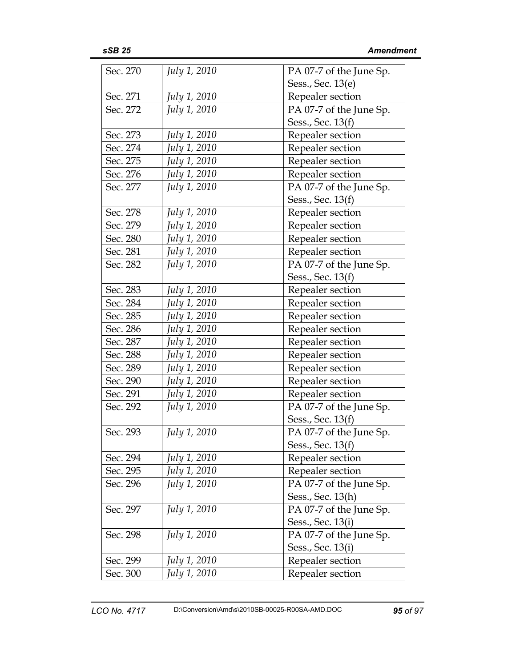| Sec. 270 | July 1, 2010 | PA 07-7 of the June Sp. |
|----------|--------------|-------------------------|
|          |              | Sess., Sec. 13(e)       |
| Sec. 271 | July 1, 2010 | Repealer section        |
| Sec. 272 | July 1, 2010 | PA 07-7 of the June Sp. |
|          |              | Sess., Sec. 13(f)       |
| Sec. 273 | July 1, 2010 | Repealer section        |
| Sec. 274 | July 1, 2010 | Repealer section        |
| Sec. 275 | July 1, 2010 | Repealer section        |
| Sec. 276 | July 1, 2010 | Repealer section        |
| Sec. 277 | July 1, 2010 | PA 07-7 of the June Sp. |
|          |              | Sess., Sec. 13(f)       |
| Sec. 278 | July 1, 2010 | Repealer section        |
| Sec. 279 | July 1, 2010 | Repealer section        |
| Sec. 280 | July 1, 2010 | Repealer section        |
| Sec. 281 | July 1, 2010 | Repealer section        |
| Sec. 282 | July 1, 2010 | PA 07-7 of the June Sp. |
|          |              | Sess., Sec. 13(f)       |
| Sec. 283 | July 1, 2010 | Repealer section        |
| Sec. 284 | July 1, 2010 | Repealer section        |
| Sec. 285 | July 1, 2010 | Repealer section        |
| Sec. 286 | July 1, 2010 | Repealer section        |
| Sec. 287 | July 1, 2010 | Repealer section        |
| Sec. 288 | July 1, 2010 | Repealer section        |
| Sec. 289 | July 1, 2010 | Repealer section        |
| Sec. 290 | July 1, 2010 | Repealer section        |
| Sec. 291 | July 1, 2010 | Repealer section        |
| Sec. 292 | July 1, 2010 | PA 07-7 of the June Sp. |
|          |              | Sess., Sec. 13(f)       |
| Sec. 293 | July 1, 2010 | PA 07-7 of the June Sp. |
|          |              | Sess., Sec. 13(f)       |
| Sec. 294 | July 1, 2010 | Repealer section        |
| Sec. 295 | July 1, 2010 | Repealer section        |
| Sec. 296 | July 1, 2010 | PA 07-7 of the June Sp. |
|          |              | Sess., Sec. 13(h)       |
| Sec. 297 | July 1, 2010 | PA 07-7 of the June Sp. |
|          |              | Sess., Sec. 13(i)       |
| Sec. 298 | July 1, 2010 | PA 07-7 of the June Sp. |
|          |              | Sess., Sec. 13(i)       |
| Sec. 299 | July 1, 2010 | Repealer section        |
| Sec. 300 | July 1, 2010 | Repealer section        |
|          |              |                         |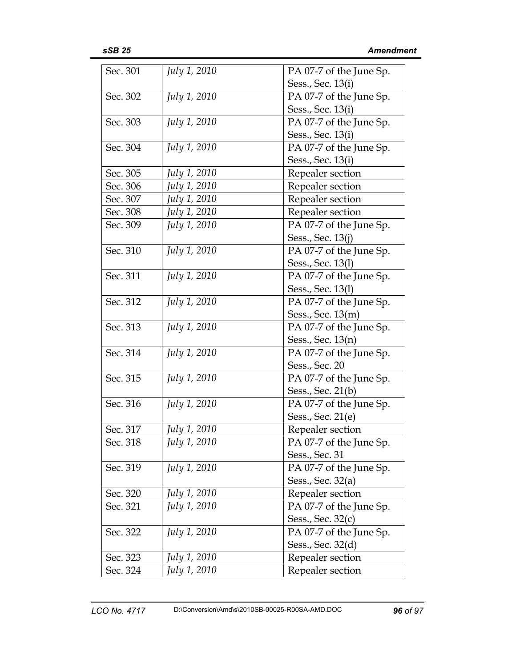| Sec. 301 | July 1, 2010        | PA 07-7 of the June Sp. |
|----------|---------------------|-------------------------|
|          |                     | Sess., Sec. 13(i)       |
| Sec. 302 | <i>July 1, 2010</i> | PA 07-7 of the June Sp. |
|          |                     | Sess., Sec. 13(i)       |
| Sec. 303 | July 1, 2010        | PA 07-7 of the June Sp. |
|          |                     | Sess., Sec. 13(i)       |
| Sec. 304 | <i>July 1, 2010</i> | PA 07-7 of the June Sp. |
|          |                     | Sess., Sec. 13(i)       |
| Sec. 305 | July 1, 2010        | Repealer section        |
| Sec. 306 | July 1, 2010        | Repealer section        |
| Sec. 307 | July 1, 2010        | Repealer section        |
| Sec. 308 | July 1, 2010        | Repealer section        |
| Sec. 309 | July 1, 2010        | PA 07-7 of the June Sp. |
|          |                     | Sess., Sec. 13(j)       |
| Sec. 310 | July 1, 2010        | PA 07-7 of the June Sp. |
|          |                     | Sess., Sec. 13(1)       |
| Sec. 311 | July 1, 2010        | PA 07-7 of the June Sp. |
|          |                     | Sess., Sec. 13(1)       |
| Sec. 312 | July 1, 2010        | PA 07-7 of the June Sp. |
|          |                     | Sess., Sec. 13(m)       |
| Sec. 313 | July 1, 2010        | PA 07-7 of the June Sp. |
|          |                     | Sess., Sec. 13(n)       |
| Sec. 314 | July 1, 2010        | PA 07-7 of the June Sp. |
|          |                     | Sess., Sec. 20          |
| Sec. 315 | July 1, 2010        | PA 07-7 of the June Sp. |
|          |                     | Sess., Sec. 21(b)       |
| Sec. 316 | <i>July 1, 2010</i> | PA 07-7 of the June Sp. |
|          |                     | Sess., Sec. 21(e)       |
| Sec. 317 | July 1, 2010        | Repealer section        |
| Sec. 318 | July 1, 2010        | PA 07-7 of the June Sp. |
|          |                     | Sess., Sec. 31          |
| Sec. 319 | July 1, 2010        | PA 07-7 of the June Sp. |
|          |                     | Sess., Sec. 32(a)       |
| Sec. 320 | July 1, 2010        | Repealer section        |
| Sec. 321 | July 1, 2010        | PA 07-7 of the June Sp. |
|          |                     | Sess., Sec. 32(c)       |
| Sec. 322 | July 1, 2010        | PA 07-7 of the June Sp. |
|          |                     | Sess., Sec. 32(d)       |
| Sec. 323 | July 1, 2010        | Repealer section        |
| Sec. 324 | July 1, 2010        | Repealer section        |